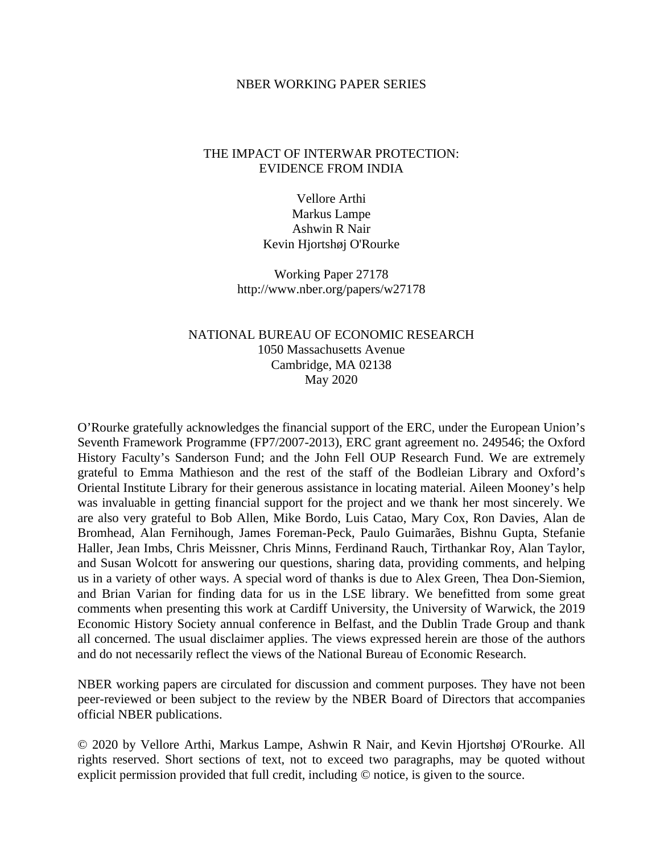## NBER WORKING PAPER SERIES

## THE IMPACT OF INTERWAR PROTECTION: EVIDENCE FROM INDIA

Vellore Arthi Markus Lampe Ashwin R Nair Kevin Hjortshøj O'Rourke

Working Paper 27178 http://www.nber.org/papers/w27178

## NATIONAL BUREAU OF ECONOMIC RESEARCH 1050 Massachusetts Avenue Cambridge, MA 02138 May 2020

O'Rourke gratefully acknowledges the financial support of the ERC, under the European Union's Seventh Framework Programme (FP7/2007-2013), ERC grant agreement no. 249546; the Oxford History Faculty's Sanderson Fund; and the John Fell OUP Research Fund. We are extremely grateful to Emma Mathieson and the rest of the staff of the Bodleian Library and Oxford's Oriental Institute Library for their generous assistance in locating material. Aileen Mooney's help was invaluable in getting financial support for the project and we thank her most sincerely. We are also very grateful to Bob Allen, Mike Bordo, Luis Catao, Mary Cox, Ron Davies, Alan de Bromhead, Alan Fernihough, James Foreman-Peck, Paulo Guimarães, Bishnu Gupta, Stefanie Haller, Jean Imbs, Chris Meissner, Chris Minns, Ferdinand Rauch, Tirthankar Roy, Alan Taylor, and Susan Wolcott for answering our questions, sharing data, providing comments, and helping us in a variety of other ways. A special word of thanks is due to Alex Green, Thea Don-Siemion, and Brian Varian for finding data for us in the LSE library. We benefitted from some great comments when presenting this work at Cardiff University, the University of Warwick, the 2019 Economic History Society annual conference in Belfast, and the Dublin Trade Group and thank all concerned. The usual disclaimer applies. The views expressed herein are those of the authors and do not necessarily reflect the views of the National Bureau of Economic Research.

NBER working papers are circulated for discussion and comment purposes. They have not been peer-reviewed or been subject to the review by the NBER Board of Directors that accompanies official NBER publications.

© 2020 by Vellore Arthi, Markus Lampe, Ashwin R Nair, and Kevin Hjortshøj O'Rourke. All rights reserved. Short sections of text, not to exceed two paragraphs, may be quoted without explicit permission provided that full credit, including © notice, is given to the source.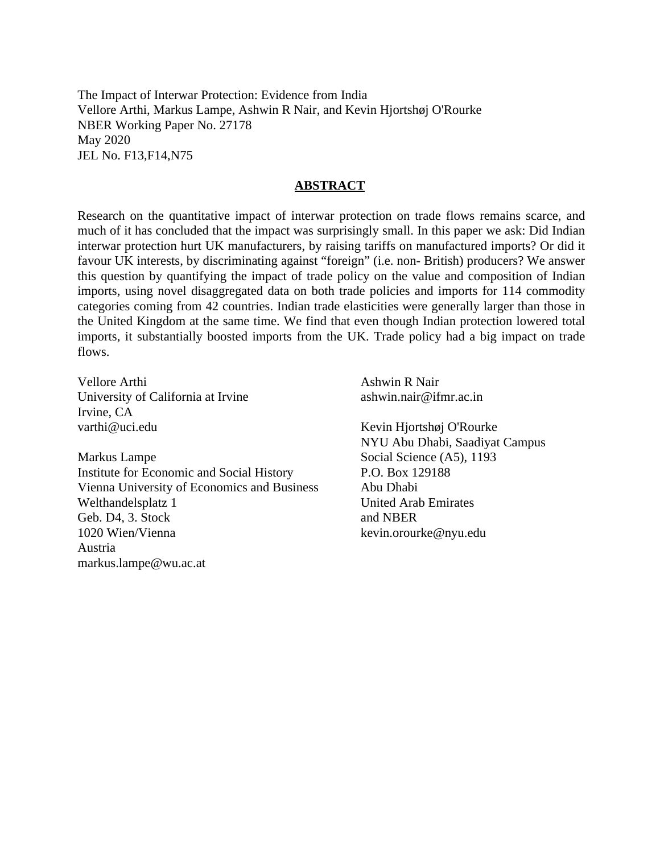The Impact of Interwar Protection: Evidence from India Vellore Arthi, Markus Lampe, Ashwin R Nair, and Kevin Hjortshøj O'Rourke NBER Working Paper No. 27178 May 2020 JEL No. F13,F14,N75

## **ABSTRACT**

Research on the quantitative impact of interwar protection on trade flows remains scarce, and much of it has concluded that the impact was surprisingly small. In this paper we ask: Did Indian interwar protection hurt UK manufacturers, by raising tariffs on manufactured imports? Or did it favour UK interests, by discriminating against "foreign" (i.e. non- British) producers? We answer this question by quantifying the impact of trade policy on the value and composition of Indian imports, using novel disaggregated data on both trade policies and imports for 114 commodity categories coming from 42 countries. Indian trade elasticities were generally larger than those in the United Kingdom at the same time. We find that even though Indian protection lowered total imports, it substantially boosted imports from the UK. Trade policy had a big impact on trade flows.

Vellore Arthi University of California at Irvine Irvine, CA varthi@uci.edu

Markus Lampe Institute for Economic and Social History Vienna University of Economics and Business Welthandelsplatz 1 Geb. D4, 3. Stock 1020 Wien/Vienna Austria markus.lampe@wu.ac.at

Ashwin R Nair ashwin.nair@ifmr.ac.in

Kevin Hjortshøj O'Rourke NYU Abu Dhabi, Saadiyat Campus Social Science (A5), 1193 P.O. Box 129188 Abu Dhabi United Arab Emirates and NBER kevin.orourke@nyu.edu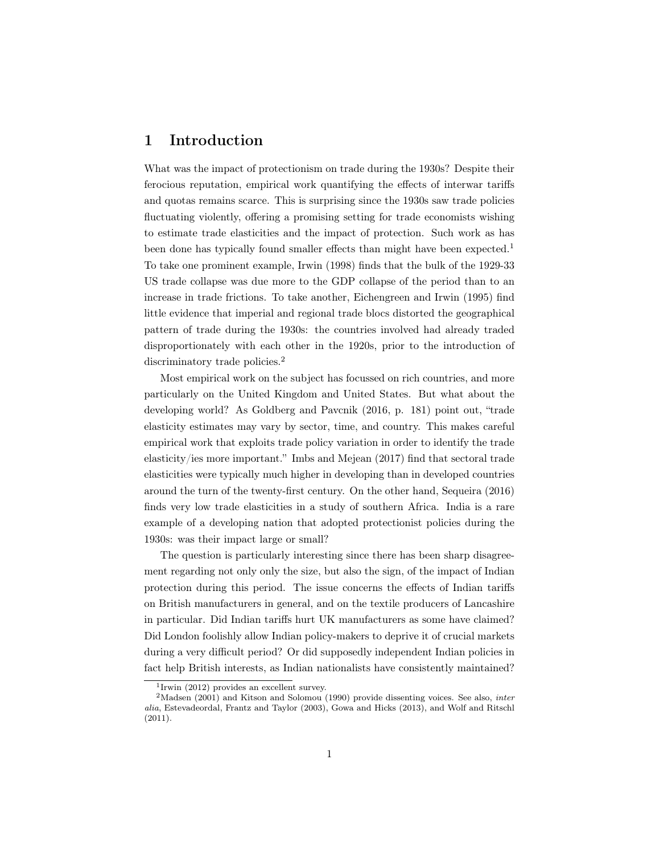## 1 Introduction

What was the impact of protectionism on trade during the 1930s? Despite their ferocious reputation, empirical work quantifying the effects of interwar tariffs and quotas remains scarce. This is surprising since the 1930s saw trade policies fluctuating violently, offering a promising setting for trade economists wishing to estimate trade elasticities and the impact of protection. Such work as has been done has typically found smaller effects than might have been expected.<sup>1</sup> To take one prominent example, Irwin (1998) finds that the bulk of the 1929-33 US trade collapse was due more to the GDP collapse of the period than to an increase in trade frictions. To take another, Eichengreen and Irwin (1995) find little evidence that imperial and regional trade blocs distorted the geographical pattern of trade during the 1930s: the countries involved had already traded disproportionately with each other in the 1920s, prior to the introduction of discriminatory trade policies.<sup>2</sup>

Most empirical work on the subject has focussed on rich countries, and more particularly on the United Kingdom and United States. But what about the developing world? As Goldberg and Pavcnik (2016, p. 181) point out, "trade elasticity estimates may vary by sector, time, and country. This makes careful empirical work that exploits trade policy variation in order to identify the trade elasticity/ies more important." Imbs and Mejean (2017) find that sectoral trade elasticities were typically much higher in developing than in developed countries around the turn of the twenty-first century. On the other hand, Sequeira (2016) finds very low trade elasticities in a study of southern Africa. India is a rare example of a developing nation that adopted protectionist policies during the 1930s: was their impact large or small?

The question is particularly interesting since there has been sharp disagreement regarding not only only the size, but also the sign, of the impact of Indian protection during this period. The issue concerns the effects of Indian tariffs on British manufacturers in general, and on the textile producers of Lancashire in particular. Did Indian tariffs hurt UK manufacturers as some have claimed? Did London foolishly allow Indian policy-makers to deprive it of crucial markets during a very difficult period? Or did supposedly independent Indian policies in fact help British interests, as Indian nationalists have consistently maintained?

<sup>1</sup> Irwin (2012) provides an excellent survey.

 $2$ Madsen (2001) and Kitson and Solomou (1990) provide dissenting voices. See also, *inter* alia, Estevadeordal, Frantz and Taylor (2003), Gowa and Hicks (2013), and Wolf and Ritschl (2011).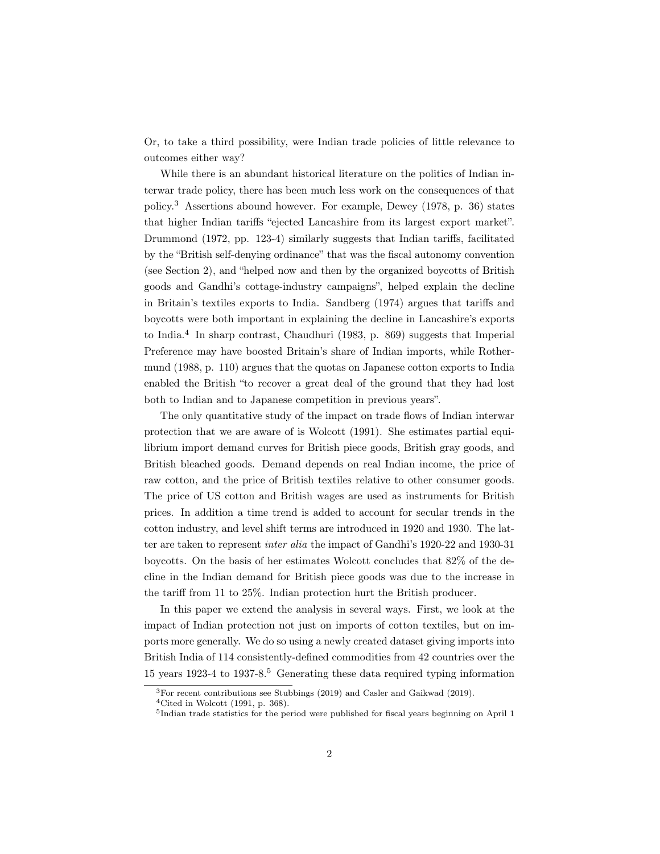Or, to take a third possibility, were Indian trade policies of little relevance to outcomes either way?

While there is an abundant historical literature on the politics of Indian interwar trade policy, there has been much less work on the consequences of that policy.<sup>3</sup> Assertions abound however. For example, Dewey (1978, p. 36) states that higher Indian tariffs "ejected Lancashire from its largest export market". Drummond (1972, pp. 123-4) similarly suggests that Indian tariffs, facilitated by the "British self-denying ordinance" that was the fiscal autonomy convention (see Section 2), and "helped now and then by the organized boycotts of British goods and Gandhi's cottage-industry campaigns", helped explain the decline in Britain's textiles exports to India. Sandberg (1974) argues that tariffs and boycotts were both important in explaining the decline in Lancashire's exports to India.<sup>4</sup> In sharp contrast, Chaudhuri (1983, p. 869) suggests that Imperial Preference may have boosted Britain's share of Indian imports, while Rothermund (1988, p. 110) argues that the quotas on Japanese cotton exports to India enabled the British "to recover a great deal of the ground that they had lost both to Indian and to Japanese competition in previous years".

The only quantitative study of the impact on trade flows of Indian interwar protection that we are aware of is Wolcott (1991). She estimates partial equilibrium import demand curves for British piece goods, British gray goods, and British bleached goods. Demand depends on real Indian income, the price of raw cotton, and the price of British textiles relative to other consumer goods. The price of US cotton and British wages are used as instruments for British prices. In addition a time trend is added to account for secular trends in the cotton industry, and level shift terms are introduced in 1920 and 1930. The latter are taken to represent inter alia the impact of Gandhi's 1920-22 and 1930-31 boycotts. On the basis of her estimates Wolcott concludes that 82% of the decline in the Indian demand for British piece goods was due to the increase in the tariff from 11 to 25%. Indian protection hurt the British producer.

In this paper we extend the analysis in several ways. First, we look at the impact of Indian protection not just on imports of cotton textiles, but on imports more generally. We do so using a newly created dataset giving imports into British India of 114 consistently-defined commodities from 42 countries over the 15 years 1923-4 to 1937-8.<sup>5</sup> Generating these data required typing information

<sup>3</sup>For recent contributions see Stubbings (2019) and Casler and Gaikwad (2019).

 $4$ Cited in Wolcott (1991, p. 368).

<sup>&</sup>lt;sup>5</sup>Indian trade statistics for the period were published for fiscal years beginning on April 1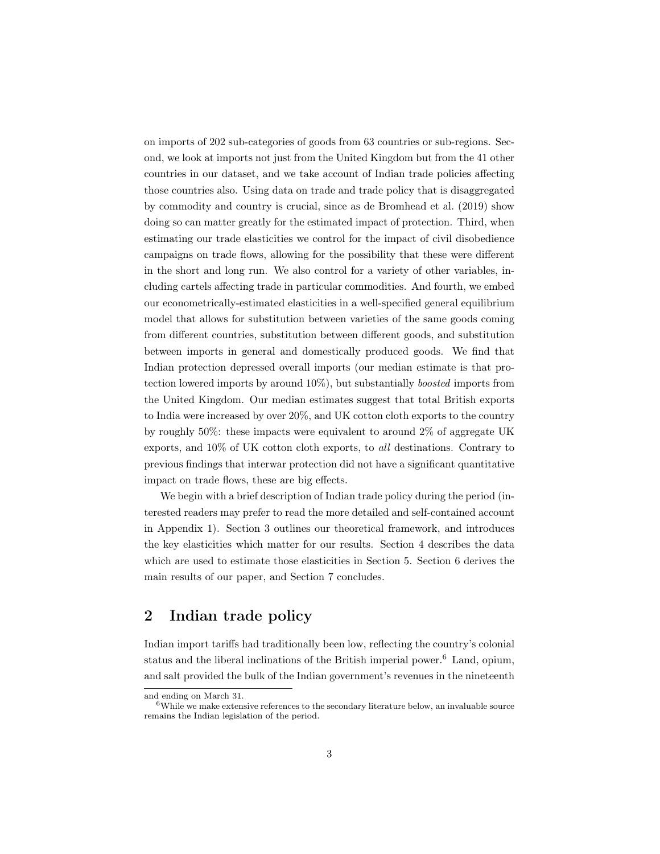on imports of 202 sub-categories of goods from 63 countries or sub-regions. Second, we look at imports not just from the United Kingdom but from the 41 other countries in our dataset, and we take account of Indian trade policies affecting those countries also. Using data on trade and trade policy that is disaggregated by commodity and country is crucial, since as de Bromhead et al. (2019) show doing so can matter greatly for the estimated impact of protection. Third, when estimating our trade elasticities we control for the impact of civil disobedience campaigns on trade flows, allowing for the possibility that these were different in the short and long run. We also control for a variety of other variables, including cartels affecting trade in particular commodities. And fourth, we embed our econometrically-estimated elasticities in a well-specified general equilibrium model that allows for substitution between varieties of the same goods coming from different countries, substitution between different goods, and substitution between imports in general and domestically produced goods. We find that Indian protection depressed overall imports (our median estimate is that protection lowered imports by around 10%), but substantially boosted imports from the United Kingdom. Our median estimates suggest that total British exports to India were increased by over 20%, and UK cotton cloth exports to the country by roughly 50%: these impacts were equivalent to around 2% of aggregate UK exports, and 10% of UK cotton cloth exports, to all destinations. Contrary to previous findings that interwar protection did not have a significant quantitative impact on trade flows, these are big effects.

We begin with a brief description of Indian trade policy during the period (interested readers may prefer to read the more detailed and self-contained account in Appendix 1). Section 3 outlines our theoretical framework, and introduces the key elasticities which matter for our results. Section 4 describes the data which are used to estimate those elasticities in Section 5. Section 6 derives the main results of our paper, and Section 7 concludes.

# 2 Indian trade policy

Indian import tariffs had traditionally been low, reflecting the country's colonial status and the liberal inclinations of the British imperial power.<sup>6</sup> Land, opium, and salt provided the bulk of the Indian government's revenues in the nineteenth

and ending on March 31.

 $6$ While we make extensive references to the secondary literature below, an invaluable source remains the Indian legislation of the period.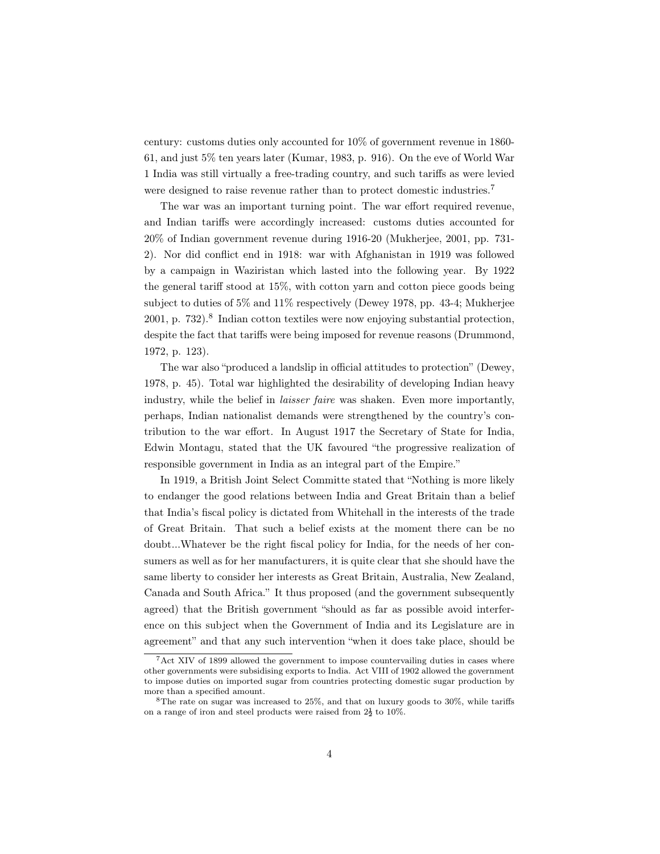century: customs duties only accounted for 10% of government revenue in 1860- 61, and just 5% ten years later (Kumar, 1983, p. 916). On the eve of World War 1 India was still virtually a free-trading country, and such tariffs as were levied were designed to raise revenue rather than to protect domestic industries.<sup>7</sup>

The war was an important turning point. The war effort required revenue, and Indian tariffs were accordingly increased: customs duties accounted for 20% of Indian government revenue during 1916-20 (Mukherjee, 2001, pp. 731- 2). Nor did conflict end in 1918: war with Afghanistan in 1919 was followed by a campaign in Waziristan which lasted into the following year. By 1922 the general tariff stood at 15%, with cotton yarn and cotton piece goods being subject to duties of 5% and 11% respectively (Dewey 1978, pp. 43-4; Mukherjee 2001, p. 732).<sup>8</sup> Indian cotton textiles were now enjoying substantial protection, despite the fact that tariffs were being imposed for revenue reasons (Drummond, 1972, p. 123).

The war also "produced a landslip in official attitudes to protection" (Dewey, 1978, p. 45). Total war highlighted the desirability of developing Indian heavy industry, while the belief in laisser faire was shaken. Even more importantly, perhaps, Indian nationalist demands were strengthened by the country's contribution to the war effort. In August 1917 the Secretary of State for India, Edwin Montagu, stated that the UK favoured "the progressive realization of responsible government in India as an integral part of the Empire."

In 1919, a British Joint Select Committe stated that "Nothing is more likely to endanger the good relations between India and Great Britain than a belief that India's fiscal policy is dictated from Whitehall in the interests of the trade of Great Britain. That such a belief exists at the moment there can be no doubt...Whatever be the right fiscal policy for India, for the needs of her consumers as well as for her manufacturers, it is quite clear that she should have the same liberty to consider her interests as Great Britain, Australia, New Zealand, Canada and South Africa." It thus proposed (and the government subsequently agreed) that the British government "should as far as possible avoid interference on this subject when the Government of India and its Legislature are in agreement" and that any such intervention "when it does take place, should be

 $7$ Act XIV of 1899 allowed the government to impose countervailing duties in cases where other governments were subsidising exports to India. Act VIII of 1902 allowed the government to impose duties on imported sugar from countries protecting domestic sugar production by more than a specified amount.

 $8$ The rate on sugar was increased to 25%, and that on luxury goods to 30%, while tariffs on a range of iron and steel products were raised from  $2\frac{1}{2}$  to  $10\%$ .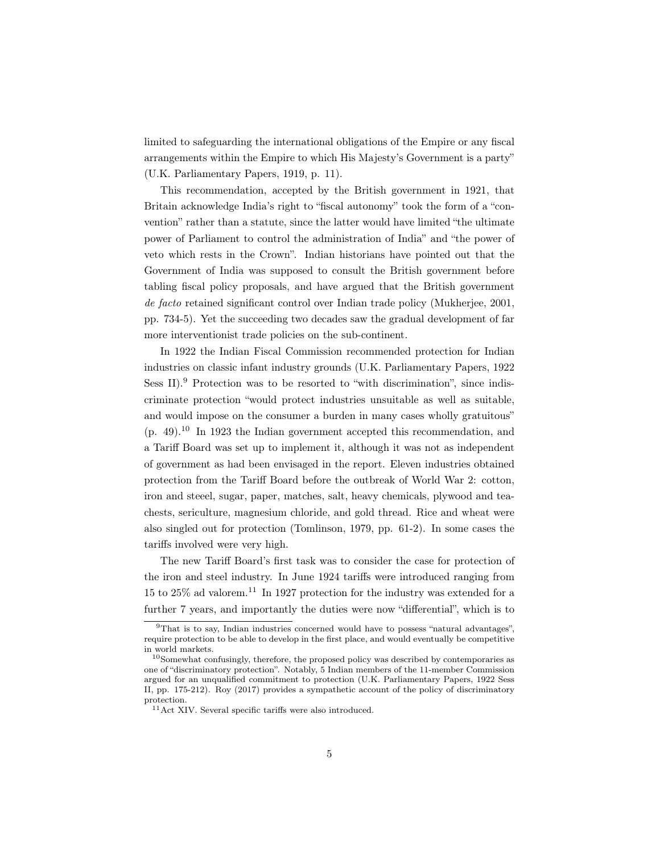limited to safeguarding the international obligations of the Empire or any fiscal arrangements within the Empire to which His Majesty's Government is a party" (U.K. Parliamentary Papers, 1919, p. 11).

This recommendation, accepted by the British government in 1921, that Britain acknowledge India's right to "fiscal autonomy" took the form of a "convention" rather than a statute, since the latter would have limited "the ultimate power of Parliament to control the administration of India" and "the power of veto which rests in the Crown". Indian historians have pointed out that the Government of India was supposed to consult the British government before tabling fiscal policy proposals, and have argued that the British government de facto retained significant control over Indian trade policy (Mukherjee, 2001, pp. 734-5). Yet the succeeding two decades saw the gradual development of far more interventionist trade policies on the sub-continent.

In 1922 the Indian Fiscal Commission recommended protection for Indian industries on classic infant industry grounds (U.K. Parliamentary Papers, 1922 Sess II).<sup>9</sup> Protection was to be resorted to "with discrimination", since indiscriminate protection "would protect industries unsuitable as well as suitable, and would impose on the consumer a burden in many cases wholly gratuitous"  $(p. 49)^{10}$  In 1923 the Indian government accepted this recommendation, and a Tariff Board was set up to implement it, although it was not as independent of government as had been envisaged in the report. Eleven industries obtained protection from the Tariff Board before the outbreak of World War 2: cotton, iron and steeel, sugar, paper, matches, salt, heavy chemicals, plywood and teachests, sericulture, magnesium chloride, and gold thread. Rice and wheat were also singled out for protection (Tomlinson, 1979, pp. 61-2). In some cases the tariffs involved were very high.

The new Tariff Board's first task was to consider the case for protection of the iron and steel industry. In June 1924 tariffs were introduced ranging from 15 to  $25\%$  ad valorem.<sup>11</sup> In 1927 protection for the industry was extended for a further 7 years, and importantly the duties were now "differential", which is to

<sup>9</sup>That is to say, Indian industries concerned would have to possess "natural advantages", require protection to be able to develop in the first place, and would eventually be competitive in world markets.

 $10$ Somewhat confusingly, therefore, the proposed policy was described by contemporaries as one of "discriminatory protection". Notably, 5 Indian members of the 11-member Commission argued for an unqualified commitment to protection (U.K. Parliamentary Papers, 1922 Sess II, pp. 175-212). Roy (2017) provides a sympathetic account of the policy of discriminatory protection.

 $^{11}\mbox{Act}$  XIV. Several specific tariffs were also introduced.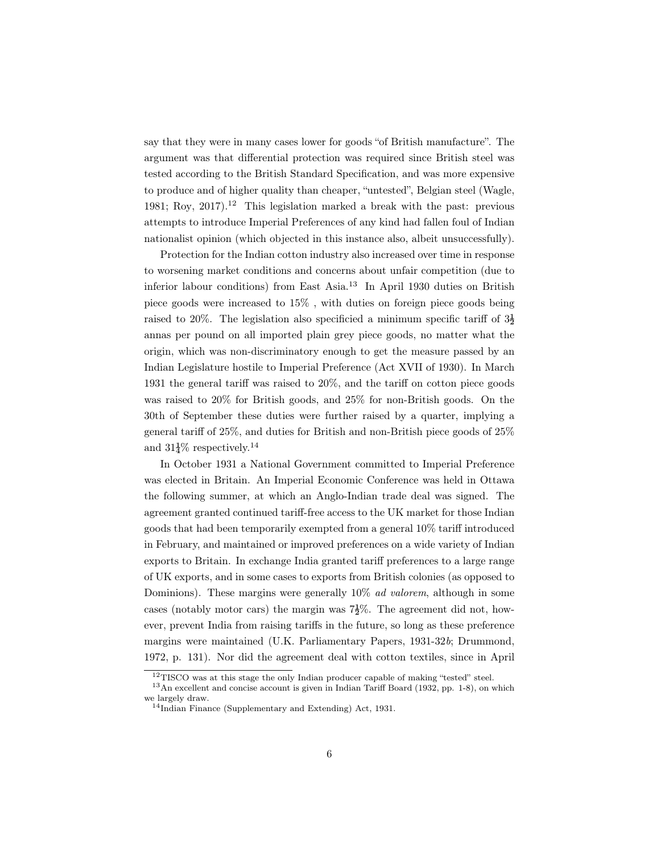say that they were in many cases lower for goods "of British manufacture". The argument was that differential protection was required since British steel was tested according to the British Standard Specification, and was more expensive to produce and of higher quality than cheaper, "untested", Belgian steel (Wagle, 1981; Roy, 2017).<sup>12</sup> This legislation marked a break with the past: previous attempts to introduce Imperial Preferences of any kind had fallen foul of Indian nationalist opinion (which objected in this instance also, albeit unsuccessfully).

Protection for the Indian cotton industry also increased over time in response to worsening market conditions and concerns about unfair competition (due to inferior labour conditions) from East Asia.<sup>13</sup> In April 1930 duties on British piece goods were increased to 15% , with duties on foreign piece goods being raised to 20%. The legislation also specificied a minimum specific tariff of  $3\frac{1}{2}$ annas per pound on all imported plain grey piece goods, no matter what the origin, which was non-discriminatory enough to get the measure passed by an Indian Legislature hostile to Imperial Preference (Act XVII of 1930). In March 1931 the general tariff was raised to 20%, and the tariff on cotton piece goods was raised to 20% for British goods, and 25% for non-British goods. On the 30th of September these duties were further raised by a quarter, implying a general tariff of 25%, and duties for British and non-British piece goods of 25% and  $31\frac{1}{4}\%$  respectively.<sup>14</sup>

In October 1931 a National Government committed to Imperial Preference was elected in Britain. An Imperial Economic Conference was held in Ottawa the following summer, at which an Anglo-Indian trade deal was signed. The agreement granted continued tariff-free access to the UK market for those Indian goods that had been temporarily exempted from a general 10% tariff introduced in February, and maintained or improved preferences on a wide variety of Indian exports to Britain. In exchange India granted tariff preferences to a large range of UK exports, and in some cases to exports from British colonies (as opposed to Dominions). These margins were generally 10% ad valorem, although in some cases (notably motor cars) the margin was  $7\frac{1}{2}\%$ . The agreement did not, however, prevent India from raising tariffs in the future, so long as these preference margins were maintained (U.K. Parliamentary Papers, 1931-32b; Drummond, 1972, p. 131). Nor did the agreement deal with cotton textiles, since in April

<sup>&</sup>lt;sup>12</sup>TISCO was at this stage the only Indian producer capable of making "tested" steel.

<sup>13</sup>An excellent and concise account is given in Indian Tariff Board (1932, pp. 1-8), on which we largely draw.

<sup>14</sup>Indian Finance (Supplementary and Extending) Act, 1931.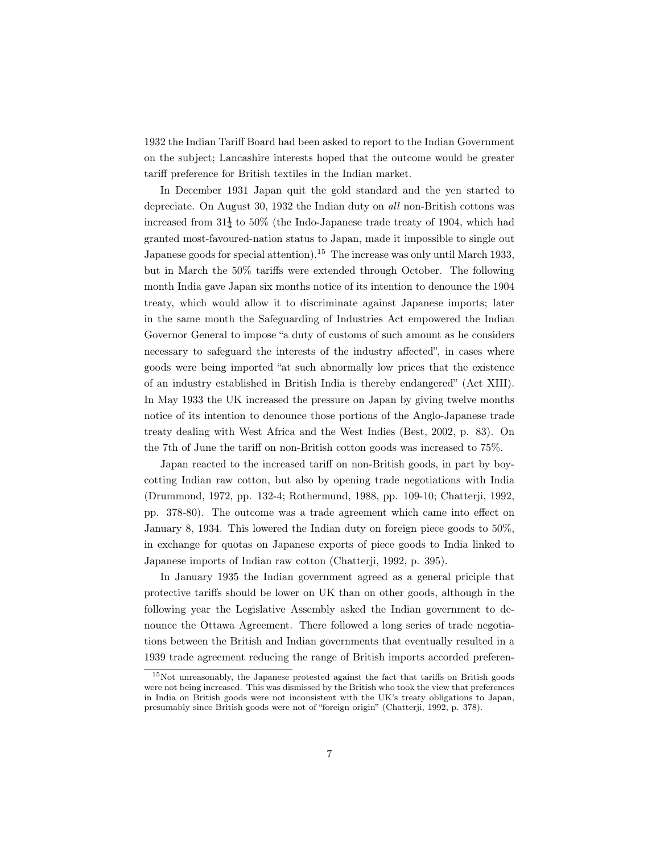1932 the Indian Tariff Board had been asked to report to the Indian Government on the subject; Lancashire interests hoped that the outcome would be greater tariff preference for British textiles in the Indian market.

In December 1931 Japan quit the gold standard and the yen started to depreciate. On August 30, 1932 the Indian duty on all non-British cottons was increased from  $31\frac{1}{4}$  to 50% (the Indo-Japanese trade treaty of 1904, which had granted most-favoured-nation status to Japan, made it impossible to single out Japanese goods for special attention).<sup>15</sup> The increase was only until March 1933, but in March the 50% tariffs were extended through October. The following month India gave Japan six months notice of its intention to denounce the 1904 treaty, which would allow it to discriminate against Japanese imports; later in the same month the Safeguarding of Industries Act empowered the Indian Governor General to impose "a duty of customs of such amount as he considers necessary to safeguard the interests of the industry affected", in cases where goods were being imported "at such abnormally low prices that the existence of an industry established in British India is thereby endangered" (Act XIII). In May 1933 the UK increased the pressure on Japan by giving twelve months notice of its intention to denounce those portions of the Anglo-Japanese trade treaty dealing with West Africa and the West Indies (Best, 2002, p. 83). On the 7th of June the tariff on non-British cotton goods was increased to 75%.

Japan reacted to the increased tariff on non-British goods, in part by boycotting Indian raw cotton, but also by opening trade negotiations with India (Drummond, 1972, pp. 132-4; Rothermund, 1988, pp. 109-10; Chatterji, 1992, pp. 378-80). The outcome was a trade agreement which came into effect on January 8, 1934. This lowered the Indian duty on foreign piece goods to 50%, in exchange for quotas on Japanese exports of piece goods to India linked to Japanese imports of Indian raw cotton (Chatterji, 1992, p. 395).

In January 1935 the Indian government agreed as a general priciple that protective tariffs should be lower on UK than on other goods, although in the following year the Legislative Assembly asked the Indian government to denounce the Ottawa Agreement. There followed a long series of trade negotiations between the British and Indian governments that eventually resulted in a 1939 trade agreement reducing the range of British imports accorded preferen-

<sup>15</sup>Not unreasonably, the Japanese protested against the fact that tariffs on British goods were not being increased. This was dismissed by the British who took the view that preferences in India on British goods were not inconsistent with the UK's treaty obligations to Japan, presumably since British goods were not of "foreign origin" (Chatterji, 1992, p. 378).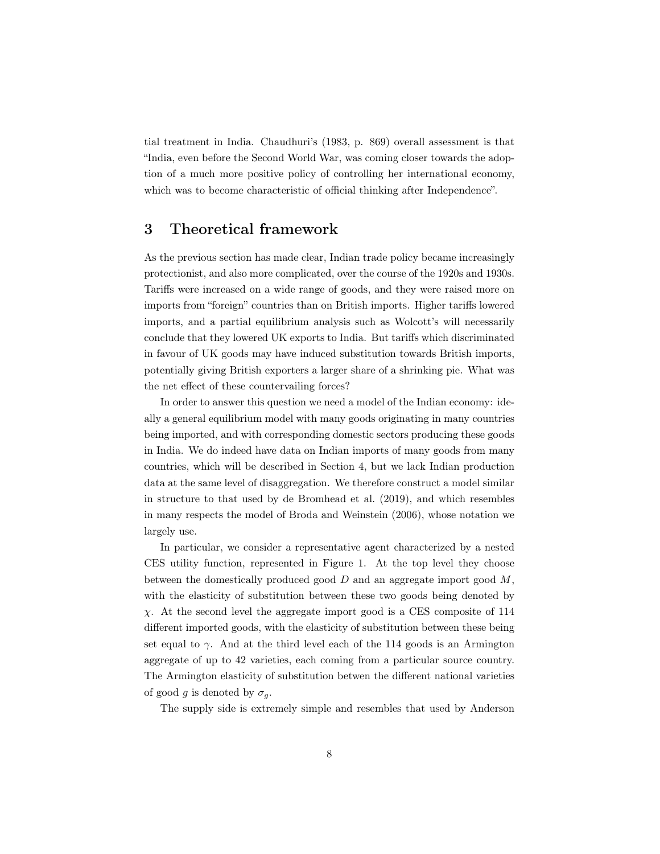tial treatment in India. Chaudhuri's (1983, p. 869) overall assessment is that "India, even before the Second World War, was coming closer towards the adoption of a much more positive policy of controlling her international economy, which was to become characteristic of official thinking after Independence".

## 3 Theoretical framework

As the previous section has made clear, Indian trade policy became increasingly protectionist, and also more complicated, over the course of the 1920s and 1930s. Tariffs were increased on a wide range of goods, and they were raised more on imports from "foreign" countries than on British imports. Higher tariffs lowered imports, and a partial equilibrium analysis such as Wolcott's will necessarily conclude that they lowered UK exports to India. But tariffs which discriminated in favour of UK goods may have induced substitution towards British imports, potentially giving British exporters a larger share of a shrinking pie. What was the net effect of these countervailing forces?

In order to answer this question we need a model of the Indian economy: ideally a general equilibrium model with many goods originating in many countries being imported, and with corresponding domestic sectors producing these goods in India. We do indeed have data on Indian imports of many goods from many countries, which will be described in Section 4, but we lack Indian production data at the same level of disaggregation. We therefore construct a model similar in structure to that used by de Bromhead et al. (2019), and which resembles in many respects the model of Broda and Weinstein (2006), whose notation we largely use.

In particular, we consider a representative agent characterized by a nested CES utility function, represented in Figure 1. At the top level they choose between the domestically produced good  $D$  and an aggregate import good  $M$ , with the elasticity of substitution between these two goods being denoted by χ. At the second level the aggregate import good is a CES composite of 114 different imported goods, with the elasticity of substitution between these being set equal to  $\gamma$ . And at the third level each of the 114 goods is an Armington aggregate of up to 42 varieties, each coming from a particular source country. The Armington elasticity of substitution betwen the different national varieties of good g is denoted by  $\sigma_q$ .

The supply side is extremely simple and resembles that used by Anderson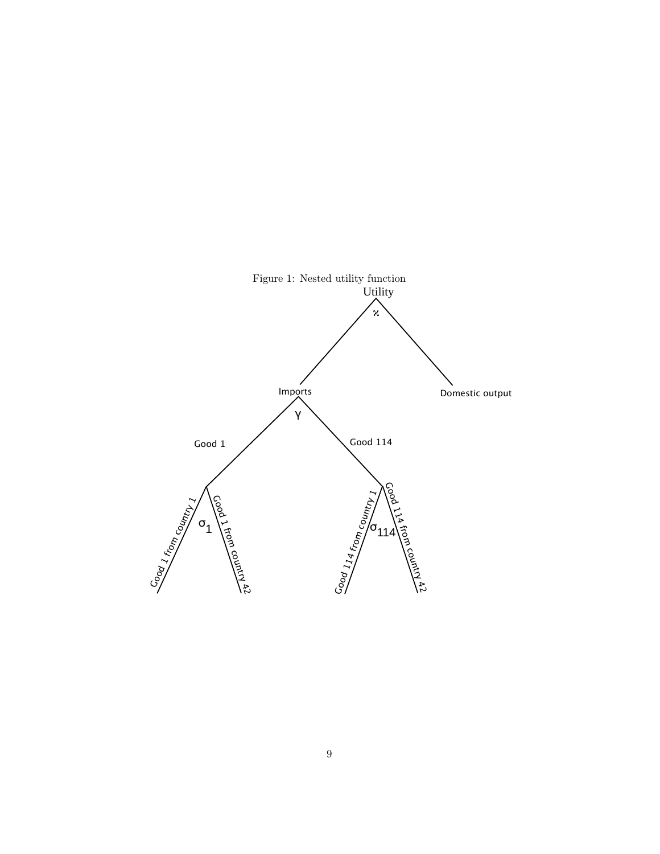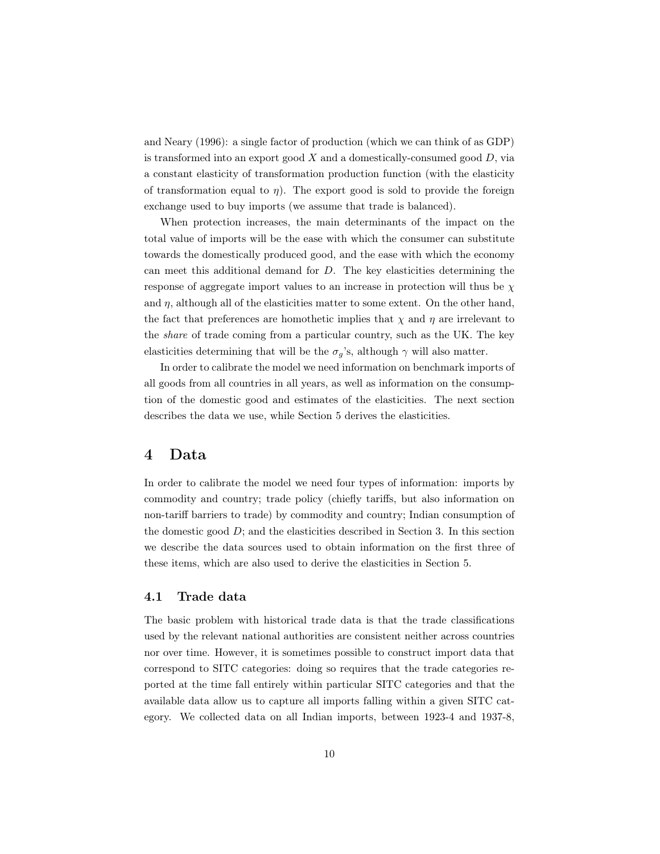and Neary (1996): a single factor of production (which we can think of as GDP) is transformed into an export good  $X$  and a domestically-consumed good  $D$ , via a constant elasticity of transformation production function (with the elasticity of transformation equal to  $\eta$ ). The export good is sold to provide the foreign exchange used to buy imports (we assume that trade is balanced).

When protection increases, the main determinants of the impact on the total value of imports will be the ease with which the consumer can substitute towards the domestically produced good, and the ease with which the economy can meet this additional demand for  $D$ . The key elasticities determining the response of aggregate import values to an increase in protection will thus be  $\chi$ and  $\eta$ , although all of the elasticities matter to some extent. On the other hand, the fact that preferences are homothetic implies that  $\chi$  and  $\eta$  are irrelevant to the share of trade coming from a particular country, such as the UK. The key elasticities determining that will be the  $\sigma_g$ 's, although  $\gamma$  will also matter.

In order to calibrate the model we need information on benchmark imports of all goods from all countries in all years, as well as information on the consumption of the domestic good and estimates of the elasticities. The next section describes the data we use, while Section 5 derives the elasticities.

## 4 Data

In order to calibrate the model we need four types of information: imports by commodity and country; trade policy (chiefly tariffs, but also information on non-tariff barriers to trade) by commodity and country; Indian consumption of the domestic good  $D$ ; and the elasticities described in Section 3. In this section we describe the data sources used to obtain information on the first three of these items, which are also used to derive the elasticities in Section 5.

#### 4.1 Trade data

The basic problem with historical trade data is that the trade classifications used by the relevant national authorities are consistent neither across countries nor over time. However, it is sometimes possible to construct import data that correspond to SITC categories: doing so requires that the trade categories reported at the time fall entirely within particular SITC categories and that the available data allow us to capture all imports falling within a given SITC category. We collected data on all Indian imports, between 1923-4 and 1937-8,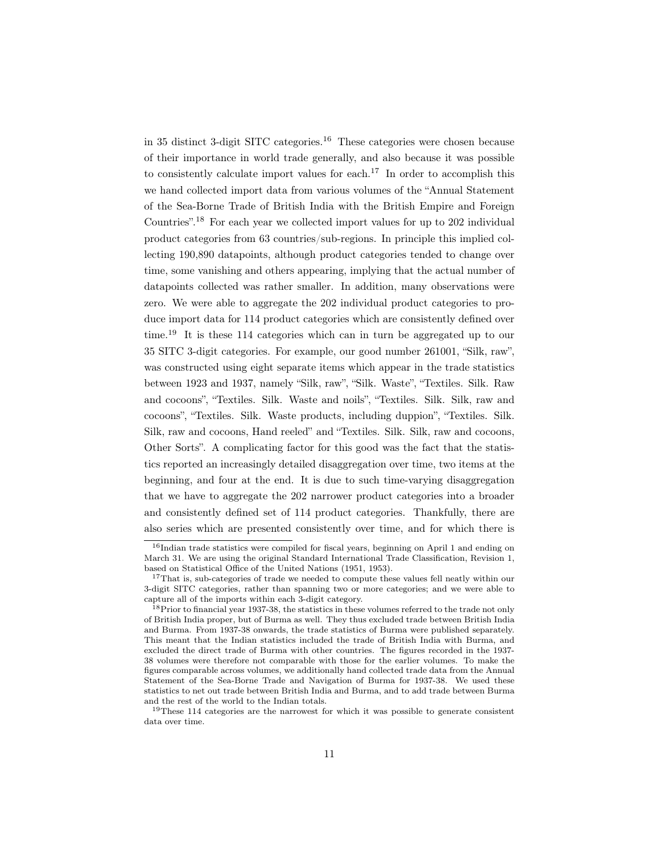in 35 distinct 3-digit SITC categories.<sup>16</sup> These categories were chosen because of their importance in world trade generally, and also because it was possible to consistently calculate import values for each.<sup>17</sup> In order to accomplish this we hand collected import data from various volumes of the "Annual Statement of the Sea-Borne Trade of British India with the British Empire and Foreign Countries".<sup>18</sup> For each year we collected import values for up to 202 individual product categories from 63 countries/sub-regions. In principle this implied collecting 190,890 datapoints, although product categories tended to change over time, some vanishing and others appearing, implying that the actual number of datapoints collected was rather smaller. In addition, many observations were zero. We were able to aggregate the 202 individual product categories to produce import data for 114 product categories which are consistently defined over time.<sup>19</sup> It is these 114 categories which can in turn be aggregated up to our 35 SITC 3-digit categories. For example, our good number 261001, "Silk, raw", was constructed using eight separate items which appear in the trade statistics between 1923 and 1937, namely "Silk, raw", "Silk. Waste", "Textiles. Silk. Raw and cocoons", "Textiles. Silk. Waste and noils", "Textiles. Silk. Silk, raw and cocoons", "Textiles. Silk. Waste products, including duppion", "Textiles. Silk. Silk, raw and cocoons, Hand reeled" and "Textiles. Silk. Silk, raw and cocoons, Other Sorts". A complicating factor for this good was the fact that the statistics reported an increasingly detailed disaggregation over time, two items at the beginning, and four at the end. It is due to such time-varying disaggregation that we have to aggregate the 202 narrower product categories into a broader and consistently defined set of 114 product categories. Thankfully, there are also series which are presented consistently over time, and for which there is

<sup>&</sup>lt;sup>16</sup>Indian trade statistics were compiled for fiscal years, beginning on April 1 and ending on March 31. We are using the original Standard International Trade Classification, Revision 1, based on Statistical Office of the United Nations (1951, 1953).

<sup>&</sup>lt;sup>17</sup>That is, sub-categories of trade we needed to compute these values fell neatly within our 3-digit SITC categories, rather than spanning two or more categories; and we were able to capture all of the imports within each 3-digit category.

<sup>&</sup>lt;sup>18</sup>Prior to financial year 1937-38, the statistics in these volumes referred to the trade not only of British India proper, but of Burma as well. They thus excluded trade between British India and Burma. From 1937-38 onwards, the trade statistics of Burma were published separately. This meant that the Indian statistics included the trade of British India with Burma, and excluded the direct trade of Burma with other countries. The figures recorded in the 1937- 38 volumes were therefore not comparable with those for the earlier volumes. To make the figures comparable across volumes, we additionally hand collected trade data from the Annual Statement of the Sea-Borne Trade and Navigation of Burma for 1937-38. We used these statistics to net out trade between British India and Burma, and to add trade between Burma and the rest of the world to the Indian totals.

 $19$ These 114 categories are the narrowest for which it was possible to generate consistent data over time.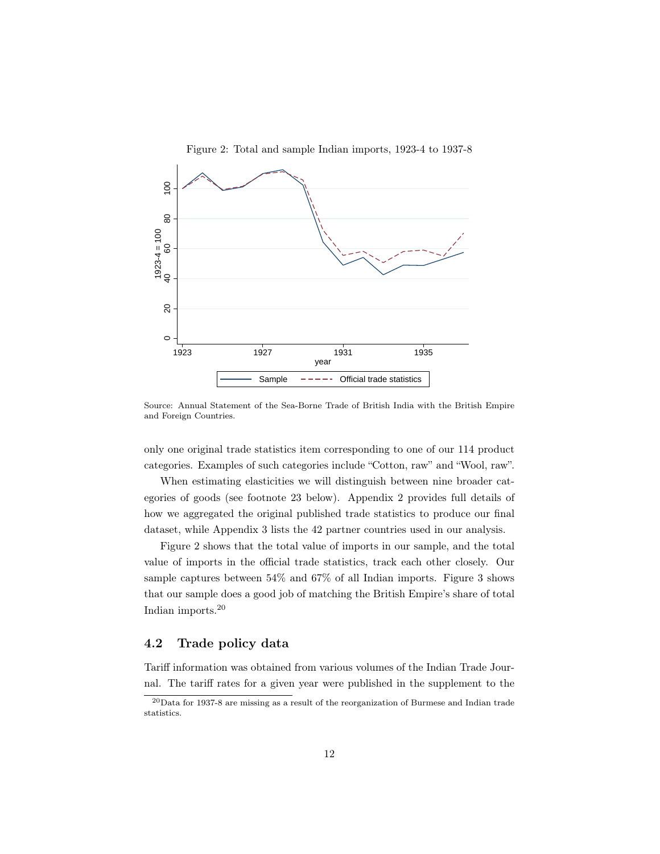

Source: Annual Statement of the Sea-Borne Trade of British India with the British Empire and Foreign Countries.

only one original trade statistics item corresponding to one of our 114 product categories. Examples of such categories include "Cotton, raw" and "Wool, raw".

When estimating elasticities we will distinguish between nine broader categories of goods (see footnote 23 below). Appendix 2 provides full details of how we aggregated the original published trade statistics to produce our final dataset, while Appendix 3 lists the 42 partner countries used in our analysis.

Figure 2 shows that the total value of imports in our sample, and the total value of imports in the official trade statistics, track each other closely. Our sample captures between 54% and 67% of all Indian imports. Figure 3 shows that our sample does a good job of matching the British Empire's share of total Indian imports.<sup>20</sup>

## 4.2 Trade policy data

Tariff information was obtained from various volumes of the Indian Trade Journal. The tariff rates for a given year were published in the supplement to the

<sup>20</sup>Data for 1937-8 are missing as a result of the reorganization of Burmese and Indian trade statistics.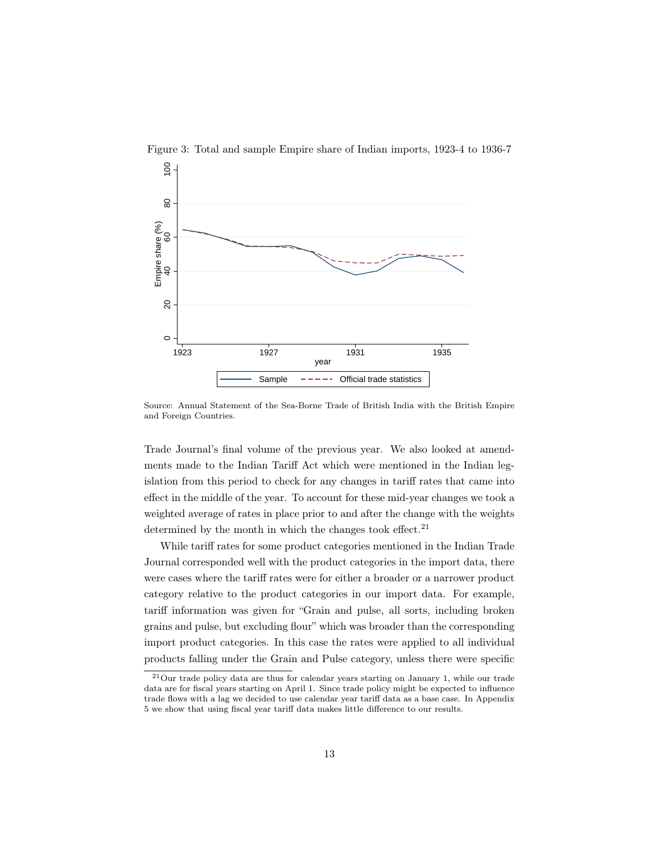

Figure 3: Total and sample Empire share of Indian imports, 1923-4 to 1936-7

Source: Annual Statement of the Sea-Borne Trade of British India with the British Empire and Foreign Countries.

Trade Journal's final volume of the previous year. We also looked at amendments made to the Indian Tariff Act which were mentioned in the Indian legislation from this period to check for any changes in tariff rates that came into effect in the middle of the year. To account for these mid-year changes we took a weighted average of rates in place prior to and after the change with the weights determined by the month in which the changes took effect.<sup>21</sup>

While tariff rates for some product categories mentioned in the Indian Trade Journal corresponded well with the product categories in the import data, there were cases where the tariff rates were for either a broader or a narrower product category relative to the product categories in our import data. For example, tariff information was given for "Grain and pulse, all sorts, including broken grains and pulse, but excluding flour" which was broader than the corresponding import product categories. In this case the rates were applied to all individual products falling under the Grain and Pulse category, unless there were specific

 $21$ Our trade policy data are thus for calendar years starting on January 1, while our trade data are for fiscal years starting on April 1. Since trade policy might be expected to influence trade flows with a lag we decided to use calendar year tariff data as a base case. In Appendix 5 we show that using fiscal year tariff data makes little difference to our results.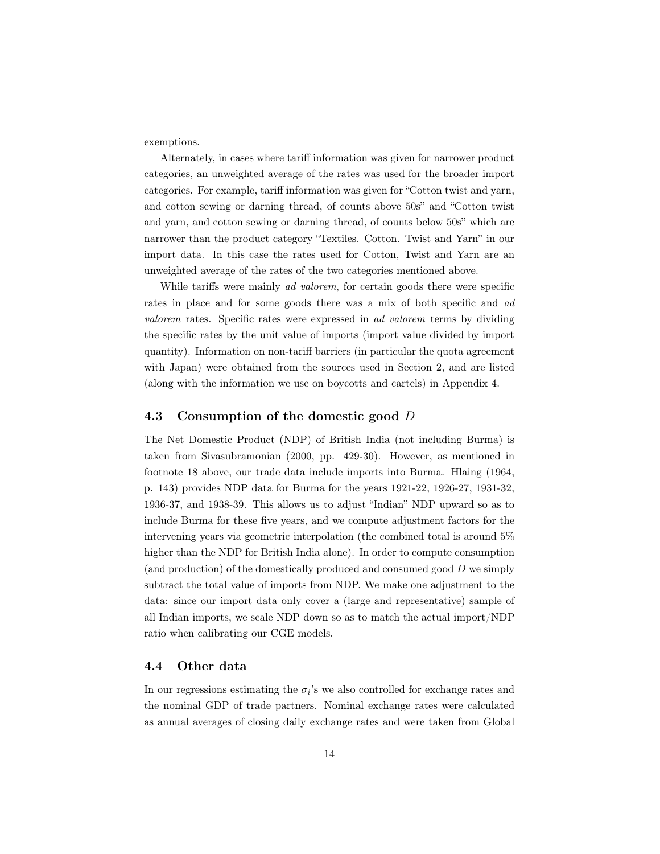exemptions.

Alternately, in cases where tariff information was given for narrower product categories, an unweighted average of the rates was used for the broader import categories. For example, tariff information was given for "Cotton twist and yarn, and cotton sewing or darning thread, of counts above 50s" and "Cotton twist and yarn, and cotton sewing or darning thread, of counts below 50s" which are narrower than the product category "Textiles. Cotton. Twist and Yarn" in our import data. In this case the rates used for Cotton, Twist and Yarn are an unweighted average of the rates of the two categories mentioned above.

While tariffs were mainly *ad valorem*, for certain goods there were specific rates in place and for some goods there was a mix of both specific and ad valorem rates. Specific rates were expressed in ad valorem terms by dividing the specific rates by the unit value of imports (import value divided by import quantity). Information on non-tariff barriers (in particular the quota agreement with Japan) were obtained from the sources used in Section 2, and are listed (along with the information we use on boycotts and cartels) in Appendix 4.

#### 4.3 Consumption of the domestic good D

The Net Domestic Product (NDP) of British India (not including Burma) is taken from Sivasubramonian (2000, pp. 429-30). However, as mentioned in footnote 18 above, our trade data include imports into Burma. Hlaing (1964, p. 143) provides NDP data for Burma for the years 1921-22, 1926-27, 1931-32, 1936-37, and 1938-39. This allows us to adjust "Indian" NDP upward so as to include Burma for these five years, and we compute adjustment factors for the intervening years via geometric interpolation (the combined total is around 5% higher than the NDP for British India alone). In order to compute consumption (and production) of the domestically produced and consumed good D we simply subtract the total value of imports from NDP. We make one adjustment to the data: since our import data only cover a (large and representative) sample of all Indian imports, we scale NDP down so as to match the actual import/NDP ratio when calibrating our CGE models.

#### 4.4 Other data

In our regressions estimating the  $\sigma_i$ 's we also controlled for exchange rates and the nominal GDP of trade partners. Nominal exchange rates were calculated as annual averages of closing daily exchange rates and were taken from Global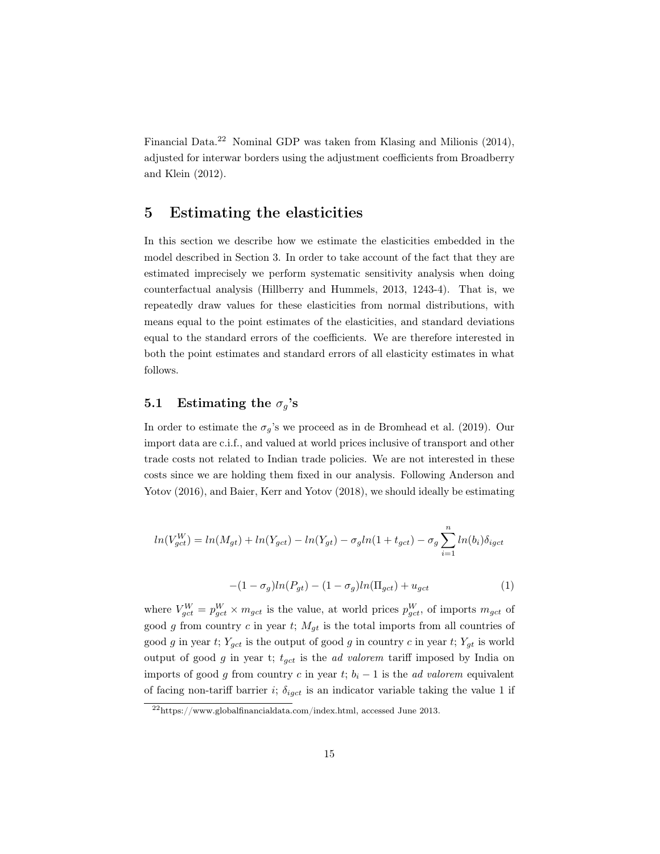Financial Data.<sup>22</sup> Nominal GDP was taken from Klasing and Milionis (2014), adjusted for interwar borders using the adjustment coefficients from Broadberry and Klein (2012).

## 5 Estimating the elasticities

In this section we describe how we estimate the elasticities embedded in the model described in Section 3. In order to take account of the fact that they are estimated imprecisely we perform systematic sensitivity analysis when doing counterfactual analysis (Hillberry and Hummels, 2013, 1243-4). That is, we repeatedly draw values for these elasticities from normal distributions, with means equal to the point estimates of the elasticities, and standard deviations equal to the standard errors of the coefficients. We are therefore interested in both the point estimates and standard errors of all elasticity estimates in what follows.

## 5.1 Estimating the  $\sigma_g$ 's

In order to estimate the  $\sigma_g$ 's we proceed as in de Bromhead et al. (2019). Our import data are c.i.f., and valued at world prices inclusive of transport and other trade costs not related to Indian trade policies. We are not interested in these costs since we are holding them fixed in our analysis. Following Anderson and Yotov (2016), and Baier, Kerr and Yotov (2018), we should ideally be estimating

$$
ln(V_{gct}^{W}) = ln(M_{gt}) + ln(Y_{gct}) - ln(Y_{gt}) - \sigma_g ln(1 + t_{gct}) - \sigma_g \sum_{i=1}^{n} ln(b_i) \delta_{igct}
$$

$$
-(1 - \sigma_g)ln(P_{gt}) - (1 - \sigma_g)ln(\Pi_{gct}) + u_{gct}
$$
\n(1)

where  $V_{gct}^W = p_{gct}^W \times m_{gct}$  is the value, at world prices  $p_{gct}^W$ , of imports  $m_{gct}$  of good g from country c in year t;  $M_{gt}$  is the total imports from all countries of good g in year t;  $Y_{gct}$  is the output of good g in country c in year t;  $Y_{gt}$  is world output of good g in year t;  $t_{gct}$  is the *ad valorem* tariff imposed by India on imports of good g from country c in year t;  $b_i - 1$  is the *ad valorem* equivalent of facing non-tariff barrier i;  $\delta_{igct}$  is an indicator variable taking the value 1 if

 $^{22}$ https://www.globalfinancialdata.com/index.html, accessed June 2013.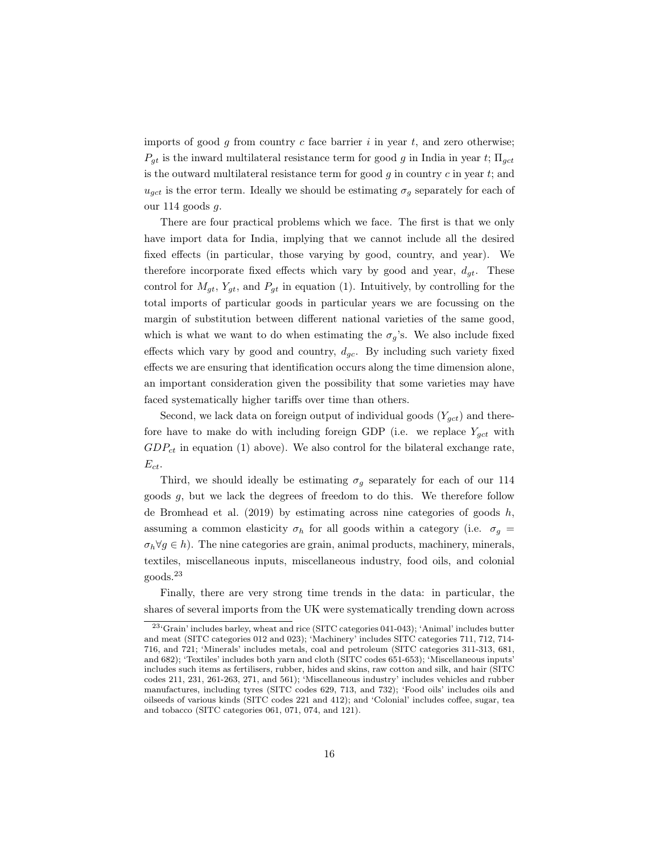imports of good  $g$  from country  $c$  face barrier  $i$  in year  $t$ , and zero otherwise;  $P_{gt}$  is the inward multilateral resistance term for good g in India in year t;  $\Pi_{get}$ is the outward multilateral resistance term for good  $g$  in country  $c$  in year  $t$ ; and  $u_{qct}$  is the error term. Ideally we should be estimating  $\sigma_q$  separately for each of our 114 goods g.

There are four practical problems which we face. The first is that we only have import data for India, implying that we cannot include all the desired fixed effects (in particular, those varying by good, country, and year). We therefore incorporate fixed effects which vary by good and year,  $d_{gt}$ . These control for  $M_{gt}$ ,  $Y_{gt}$ , and  $P_{gt}$  in equation (1). Intuitively, by controlling for the total imports of particular goods in particular years we are focussing on the margin of substitution between different national varieties of the same good, which is what we want to do when estimating the  $\sigma_q$ 's. We also include fixed effects which vary by good and country,  $d_{gc}$ . By including such variety fixed effects we are ensuring that identification occurs along the time dimension alone, an important consideration given the possibility that some varieties may have faced systematically higher tariffs over time than others.

Second, we lack data on foreign output of individual goods  $(Y_{qct})$  and therefore have to make do with including foreign GDP (i.e. we replace  $Y_{gct}$  with  $GDP_{ct}$  in equation (1) above). We also control for the bilateral exchange rate,  $E_{ct}$ .

Third, we should ideally be estimating  $\sigma_g$  separately for each of our 114 goods g, but we lack the degrees of freedom to do this. We therefore follow de Bromhead et al.  $(2019)$  by estimating across nine categories of goods h, assuming a common elasticity  $\sigma_h$  for all goods within a category (i.e.  $\sigma_g$  =  $\sigma_h \forall g \in h$ ). The nine categories are grain, animal products, machinery, minerals, textiles, miscellaneous inputs, miscellaneous industry, food oils, and colonial goods.<sup>23</sup>

Finally, there are very strong time trends in the data: in particular, the shares of several imports from the UK were systematically trending down across

<sup>23</sup>'Grain' includes barley, wheat and rice (SITC categories 041-043); 'Animal' includes butter and meat (SITC categories 012 and 023); 'Machinery' includes SITC categories 711, 712, 714- 716, and 721; 'Minerals' includes metals, coal and petroleum (SITC categories 311-313, 681, and 682); 'Textiles' includes both yarn and cloth (SITC codes 651-653); 'Miscellaneous inputs' includes such items as fertilisers, rubber, hides and skins, raw cotton and silk, and hair (SITC codes 211, 231, 261-263, 271, and 561); 'Miscellaneous industry' includes vehicles and rubber manufactures, including tyres (SITC codes 629, 713, and 732); 'Food oils' includes oils and oilseeds of various kinds (SITC codes 221 and 412); and 'Colonial' includes coffee, sugar, tea and tobacco (SITC categories 061, 071, 074, and 121).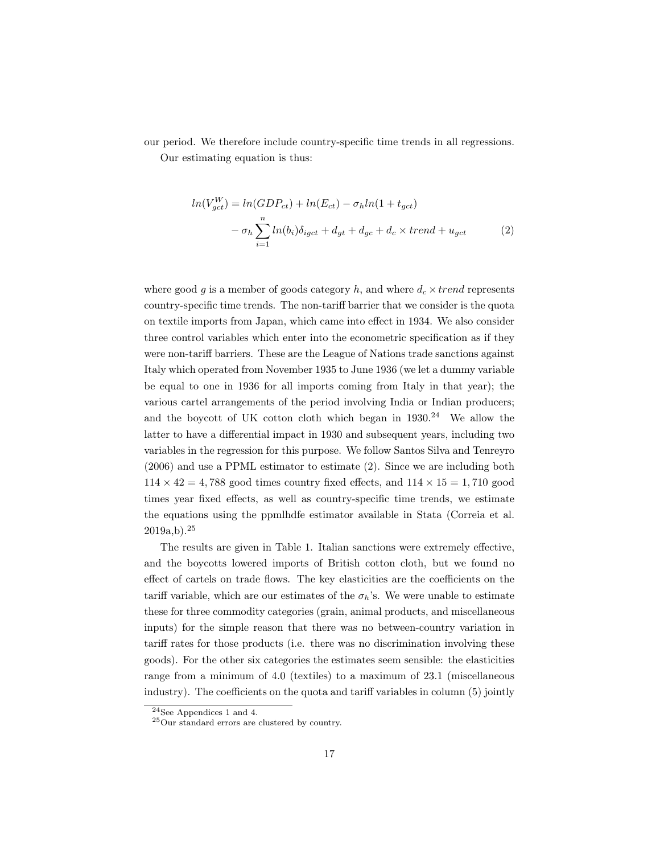our period. We therefore include country-specific time trends in all regressions. Our estimating equation is thus:

> $ln(V_{gct}^W) = ln(GDP_{ct}) + ln(E_{ct}) - \sigma_h ln(1 + t_{gct})$  $-\sigma_h \sum_{n=1}^n$  $i=1$  $ln(b_i)\delta_{igct} + d_{gt} + d_{gc} + d_c \times trend + u_{gct}$  (2)

where good g is a member of goods category h, and where  $d_c \times trend$  represents country-specific time trends. The non-tariff barrier that we consider is the quota on textile imports from Japan, which came into effect in 1934. We also consider three control variables which enter into the econometric specification as if they were non-tariff barriers. These are the League of Nations trade sanctions against Italy which operated from November 1935 to June 1936 (we let a dummy variable be equal to one in 1936 for all imports coming from Italy in that year); the various cartel arrangements of the period involving India or Indian producers; and the boycott of UK cotton cloth which began in  $1930.<sup>24</sup>$  We allow the latter to have a differential impact in 1930 and subsequent years, including two variables in the regression for this purpose. We follow Santos Silva and Tenreyro (2006) and use a PPML estimator to estimate (2). Since we are including both  $114 \times 42 = 4,788$  good times country fixed effects, and  $114 \times 15 = 1,710$  good times year fixed effects, as well as country-specific time trends, we estimate the equations using the ppmlhdfe estimator available in Stata (Correia et al.  $2019a,b$ ).<sup>25</sup>

The results are given in Table 1. Italian sanctions were extremely effective, and the boycotts lowered imports of British cotton cloth, but we found no effect of cartels on trade flows. The key elasticities are the coefficients on the tariff variable, which are our estimates of the  $\sigma_h$ 's. We were unable to estimate these for three commodity categories (grain, animal products, and miscellaneous inputs) for the simple reason that there was no between-country variation in tariff rates for those products (i.e. there was no discrimination involving these goods). For the other six categories the estimates seem sensible: the elasticities range from a minimum of 4.0 (textiles) to a maximum of 23.1 (miscellaneous industry). The coefficients on the quota and tariff variables in column (5) jointly

 $24$ See Appendices 1 and 4.

<sup>25</sup>Our standard errors are clustered by country.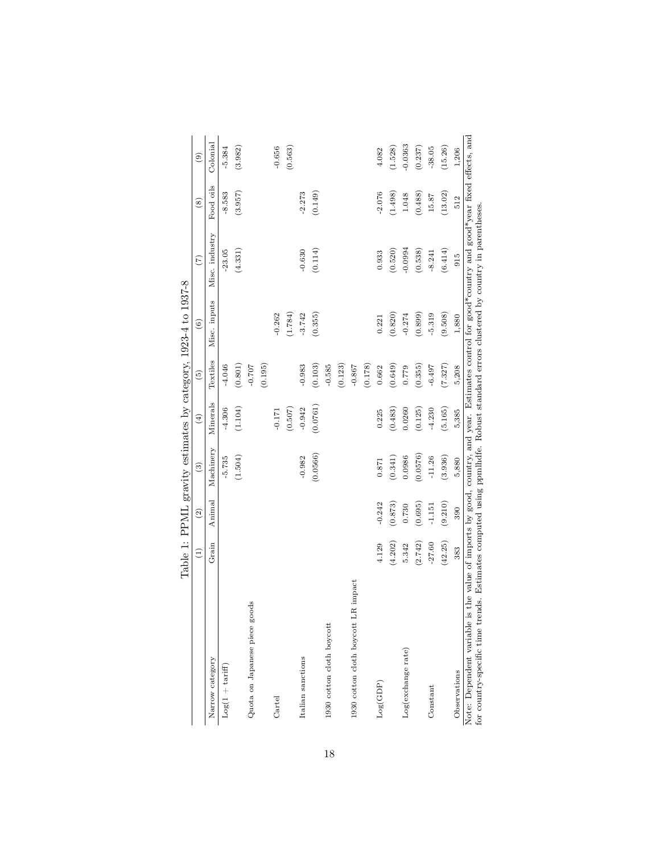|                                                                                                                                                              | $\widehat{\Xi}$        | $\widehat{c}$ | $\binom{3}{2}$ | $\left( \pm \right)$ | $\widehat{5}$ | $\widehat{\circ}$ | (7)                                                                                                                     | $\circled{s}$ | $\circledcirc$ |
|--------------------------------------------------------------------------------------------------------------------------------------------------------------|------------------------|---------------|----------------|----------------------|---------------|-------------------|-------------------------------------------------------------------------------------------------------------------------|---------------|----------------|
| Narrow category                                                                                                                                              | $\operatorname{Grain}$ | Animal        | Machinery      | Minerals             | Textiles      | Misc. inputs      | Misc. industry                                                                                                          | Food oils     | Colonial       |
| $Log(1 + tariff)$                                                                                                                                            |                        |               | $-5.735$       | $-4.306$             | $-4.046$      |                   | $-23.05$                                                                                                                | $-8.583$      | $-5.384$       |
|                                                                                                                                                              |                        |               | (1.504)        | (1.104)              | (0.801)       |                   | (4.331)                                                                                                                 | (3.957)       | (3.982)        |
| Quota on Japanese piece goods                                                                                                                                |                        |               |                |                      | $-0.707$      |                   |                                                                                                                         |               |                |
|                                                                                                                                                              |                        |               |                |                      | (0.195)       |                   |                                                                                                                         |               |                |
| Cartel                                                                                                                                                       |                        |               |                | $-0.171$             |               | $-0.262$          |                                                                                                                         |               | $-0.656$       |
|                                                                                                                                                              |                        |               |                | (0.507)              |               | (1.784)           |                                                                                                                         |               | (0.563)        |
| Italian sanctions                                                                                                                                            |                        |               | $-0.982$       | $-0.942$             | $-0.983$      | $-3.742$          | $-0.630$                                                                                                                | $-2.273$      |                |
|                                                                                                                                                              |                        |               | (0.0566)       | (0.0761)             | (0.103)       | (0.355)           | (0.114)                                                                                                                 | (0.149)       |                |
| 1930 cotton cloth boycott                                                                                                                                    |                        |               |                |                      | $-0.585$      |                   |                                                                                                                         |               |                |
|                                                                                                                                                              |                        |               |                |                      | (0.123)       |                   |                                                                                                                         |               |                |
| LR impact<br>1930 cotton cloth boycott                                                                                                                       |                        |               |                |                      | $-0.867$      |                   |                                                                                                                         |               |                |
|                                                                                                                                                              |                        |               |                |                      | (0.178)       |                   |                                                                                                                         |               |                |
| Log(GDP)                                                                                                                                                     | 4.129                  | $-0.242$      | 0.871          | 0.225                | 0.662         | 0.221             | 0.933                                                                                                                   | $-2.076$      | 4.082          |
|                                                                                                                                                              | (4.202)                | (0.873)       | (0.341)        | (0.483)              | (0.649)       | (0.820)           | (0.520)                                                                                                                 | (1.498)       | (1.528)        |
| Log(exchange rate)                                                                                                                                           | 5.342                  | 0.730         | 0.0986         | 0.0260               | 0.779         | $-0.274$          | $-0.0994$                                                                                                               | 1.048         | $-0.0363$      |
|                                                                                                                                                              | (2.742)                | (0.695)       | (0.0576)       | (0.125)              | (0.355)       | (0.899)           | (0.538)                                                                                                                 | (0.488)       | (0.237)        |
| Constant                                                                                                                                                     | $-27.60$               | $-1.151$      | $-11.26$       | $-4.230$             | $-6.497$      | $-5.319$          | $-8.241$                                                                                                                | 15.87         | $-38.05$       |
|                                                                                                                                                              | (42.25)                | (9.210)       | (3.936)        | (5.165)              | (7.327)       | (9.508)           | (6.414)                                                                                                                 | (13.02)       | (15.26)        |
| Observations                                                                                                                                                 | 383                    | 390           | 5,880          | 5,385                | 5,208         | 1,880             | 915                                                                                                                     | 512           | 1,206          |
| for country-specific time trends. Estimates computed using ppmlhdfe. Robust standard errors clustered by country in parentheses.<br>Note: Dependent variable |                        |               |                |                      |               |                   | is the value of imports by good, country, and year. Estimates control for good*country and good*year fixed effects, and |               |                |

Table 1: PPML gravity estimates by category, 1923-4 to 1937-8 Table 1: PPML gravity estimates by category, 1923-4 to 1937-8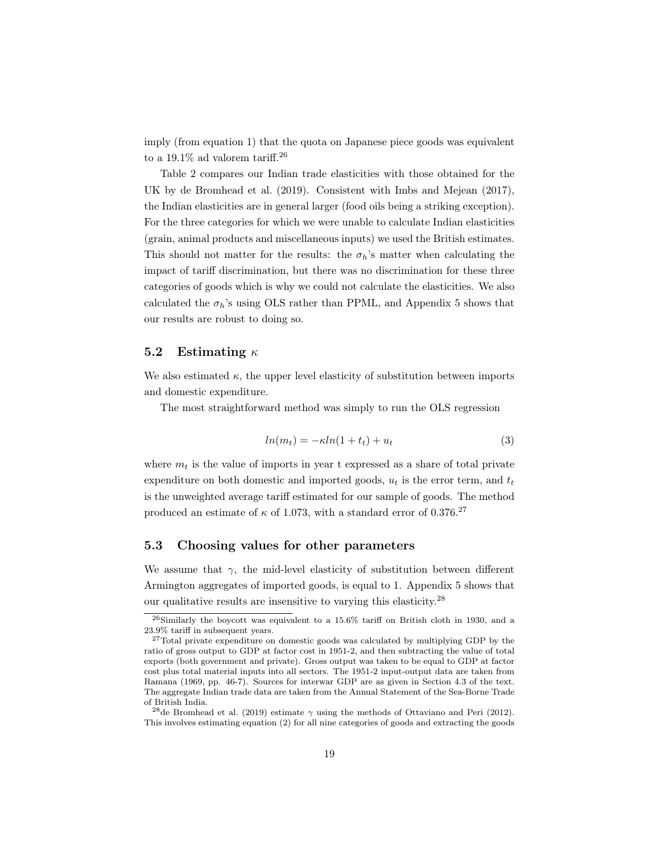imply (from equation 1) that the quota on Japanese piece goods was equivalent to a 19.1% ad valorem tariff.<sup>26</sup>

Table 2 compares our Indian trade elasticities with those obtained for the UK by de Bromhead et al. (2019). Consistent with Imbs and Mejean (2017), the Indian elasticities are in general larger (food oils being a striking exception). For the three categories for which we were unable to calculate Indian elasticities (grain, animal products and miscellaneous inputs) we used the British estimates. This should not matter for the results: the  $\sigma_h$ 's matter when calculating the impact of tariff discrimination, but there was no discrimination for these three categories of goods which is why we could not calculate the elasticities. We also calculated the  $\sigma_h$ 's using OLS rather than PPML, and Appendix 5 shows that our results are robust to doing so.

#### 5.2 Estimating  $\kappa$

We also estimated  $\kappa$ , the upper level elasticity of substitution between imports and domestic expenditure.

The most straightforward method was simply to run the OLS regression

$$
ln(m_t) = -\kappa ln(1 + t_t) + u_t \tag{3}
$$

where  $m_t$  is the value of imports in year t expressed as a share of total private expenditure on both domestic and imported goods,  $u_t$  is the error term, and  $t_t$ is the unweighted average tariff estimated for our sample of goods. The method produced an estimate of  $\kappa$  of 1.073, with a standard error of 0.376.<sup>27</sup>

#### 5.3 Choosing values for other parameters

We assume that  $\gamma$ , the mid-level elasticity of substitution between different Armington aggregates of imported goods, is equal to 1. Appendix 5 shows that our qualitative results are insensitive to varying this elasticity.<sup>28</sup>

<sup>26</sup>Similarly the boycott was equivalent to a 15.6% tariff on British cloth in 1930, and a 23.9% tariff in subsequent years.

<sup>27</sup>Total private expenditure on domestic goods was calculated by multiplying GDP by the ratio of gross output to GDP at factor cost in 1951-2, and then subtracting the value of total exports (both government and private). Gross output was taken to be equal to GDP at factor cost plus total material inputs into all sectors. The 1951-2 input-output data are taken from Ramana (1969, pp. 46-7). Sources for interwar GDP are as given in Section 4.3 of the text. The aggregate Indian trade data are taken from the Annual Statement of the Sea-Borne Trade of British India.

<sup>&</sup>lt;sup>28</sup>de Bromhead et al. (2019) estimate  $\gamma$  using the methods of Ottaviano and Peri (2012). This involves estimating equation (2) for all nine categories of goods and extracting the goods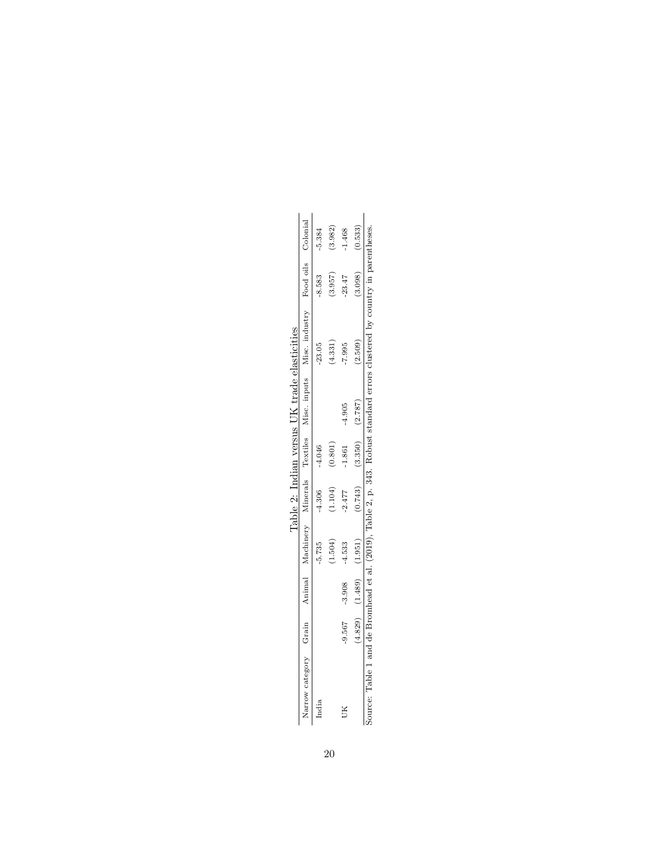|                |          |         |       | ane z: Indian |          | ira∩€   |                                                                                                                       |                    |       |
|----------------|----------|---------|-------|---------------|----------|---------|-----------------------------------------------------------------------------------------------------------------------|--------------------|-------|
| arrow category | Grain    |         |       |               |          |         | Animal Machinery Minerals Textiles Misc inputs Misc industry                                                          | Food oils Colonial |       |
| ndia           |          |         | 5.735 | 4.306         | 4.046    |         | 23.05                                                                                                                 | 8.583              | 5.384 |
|                |          |         |       | 1.104)        | 0.801    |         | 4.331                                                                                                                 | 3.957              | ,982  |
| JК             | $-9.567$ | 3.908   | 4.533 | $-2.477$      | $-1.861$ | 4.905   | 7.995                                                                                                                 | 23.47              | 1.468 |
|                | 4.829)   | (1.489) | 1.951 | 0.743)        | (3.350)  | (2.787) | 2.509                                                                                                                 | 3.098              | ,533) |
|                |          |         |       |               |          |         | Source: Table 1 and de Bromhead et al. (2019), Table 2, p. 343. Robust standard errors clustered by country in parent |                    |       |

Table 2: Indian versus UK trade elasticities  $\Pi$ K trade elasticities Table 2: India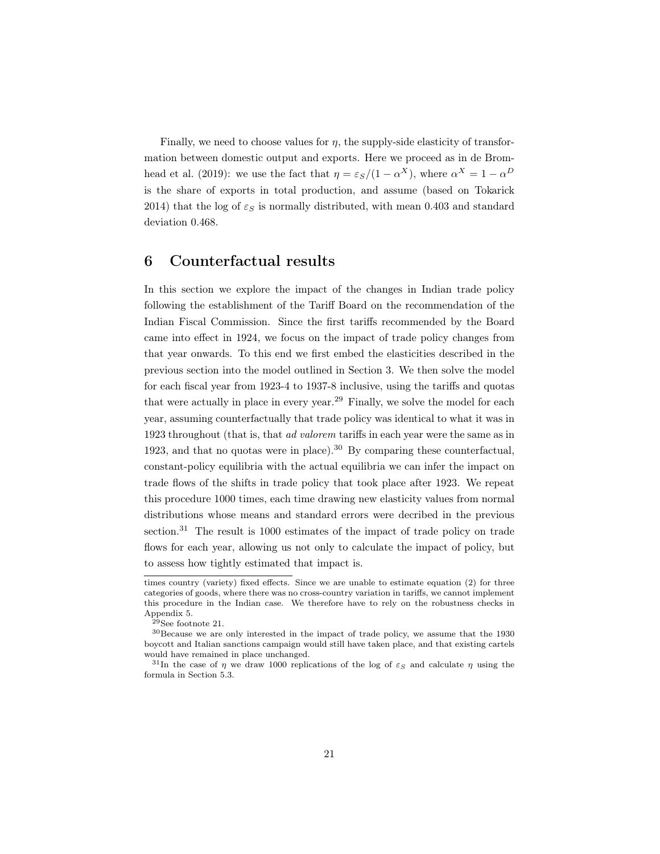Finally, we need to choose values for  $\eta$ , the supply-side elasticity of transformation between domestic output and exports. Here we proceed as in de Bromhead et al. (2019): we use the fact that  $\eta = \varepsilon_S/(1 - \alpha^X)$ , where  $\alpha^X = 1 - \alpha^D$ is the share of exports in total production, and assume (based on Tokarick 2014) that the log of  $\varepsilon_S$  is normally distributed, with mean 0.403 and standard deviation 0.468.

## 6 Counterfactual results

In this section we explore the impact of the changes in Indian trade policy following the establishment of the Tariff Board on the recommendation of the Indian Fiscal Commission. Since the first tariffs recommended by the Board came into effect in 1924, we focus on the impact of trade policy changes from that year onwards. To this end we first embed the elasticities described in the previous section into the model outlined in Section 3. We then solve the model for each fiscal year from 1923-4 to 1937-8 inclusive, using the tariffs and quotas that were actually in place in every year.<sup>29</sup> Finally, we solve the model for each year, assuming counterfactually that trade policy was identical to what it was in 1923 throughout (that is, that *ad valorem* tariffs in each year were the same as in 1923, and that no quotas were in place).<sup>30</sup> By comparing these counterfactual, constant-policy equilibria with the actual equilibria we can infer the impact on trade flows of the shifts in trade policy that took place after 1923. We repeat this procedure 1000 times, each time drawing new elasticity values from normal distributions whose means and standard errors were decribed in the previous section.<sup>31</sup> The result is 1000 estimates of the impact of trade policy on trade flows for each year, allowing us not only to calculate the impact of policy, but to assess how tightly estimated that impact is.

times country (variety) fixed effects. Since we are unable to estimate equation (2) for three categories of goods, where there was no cross-country variation in tariffs, we cannot implement this procedure in the Indian case. We therefore have to rely on the robustness checks in Appendix 5.

 $^{29}\mathrm{See}$  footnote 21.

 $^{30}\rm{Because}$  we are only interested in the impact of trade policy, we assume that the 1930 boycott and Italian sanctions campaign would still have taken place, and that existing cartels would have remained in place unchanged.

<sup>&</sup>lt;sup>31</sup>In the case of  $\eta$  we draw 1000 replications of the log of  $\varepsilon_S$  and calculate  $\eta$  using the formula in Section 5.3.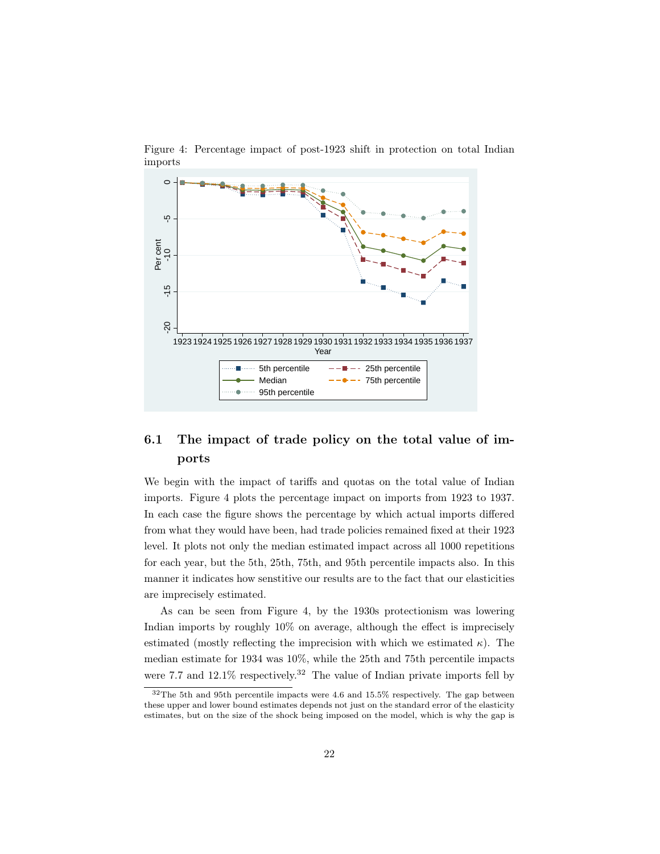

Figure 4: Percentage impact of post-1923 shift in protection on total Indian imports

# 6.1 The impact of trade policy on the total value of imports

We begin with the impact of tariffs and quotas on the total value of Indian imports. Figure 4 plots the percentage impact on imports from 1923 to 1937. In each case the figure shows the percentage by which actual imports differed from what they would have been, had trade policies remained fixed at their 1923 level. It plots not only the median estimated impact across all 1000 repetitions for each year, but the 5th, 25th, 75th, and 95th percentile impacts also. In this manner it indicates how senstitive our results are to the fact that our elasticities are imprecisely estimated.

As can be seen from Figure 4, by the 1930s protectionism was lowering Indian imports by roughly 10% on average, although the effect is imprecisely estimated (mostly reflecting the imprecision with which we estimated  $\kappa$ ). The median estimate for 1934 was 10%, while the 25th and 75th percentile impacts were 7.7 and  $12.1\%$  respectively.<sup>32</sup> The value of Indian private imports fell by

<sup>32</sup>The 5th and 95th percentile impacts were 4.6 and 15.5% respectively. The gap between these upper and lower bound estimates depends not just on the standard error of the elasticity estimates, but on the size of the shock being imposed on the model, which is why the gap is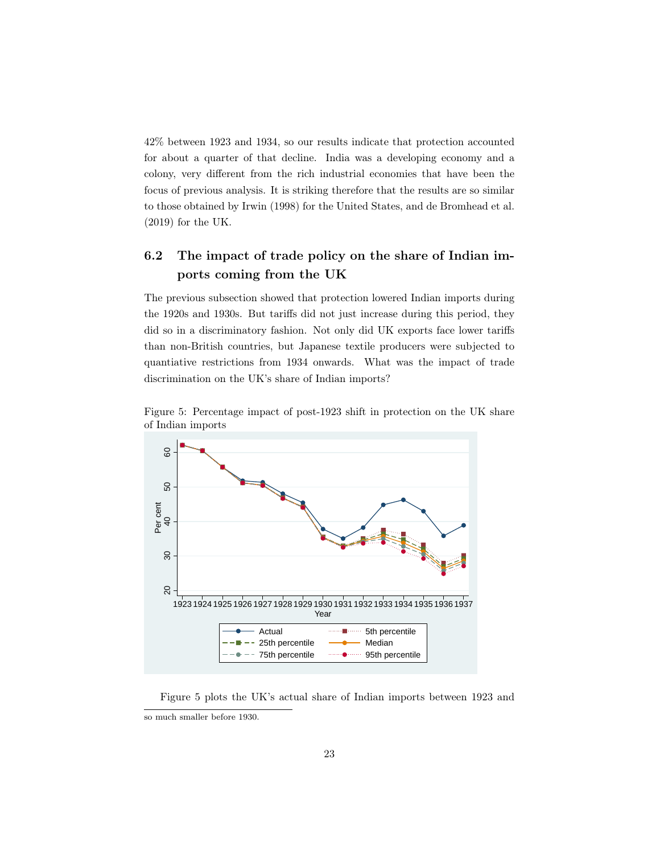42% between 1923 and 1934, so our results indicate that protection accounted for about a quarter of that decline. India was a developing economy and a colony, very different from the rich industrial economies that have been the focus of previous analysis. It is striking therefore that the results are so similar to those obtained by Irwin (1998) for the United States, and de Bromhead et al. (2019) for the UK.

# 6.2 The impact of trade policy on the share of Indian imports coming from the UK

The previous subsection showed that protection lowered Indian imports during the 1920s and 1930s. But tariffs did not just increase during this period, they did so in a discriminatory fashion. Not only did UK exports face lower tariffs than non-British countries, but Japanese textile producers were subjected to quantiative restrictions from 1934 onwards. What was the impact of trade discrimination on the UK's share of Indian imports?



Figure 5: Percentage impact of post-1923 shift in protection on the UK share of Indian imports

Figure 5 plots the UK's actual share of Indian imports between 1923 and so much smaller before 1930.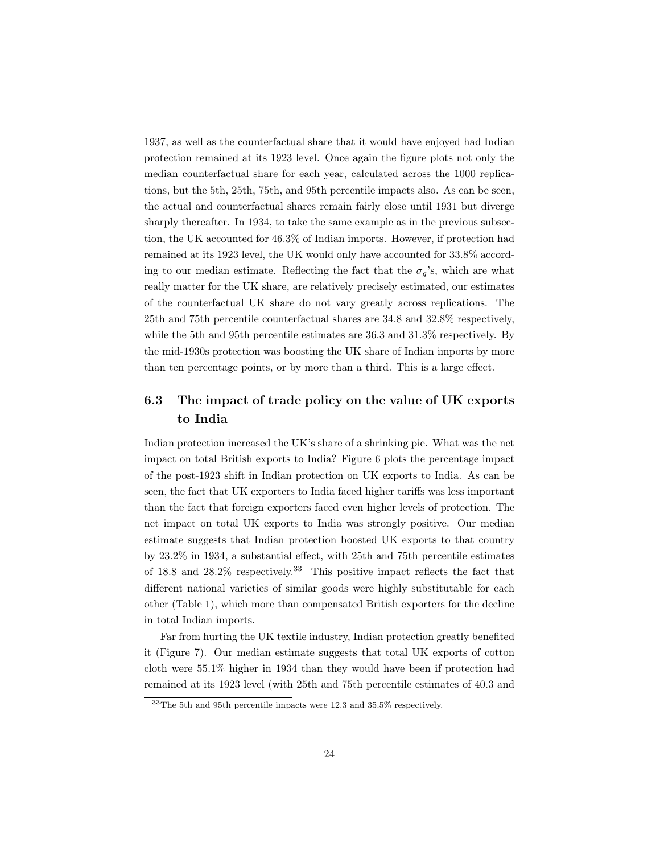1937, as well as the counterfactual share that it would have enjoyed had Indian protection remained at its 1923 level. Once again the figure plots not only the median counterfactual share for each year, calculated across the 1000 replications, but the 5th, 25th, 75th, and 95th percentile impacts also. As can be seen, the actual and counterfactual shares remain fairly close until 1931 but diverge sharply thereafter. In 1934, to take the same example as in the previous subsection, the UK accounted for 46.3% of Indian imports. However, if protection had remained at its 1923 level, the UK would only have accounted for 33.8% according to our median estimate. Reflecting the fact that the  $\sigma_g$ 's, which are what really matter for the UK share, are relatively precisely estimated, our estimates of the counterfactual UK share do not vary greatly across replications. The 25th and 75th percentile counterfactual shares are 34.8 and 32.8% respectively, while the 5th and 95th percentile estimates are 36.3 and 31.3% respectively. By the mid-1930s protection was boosting the UK share of Indian imports by more than ten percentage points, or by more than a third. This is a large effect.

# 6.3 The impact of trade policy on the value of UK exports to India

Indian protection increased the UK's share of a shrinking pie. What was the net impact on total British exports to India? Figure 6 plots the percentage impact of the post-1923 shift in Indian protection on UK exports to India. As can be seen, the fact that UK exporters to India faced higher tariffs was less important than the fact that foreign exporters faced even higher levels of protection. The net impact on total UK exports to India was strongly positive. Our median estimate suggests that Indian protection boosted UK exports to that country by 23.2% in 1934, a substantial effect, with 25th and 75th percentile estimates of 18.8 and  $28.2\%$  respectively.<sup>33</sup> This positive impact reflects the fact that different national varieties of similar goods were highly substitutable for each other (Table 1), which more than compensated British exporters for the decline in total Indian imports.

Far from hurting the UK textile industry, Indian protection greatly benefited it (Figure 7). Our median estimate suggests that total UK exports of cotton cloth were 55.1% higher in 1934 than they would have been if protection had remained at its 1923 level (with 25th and 75th percentile estimates of 40.3 and

<sup>33</sup>The 5th and 95th percentile impacts were 12.3 and 35.5% respectively.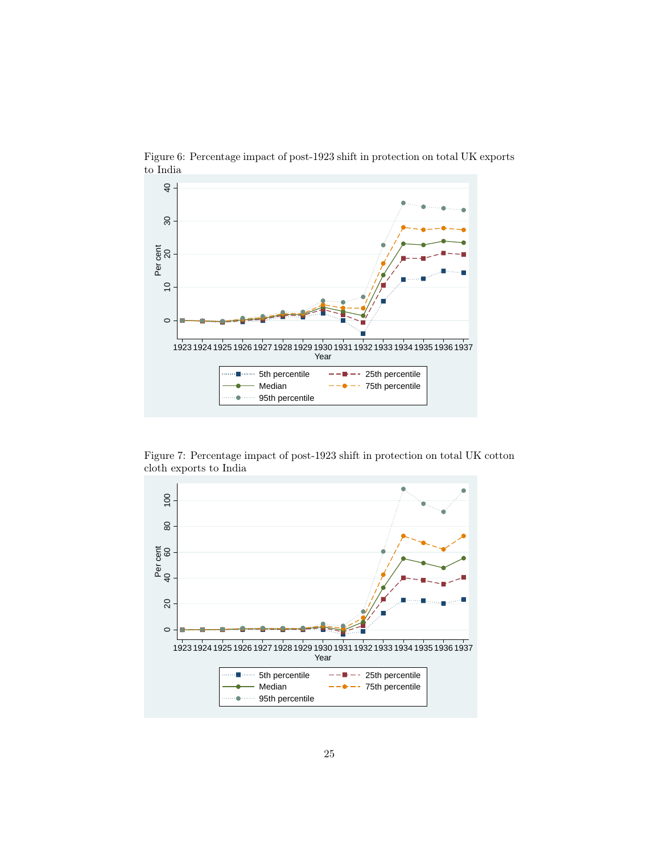

Figure 6: Percentage impact of post-1923 shift in protection on total UK exports to India

Figure 7: Percentage impact of post-1923 shift in protection on total UK cotton cloth exports to India

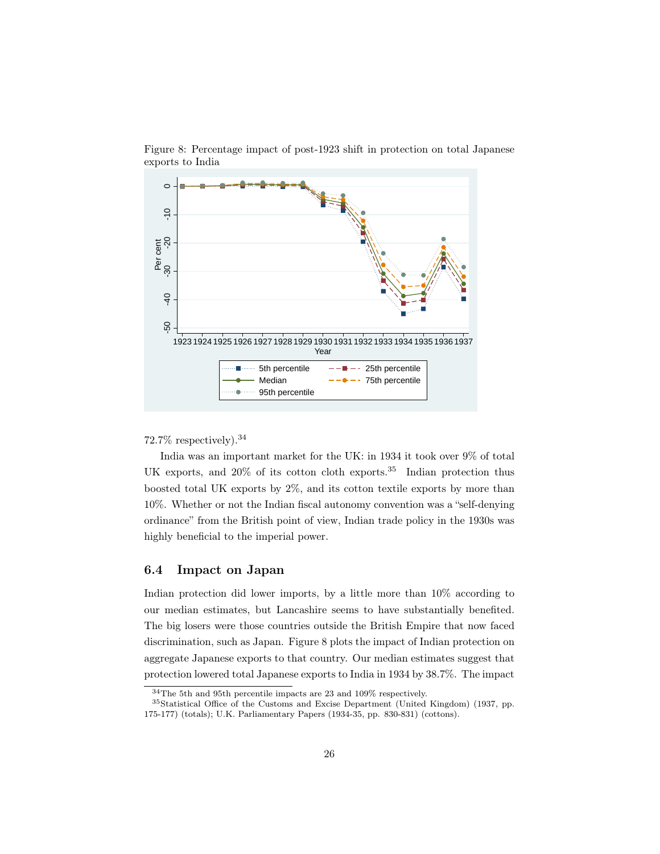

Figure 8: Percentage impact of post-1923 shift in protection on total Japanese exports to India

#### 72.7% respectively).<sup>34</sup>

India was an important market for the UK: in 1934 it took over 9% of total UK exports, and  $20\%$  of its cotton cloth exports.<sup>35</sup> Indian protection thus boosted total UK exports by 2%, and its cotton textile exports by more than 10%. Whether or not the Indian fiscal autonomy convention was a "self-denying ordinance" from the British point of view, Indian trade policy in the 1930s was highly beneficial to the imperial power.

#### 6.4 Impact on Japan

Indian protection did lower imports, by a little more than 10% according to our median estimates, but Lancashire seems to have substantially benefited. The big losers were those countries outside the British Empire that now faced discrimination, such as Japan. Figure 8 plots the impact of Indian protection on aggregate Japanese exports to that country. Our median estimates suggest that protection lowered total Japanese exports to India in 1934 by 38.7%. The impact

<sup>34</sup>The 5th and 95th percentile impacts are 23 and 109% respectively.

<sup>35</sup>Statistical Office of the Customs and Excise Department (United Kingdom) (1937, pp. 175-177) (totals); U.K. Parliamentary Papers (1934-35, pp. 830-831) (cottons).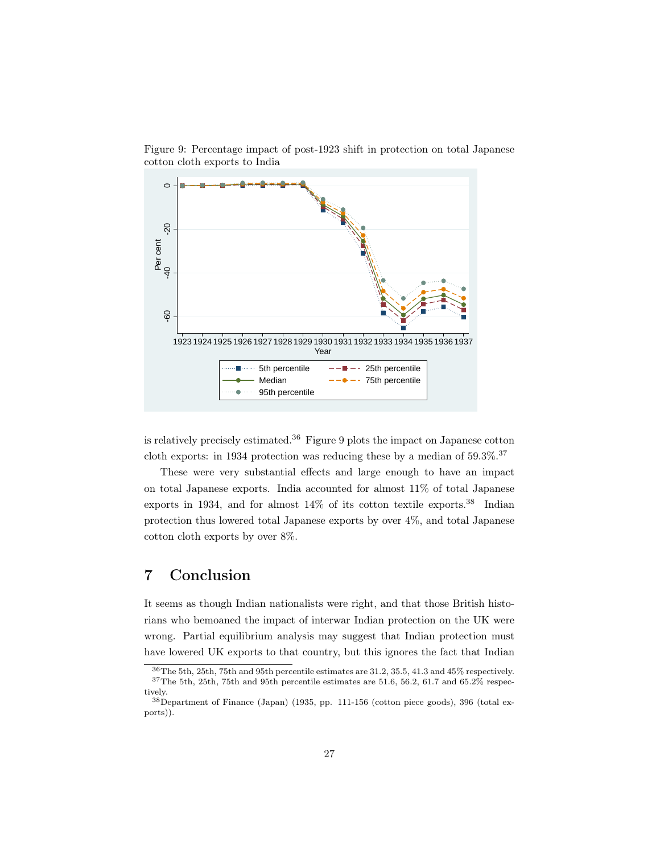

Figure 9: Percentage impact of post-1923 shift in protection on total Japanese cotton cloth exports to India

is relatively precisely estimated.<sup>36</sup> Figure 9 plots the impact on Japanese cotton cloth exports: in 1934 protection was reducing these by a median of  $59.3\%$ .<sup>37</sup>

These were very substantial effects and large enough to have an impact on total Japanese exports. India accounted for almost 11% of total Japanese exports in 1934, and for almost  $14\%$  of its cotton textile exports.<sup>38</sup> Indian protection thus lowered total Japanese exports by over 4%, and total Japanese cotton cloth exports by over 8%.

# 7 Conclusion

It seems as though Indian nationalists were right, and that those British historians who bemoaned the impact of interwar Indian protection on the UK were wrong. Partial equilibrium analysis may suggest that Indian protection must have lowered UK exports to that country, but this ignores the fact that Indian

<sup>36</sup>The 5th, 25th, 75th and 95th percentile estimates are 31.2, 35.5, 41.3 and 45% respectively.  $^{37}\mathrm{The}$  5th, 75th and 95th percentile estimates are 51.6, 56.2, 61.7 and 65.2% respectively.

<sup>38</sup>Department of Finance (Japan) (1935, pp. 111-156 (cotton piece goods), 396 (total exports)).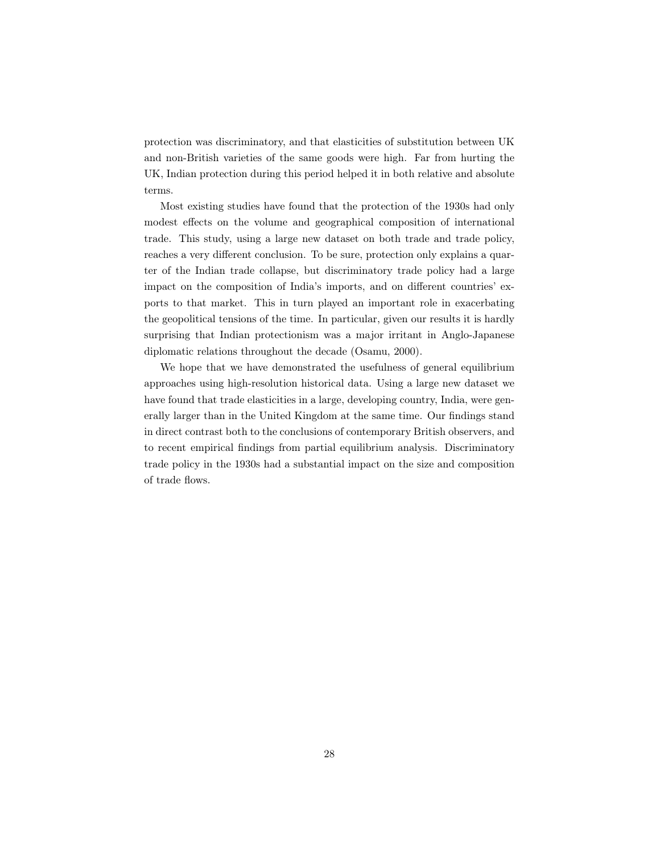protection was discriminatory, and that elasticities of substitution between UK and non-British varieties of the same goods were high. Far from hurting the UK, Indian protection during this period helped it in both relative and absolute terms.

Most existing studies have found that the protection of the 1930s had only modest effects on the volume and geographical composition of international trade. This study, using a large new dataset on both trade and trade policy, reaches a very different conclusion. To be sure, protection only explains a quarter of the Indian trade collapse, but discriminatory trade policy had a large impact on the composition of India's imports, and on different countries' exports to that market. This in turn played an important role in exacerbating the geopolitical tensions of the time. In particular, given our results it is hardly surprising that Indian protectionism was a major irritant in Anglo-Japanese diplomatic relations throughout the decade (Osamu, 2000).

We hope that we have demonstrated the usefulness of general equilibrium approaches using high-resolution historical data. Using a large new dataset we have found that trade elasticities in a large, developing country, India, were generally larger than in the United Kingdom at the same time. Our findings stand in direct contrast both to the conclusions of contemporary British observers, and to recent empirical findings from partial equilibrium analysis. Discriminatory trade policy in the 1930s had a substantial impact on the size and composition of trade flows.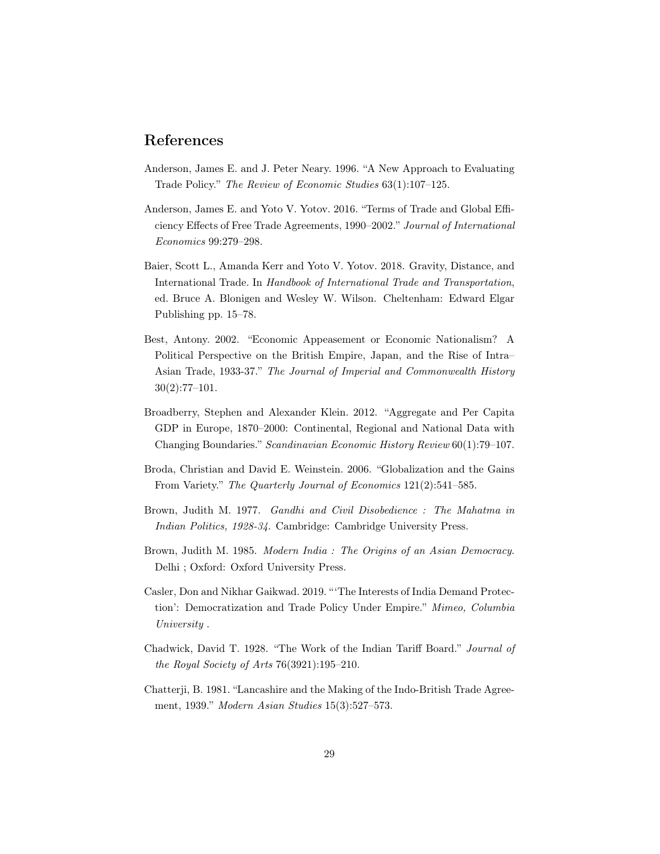# References

- Anderson, James E. and J. Peter Neary. 1996. "A New Approach to Evaluating Trade Policy." The Review of Economic Studies 63(1):107–125.
- Anderson, James E. and Yoto V. Yotov. 2016. "Terms of Trade and Global Efficiency Effects of Free Trade Agreements, 1990–2002." Journal of International Economics 99:279–298.
- Baier, Scott L., Amanda Kerr and Yoto V. Yotov. 2018. Gravity, Distance, and International Trade. In Handbook of International Trade and Transportation, ed. Bruce A. Blonigen and Wesley W. Wilson. Cheltenham: Edward Elgar Publishing pp. 15–78.
- Best, Antony. 2002. "Economic Appeasement or Economic Nationalism? A Political Perspective on the British Empire, Japan, and the Rise of Intra– Asian Trade, 1933-37." The Journal of Imperial and Commonwealth History  $30(2):77-101.$
- Broadberry, Stephen and Alexander Klein. 2012. "Aggregate and Per Capita GDP in Europe, 1870–2000: Continental, Regional and National Data with Changing Boundaries." Scandinavian Economic History Review 60(1):79–107.
- Broda, Christian and David E. Weinstein. 2006. "Globalization and the Gains From Variety." The Quarterly Journal of Economics 121(2):541–585.
- Brown, Judith M. 1977. Gandhi and Civil Disobedience : The Mahatma in Indian Politics, 1928-34. Cambridge: Cambridge University Press.
- Brown, Judith M. 1985. Modern India : The Origins of an Asian Democracy. Delhi ; Oxford: Oxford University Press.
- Casler, Don and Nikhar Gaikwad. 2019. "'The Interests of India Demand Protection': Democratization and Trade Policy Under Empire." Mimeo, Columbia University .
- Chadwick, David T. 1928. "The Work of the Indian Tariff Board." Journal of the Royal Society of Arts 76(3921):195–210.
- Chatterji, B. 1981. "Lancashire and the Making of the Indo-British Trade Agreement, 1939." Modern Asian Studies 15(3):527–573.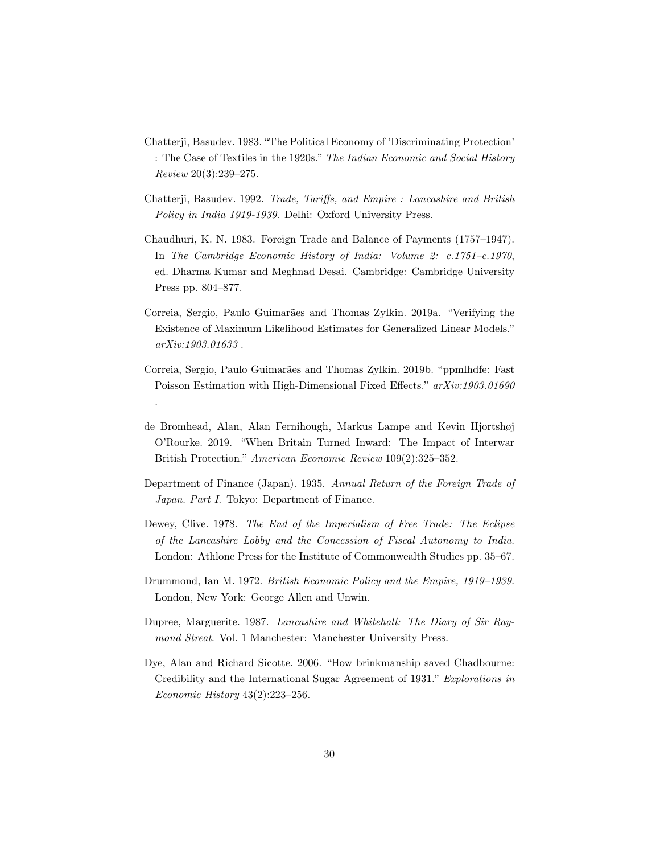- Chatterji, Basudev. 1983. "The Political Economy of 'Discriminating Protection' : The Case of Textiles in the 1920s." The Indian Economic and Social History Review 20(3):239–275.
- Chatterji, Basudev. 1992. Trade, Tariffs, and Empire : Lancashire and British Policy in India 1919-1939. Delhi: Oxford University Press.
- Chaudhuri, K. N. 1983. Foreign Trade and Balance of Payments (1757–1947). In The Cambridge Economic History of India: Volume 2: c.1751–c.1970, ed. Dharma Kumar and Meghnad Desai. Cambridge: Cambridge University Press pp. 804–877.
- Correia, Sergio, Paulo Guimarães and Thomas Zylkin. 2019a. "Verifying the Existence of Maximum Likelihood Estimates for Generalized Linear Models." arXiv:1903.01633 .
- Correia, Sergio, Paulo Guimarães and Thomas Zylkin. 2019b. "ppmlhdfe: Fast Poisson Estimation with High-Dimensional Fixed Effects." arXiv:1903.01690 .
- de Bromhead, Alan, Alan Fernihough, Markus Lampe and Kevin Hjortshøj O'Rourke. 2019. "When Britain Turned Inward: The Impact of Interwar British Protection." American Economic Review 109(2):325–352.
- Department of Finance (Japan). 1935. Annual Return of the Foreign Trade of Japan. Part I. Tokyo: Department of Finance.
- Dewey, Clive. 1978. The End of the Imperialism of Free Trade: The Eclipse of the Lancashire Lobby and the Concession of Fiscal Autonomy to India. London: Athlone Press for the Institute of Commonwealth Studies pp. 35–67.
- Drummond, Ian M. 1972. British Economic Policy and the Empire, 1919–1939. London, New York: George Allen and Unwin.
- Dupree, Marguerite. 1987. Lancashire and Whitehall: The Diary of Sir Raymond Streat. Vol. 1 Manchester: Manchester University Press.
- Dye, Alan and Richard Sicotte. 2006. "How brinkmanship saved Chadbourne: Credibility and the International Sugar Agreement of 1931." Explorations in Economic History 43(2):223–256.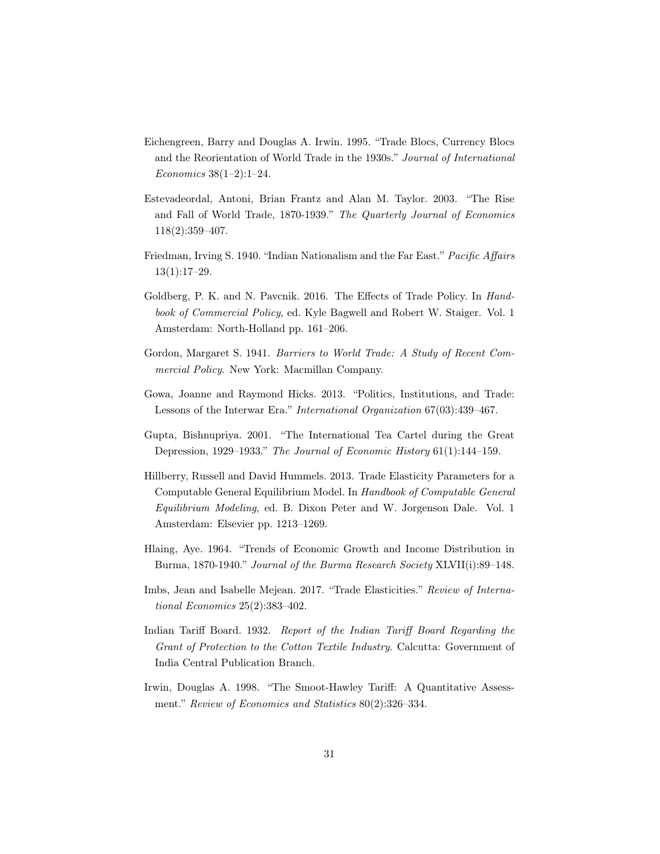- Eichengreen, Barry and Douglas A. Irwin. 1995. "Trade Blocs, Currency Blocs and the Reorientation of World Trade in the 1930s." Journal of International Economics 38(1–2):1–24.
- Estevadeordal, Antoni, Brian Frantz and Alan M. Taylor. 2003. "The Rise and Fall of World Trade, 1870-1939." The Quarterly Journal of Economics 118(2):359–407.
- Friedman, Irving S. 1940. "Indian Nationalism and the Far East." Pacific Affairs 13(1):17–29.
- Goldberg, P. K. and N. Pavcnik. 2016. The Effects of Trade Policy. In Handbook of Commercial Policy, ed. Kyle Bagwell and Robert W. Staiger. Vol. 1 Amsterdam: North-Holland pp. 161–206.
- Gordon, Margaret S. 1941. Barriers to World Trade: A Study of Recent Commercial Policy. New York: Macmillan Company.
- Gowa, Joanne and Raymond Hicks. 2013. "Politics, Institutions, and Trade: Lessons of the Interwar Era." International Organization 67(03):439–467.
- Gupta, Bishnupriya. 2001. "The International Tea Cartel during the Great Depression, 1929–1933." The Journal of Economic History 61(1):144–159.
- Hillberry, Russell and David Hummels. 2013. Trade Elasticity Parameters for a Computable General Equilibrium Model. In Handbook of Computable General Equilibrium Modeling, ed. B. Dixon Peter and W. Jorgenson Dale. Vol. 1 Amsterdam: Elsevier pp. 1213–1269.
- Hlaing, Aye. 1964. "Trends of Economic Growth and Income Distribution in Burma, 1870-1940." Journal of the Burma Research Society XLVII(i):89–148.
- Imbs, Jean and Isabelle Mejean. 2017. "Trade Elasticities." Review of International Economics 25(2):383–402.
- Indian Tariff Board. 1932. Report of the Indian Tariff Board Regarding the Grant of Protection to the Cotton Textile Industry. Calcutta: Government of India Central Publication Branch.
- Irwin, Douglas A. 1998. "The Smoot-Hawley Tariff: A Quantitative Assessment." Review of Economics and Statistics 80(2):326–334.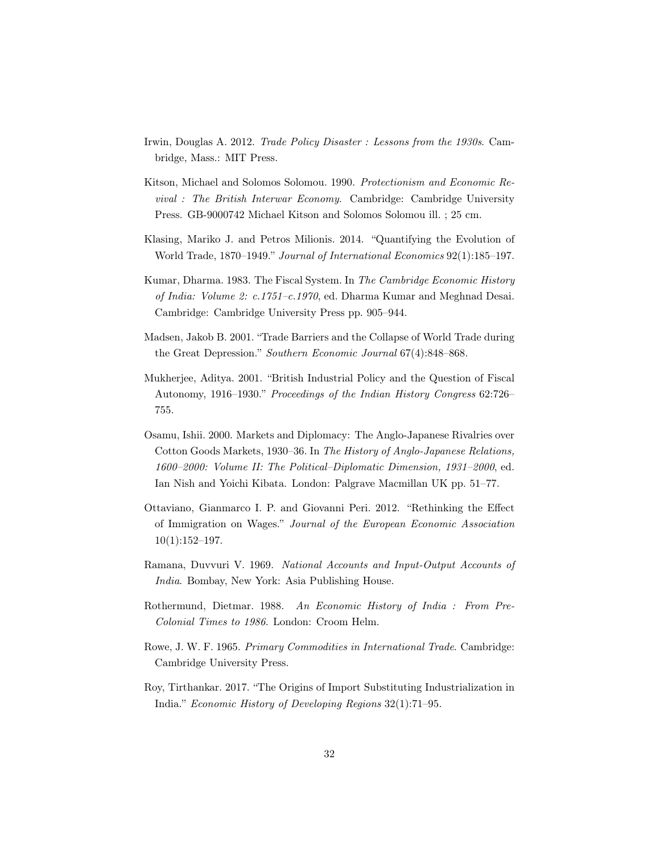- Irwin, Douglas A. 2012. Trade Policy Disaster : Lessons from the 1930s. Cambridge, Mass.: MIT Press.
- Kitson, Michael and Solomos Solomou. 1990. Protectionism and Economic Revival : The British Interwar Economy. Cambridge: Cambridge University Press. GB-9000742 Michael Kitson and Solomos Solomou ill. ; 25 cm.
- Klasing, Mariko J. and Petros Milionis. 2014. "Quantifying the Evolution of World Trade, 1870–1949." Journal of International Economics 92(1):185–197.
- Kumar, Dharma. 1983. The Fiscal System. In The Cambridge Economic History of India: Volume 2: c.1751–c.1970, ed. Dharma Kumar and Meghnad Desai. Cambridge: Cambridge University Press pp. 905–944.
- Madsen, Jakob B. 2001. "Trade Barriers and the Collapse of World Trade during the Great Depression." Southern Economic Journal 67(4):848–868.
- Mukherjee, Aditya. 2001. "British Industrial Policy and the Question of Fiscal Autonomy, 1916–1930." Proceedings of the Indian History Congress 62:726– 755.
- Osamu, Ishii. 2000. Markets and Diplomacy: The Anglo-Japanese Rivalries over Cotton Goods Markets, 1930–36. In The History of Anglo-Japanese Relations, 1600–2000: Volume II: The Political–Diplomatic Dimension, 1931–2000, ed. Ian Nish and Yoichi Kibata. London: Palgrave Macmillan UK pp. 51–77.
- Ottaviano, Gianmarco I. P. and Giovanni Peri. 2012. "Rethinking the Effect of Immigration on Wages." Journal of the European Economic Association  $10(1):152-197.$
- Ramana, Duvvuri V. 1969. National Accounts and Input-Output Accounts of India. Bombay, New York: Asia Publishing House.
- Rothermund, Dietmar. 1988. An Economic History of India : From Pre-Colonial Times to 1986. London: Croom Helm.
- Rowe, J. W. F. 1965. Primary Commodities in International Trade. Cambridge: Cambridge University Press.
- Roy, Tirthankar. 2017. "The Origins of Import Substituting Industrialization in India." Economic History of Developing Regions 32(1):71–95.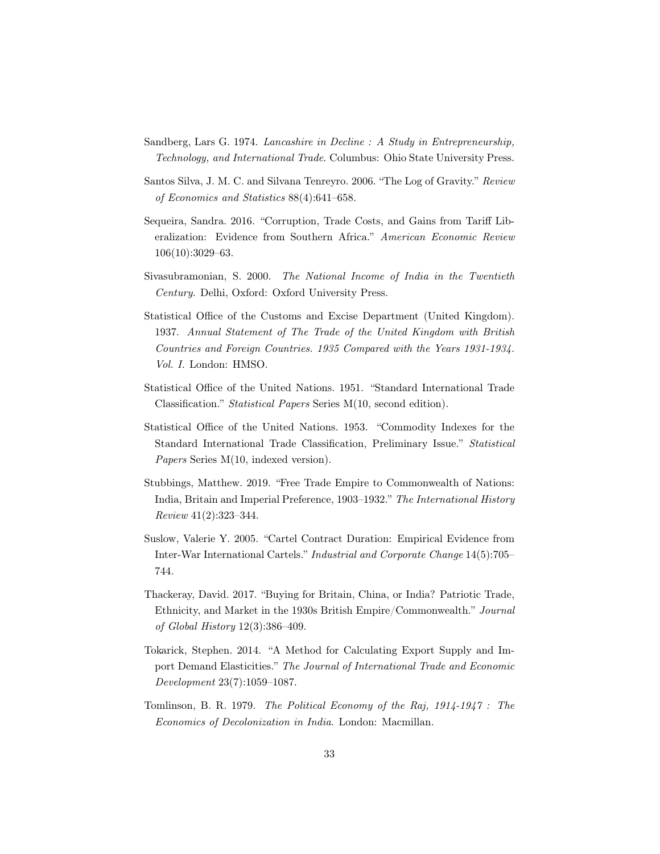- Sandberg, Lars G. 1974. Lancashire in Decline : A Study in Entrepreneurship, Technology, and International Trade. Columbus: Ohio State University Press.
- Santos Silva, J. M. C. and Silvana Tenreyro. 2006. "The Log of Gravity." Review of Economics and Statistics 88(4):641–658.
- Sequeira, Sandra. 2016. "Corruption, Trade Costs, and Gains from Tariff Liberalization: Evidence from Southern Africa." American Economic Review 106(10):3029–63.
- Sivasubramonian, S. 2000. The National Income of India in the Twentieth Century. Delhi, Oxford: Oxford University Press.
- Statistical Office of the Customs and Excise Department (United Kingdom). 1937. Annual Statement of The Trade of the United Kingdom with British Countries and Foreign Countries. 1935 Compared with the Years 1931-1934. Vol. I. London: HMSO.
- Statistical Office of the United Nations. 1951. "Standard International Trade Classification." Statistical Papers Series M(10, second edition).
- Statistical Office of the United Nations. 1953. "Commodity Indexes for the Standard International Trade Classification, Preliminary Issue." Statistical Papers Series M(10, indexed version).
- Stubbings, Matthew. 2019. "Free Trade Empire to Commonwealth of Nations: India, Britain and Imperial Preference, 1903–1932." The International History Review 41(2):323–344.
- Suslow, Valerie Y. 2005. "Cartel Contract Duration: Empirical Evidence from Inter-War International Cartels." Industrial and Corporate Change 14(5):705– 744.
- Thackeray, David. 2017. "Buying for Britain, China, or India? Patriotic Trade, Ethnicity, and Market in the 1930s British Empire/Commonwealth." Journal of Global History 12(3):386–409.
- Tokarick, Stephen. 2014. "A Method for Calculating Export Supply and Import Demand Elasticities." The Journal of International Trade and Economic Development 23(7):1059–1087.
- Tomlinson, B. R. 1979. The Political Economy of the Raj, 1914-1947 : The Economics of Decolonization in India. London: Macmillan.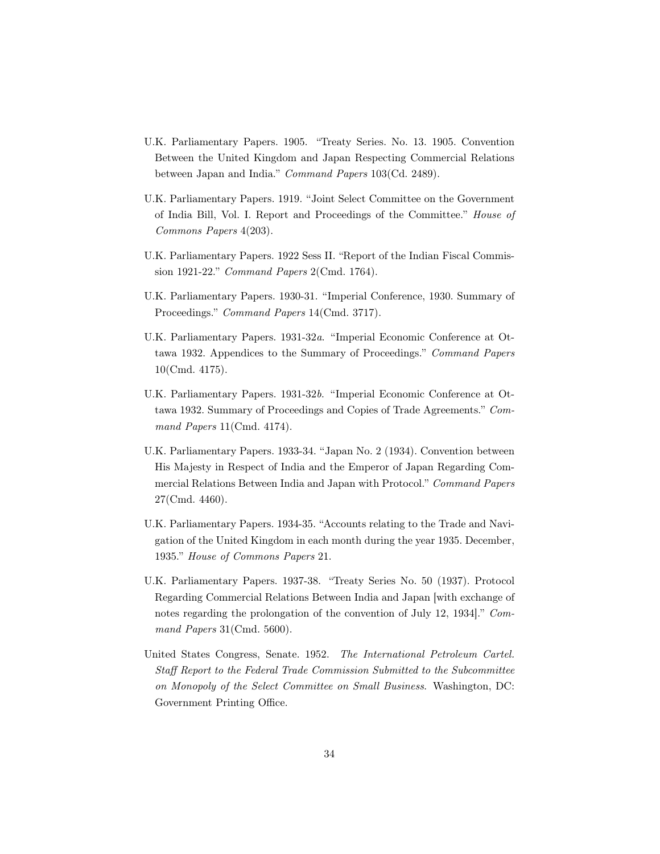- U.K. Parliamentary Papers. 1905. "Treaty Series. No. 13. 1905. Convention Between the United Kingdom and Japan Respecting Commercial Relations between Japan and India." Command Papers 103(Cd. 2489).
- U.K. Parliamentary Papers. 1919. "Joint Select Committee on the Government of India Bill, Vol. I. Report and Proceedings of the Committee." House of Commons Papers 4(203).
- U.K. Parliamentary Papers. 1922 Sess II. "Report of the Indian Fiscal Commission 1921-22." Command Papers 2(Cmd. 1764).
- U.K. Parliamentary Papers. 1930-31. "Imperial Conference, 1930. Summary of Proceedings." Command Papers 14(Cmd. 3717).
- U.K. Parliamentary Papers. 1931-32a. "Imperial Economic Conference at Ottawa 1932. Appendices to the Summary of Proceedings." Command Papers 10(Cmd. 4175).
- U.K. Parliamentary Papers. 1931-32b. "Imperial Economic Conference at Ottawa 1932. Summary of Proceedings and Copies of Trade Agreements." Command Papers 11(Cmd. 4174).
- U.K. Parliamentary Papers. 1933-34. "Japan No. 2 (1934). Convention between His Majesty in Respect of India and the Emperor of Japan Regarding Commercial Relations Between India and Japan with Protocol." Command Papers 27(Cmd. 4460).
- U.K. Parliamentary Papers. 1934-35. "Accounts relating to the Trade and Navigation of the United Kingdom in each month during the year 1935. December, 1935." House of Commons Papers 21.
- U.K. Parliamentary Papers. 1937-38. "Treaty Series No. 50 (1937). Protocol Regarding Commercial Relations Between India and Japan [with exchange of notes regarding the prolongation of the convention of July 12, 1934]." Command Papers 31(Cmd. 5600).
- United States Congress, Senate. 1952. The International Petroleum Cartel. Staff Report to the Federal Trade Commission Submitted to the Subcommittee on Monopoly of the Select Committee on Small Business. Washington, DC: Government Printing Office.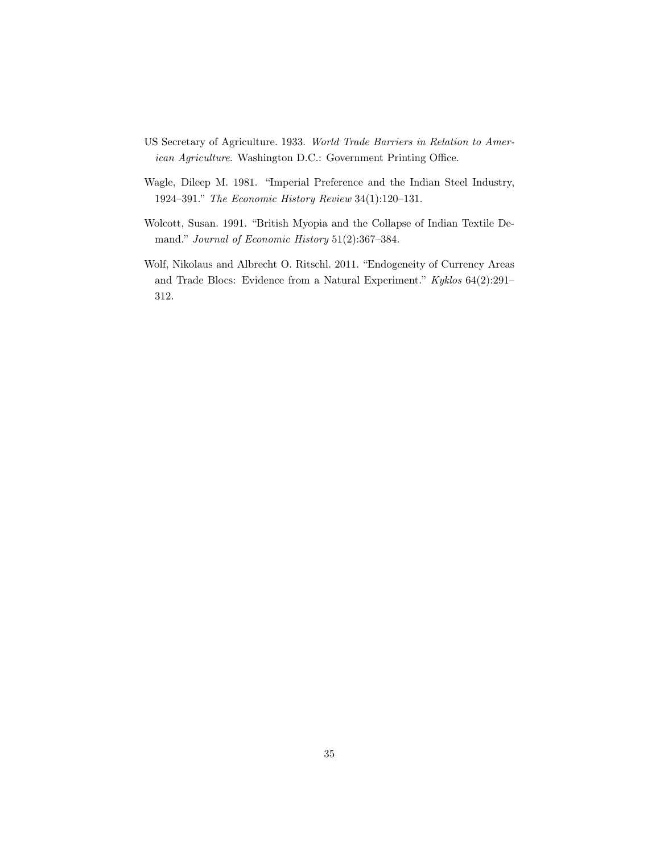- US Secretary of Agriculture. 1933. World Trade Barriers in Relation to American Agriculture. Washington D.C.: Government Printing Office.
- Wagle, Dileep M. 1981. "Imperial Preference and the Indian Steel Industry, 1924–391." The Economic History Review 34(1):120–131.
- Wolcott, Susan. 1991. "British Myopia and the Collapse of Indian Textile Demand." Journal of Economic History 51(2):367–384.
- Wolf, Nikolaus and Albrecht O. Ritschl. 2011. "Endogeneity of Currency Areas and Trade Blocs: Evidence from a Natural Experiment." Kyklos 64(2):291– 312.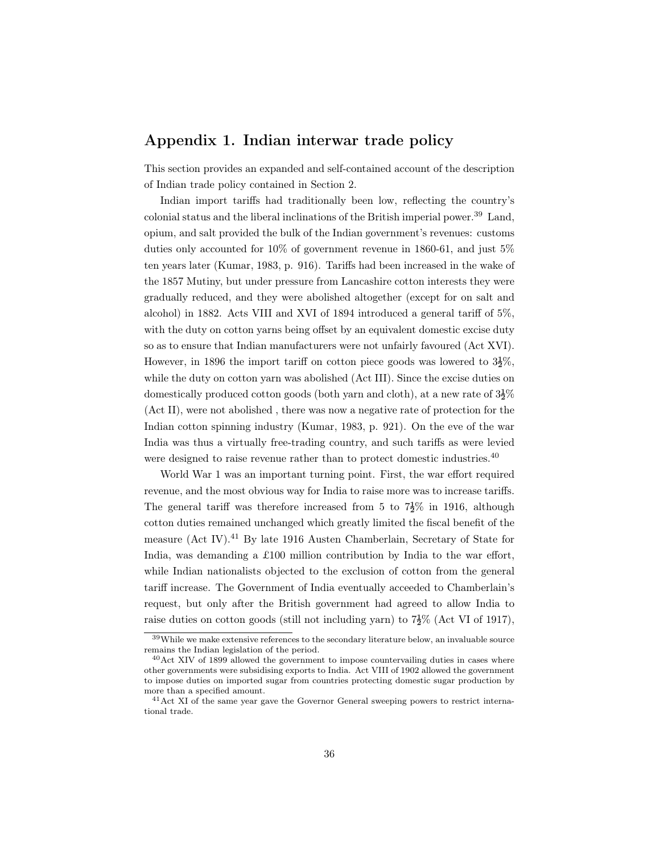## Appendix 1. Indian interwar trade policy

This section provides an expanded and self-contained account of the description of Indian trade policy contained in Section 2.

Indian import tariffs had traditionally been low, reflecting the country's colonial status and the liberal inclinations of the British imperial power.<sup>39</sup> Land, opium, and salt provided the bulk of the Indian government's revenues: customs duties only accounted for 10% of government revenue in 1860-61, and just 5% ten years later (Kumar, 1983, p. 916). Tariffs had been increased in the wake of the 1857 Mutiny, but under pressure from Lancashire cotton interests they were gradually reduced, and they were abolished altogether (except for on salt and alcohol) in 1882. Acts VIII and XVI of 1894 introduced a general tariff of 5%, with the duty on cotton yarns being offset by an equivalent domestic excise duty so as to ensure that Indian manufacturers were not unfairly favoured (Act XVI). However, in 1896 the import tariff on cotton piece goods was lowered to  $3\frac{1}{2}\%$ , while the duty on cotton yarn was abolished (Act III). Since the excise duties on domestically produced cotton goods (both yarn and cloth), at a new rate of  $3\frac{1}{2}\%$ (Act II), were not abolished , there was now a negative rate of protection for the Indian cotton spinning industry (Kumar, 1983, p. 921). On the eve of the war India was thus a virtually free-trading country, and such tariffs as were levied were designed to raise revenue rather than to protect domestic industries.<sup>40</sup>

World War 1 was an important turning point. First, the war effort required revenue, and the most obvious way for India to raise more was to increase tariffs. The general tariff was therefore increased from 5 to  $7\frac{1}{2}\%$  in 1916, although cotton duties remained unchanged which greatly limited the fiscal benefit of the measure (Act IV).<sup>41</sup> By late 1916 Austen Chamberlain, Secretary of State for India, was demanding a £100 million contribution by India to the war effort, while Indian nationalists objected to the exclusion of cotton from the general tariff increase. The Government of India eventually acceeded to Chamberlain's request, but only after the British government had agreed to allow India to raise duties on cotton goods (still not including yarn) to  $7\frac{1}{2}\%$  (Act VI of 1917),

 $39$ While we make extensive references to the secondary literature below, an invaluable source remains the Indian legislation of the period.

<sup>&</sup>lt;sup>40</sup>Act XIV of 1899 allowed the government to impose countervailing duties in cases where other governments were subsidising exports to India. Act VIII of 1902 allowed the government to impose duties on imported sugar from countries protecting domestic sugar production by more than a specified amount.

<sup>&</sup>lt;sup>41</sup> Act XI of the same year gave the Governor General sweeping powers to restrict international trade.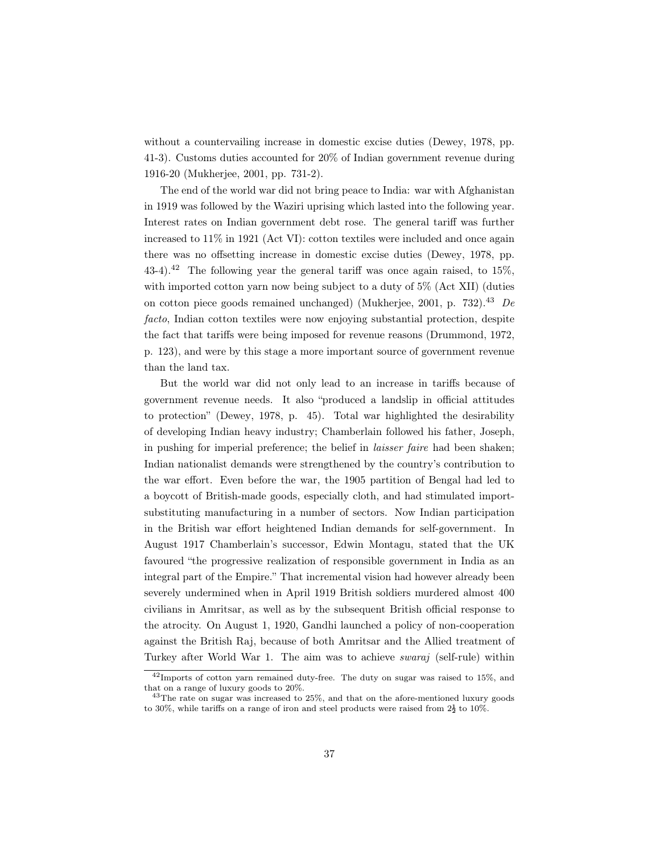without a countervailing increase in domestic excise duties (Dewey, 1978, pp. 41-3). Customs duties accounted for 20% of Indian government revenue during 1916-20 (Mukherjee, 2001, pp. 731-2).

The end of the world war did not bring peace to India: war with Afghanistan in 1919 was followed by the Waziri uprising which lasted into the following year. Interest rates on Indian government debt rose. The general tariff was further increased to 11% in 1921 (Act VI): cotton textiles were included and once again there was no offsetting increase in domestic excise duties (Dewey, 1978, pp. 43-4).<sup>42</sup> The following year the general tariff was once again raised, to  $15\%$ , with imported cotton yarn now being subject to a duty of 5% (Act XII) (duties on cotton piece goods remained unchanged) (Mukherjee, 2001, p. 732).<sup>43</sup> De facto, Indian cotton textiles were now enjoying substantial protection, despite the fact that tariffs were being imposed for revenue reasons (Drummond, 1972, p. 123), and were by this stage a more important source of government revenue than the land tax.

But the world war did not only lead to an increase in tariffs because of government revenue needs. It also "produced a landslip in official attitudes to protection" (Dewey, 1978, p. 45). Total war highlighted the desirability of developing Indian heavy industry; Chamberlain followed his father, Joseph, in pushing for imperial preference; the belief in laisser faire had been shaken; Indian nationalist demands were strengthened by the country's contribution to the war effort. Even before the war, the 1905 partition of Bengal had led to a boycott of British-made goods, especially cloth, and had stimulated importsubstituting manufacturing in a number of sectors. Now Indian participation in the British war effort heightened Indian demands for self-government. In August 1917 Chamberlain's successor, Edwin Montagu, stated that the UK favoured "the progressive realization of responsible government in India as an integral part of the Empire." That incremental vision had however already been severely undermined when in April 1919 British soldiers murdered almost 400 civilians in Amritsar, as well as by the subsequent British official response to the atrocity. On August 1, 1920, Gandhi launched a policy of non-cooperation against the British Raj, because of both Amritsar and the Allied treatment of Turkey after World War 1. The aim was to achieve swaraj (self-rule) within

<sup>42</sup>Imports of cotton yarn remained duty-free. The duty on sugar was raised to 15%, and that on a range of luxury goods to 20%.

 $43$ The rate on sugar was increased to  $25\%$ , and that on the afore-mentioned luxury goods to 30%, while tariffs on a range of iron and steel products were raised from  $2\frac{1}{2}$  to 10%.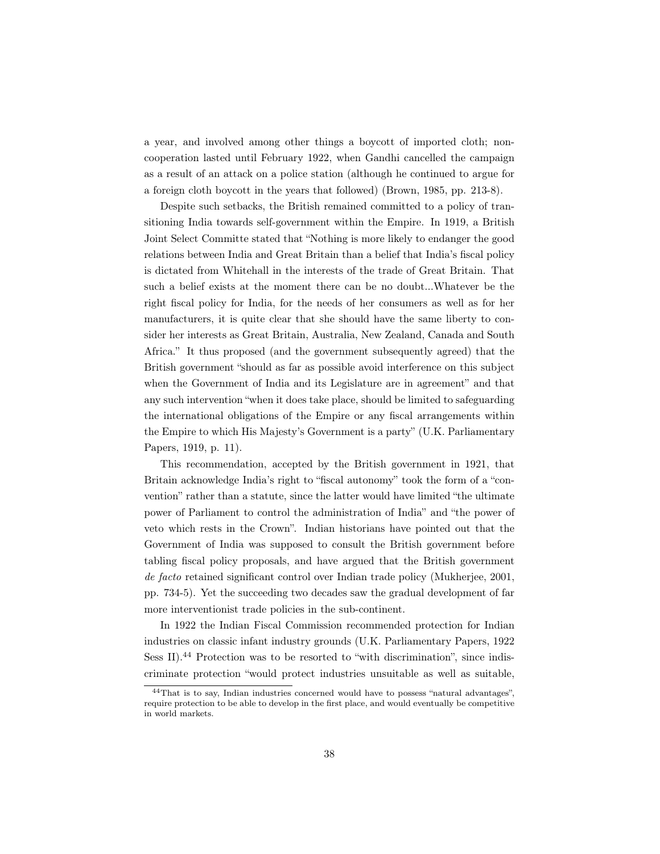a year, and involved among other things a boycott of imported cloth; noncooperation lasted until February 1922, when Gandhi cancelled the campaign as a result of an attack on a police station (although he continued to argue for a foreign cloth boycott in the years that followed) (Brown, 1985, pp. 213-8).

Despite such setbacks, the British remained committed to a policy of transitioning India towards self-government within the Empire. In 1919, a British Joint Select Committe stated that "Nothing is more likely to endanger the good relations between India and Great Britain than a belief that India's fiscal policy is dictated from Whitehall in the interests of the trade of Great Britain. That such a belief exists at the moment there can be no doubt...Whatever be the right fiscal policy for India, for the needs of her consumers as well as for her manufacturers, it is quite clear that she should have the same liberty to consider her interests as Great Britain, Australia, New Zealand, Canada and South Africa." It thus proposed (and the government subsequently agreed) that the British government "should as far as possible avoid interference on this subject when the Government of India and its Legislature are in agreement" and that any such intervention "when it does take place, should be limited to safeguarding the international obligations of the Empire or any fiscal arrangements within the Empire to which His Majesty's Government is a party" (U.K. Parliamentary Papers, 1919, p. 11).

This recommendation, accepted by the British government in 1921, that Britain acknowledge India's right to "fiscal autonomy" took the form of a "convention" rather than a statute, since the latter would have limited "the ultimate power of Parliament to control the administration of India" and "the power of veto which rests in the Crown". Indian historians have pointed out that the Government of India was supposed to consult the British government before tabling fiscal policy proposals, and have argued that the British government de facto retained significant control over Indian trade policy (Mukherjee, 2001, pp. 734-5). Yet the succeeding two decades saw the gradual development of far more interventionist trade policies in the sub-continent.

In 1922 the Indian Fiscal Commission recommended protection for Indian industries on classic infant industry grounds (U.K. Parliamentary Papers, 1922 Sess II).<sup>44</sup> Protection was to be resorted to "with discrimination", since indiscriminate protection "would protect industries unsuitable as well as suitable,

<sup>44</sup>That is to say, Indian industries concerned would have to possess "natural advantages", require protection to be able to develop in the first place, and would eventually be competitive in world markets.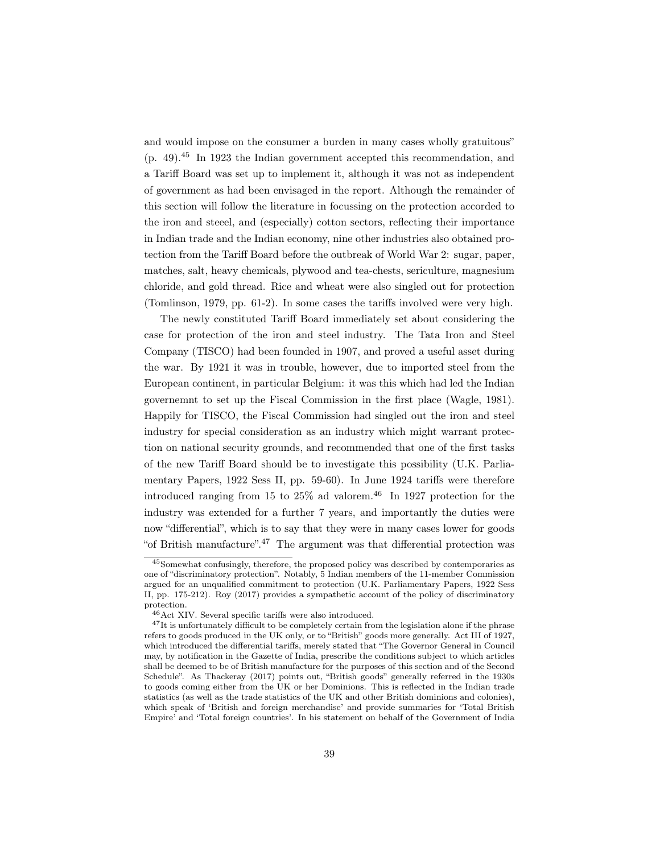and would impose on the consumer a burden in many cases wholly gratuitous" (p. 49).<sup>45</sup> In 1923 the Indian government accepted this recommendation, and a Tariff Board was set up to implement it, although it was not as independent of government as had been envisaged in the report. Although the remainder of this section will follow the literature in focussing on the protection accorded to the iron and steeel, and (especially) cotton sectors, reflecting their importance in Indian trade and the Indian economy, nine other industries also obtained protection from the Tariff Board before the outbreak of World War 2: sugar, paper, matches, salt, heavy chemicals, plywood and tea-chests, sericulture, magnesium chloride, and gold thread. Rice and wheat were also singled out for protection (Tomlinson, 1979, pp. 61-2). In some cases the tariffs involved were very high.

The newly constituted Tariff Board immediately set about considering the case for protection of the iron and steel industry. The Tata Iron and Steel Company (TISCO) had been founded in 1907, and proved a useful asset during the war. By 1921 it was in trouble, however, due to imported steel from the European continent, in particular Belgium: it was this which had led the Indian governemnt to set up the Fiscal Commission in the first place (Wagle, 1981). Happily for TISCO, the Fiscal Commission had singled out the iron and steel industry for special consideration as an industry which might warrant protection on national security grounds, and recommended that one of the first tasks of the new Tariff Board should be to investigate this possibility (U.K. Parliamentary Papers, 1922 Sess II, pp. 59-60). In June 1924 tariffs were therefore introduced ranging from 15 to  $25\%$  ad valorem.<sup>46</sup> In 1927 protection for the industry was extended for a further 7 years, and importantly the duties were now "differential", which is to say that they were in many cases lower for goods "of British manufacture".<sup>47</sup> The argument was that differential protection was

<sup>45</sup>Somewhat confusingly, therefore, the proposed policy was described by contemporaries as one of "discriminatory protection". Notably, 5 Indian members of the 11-member Commission argued for an unqualified commitment to protection (U.K. Parliamentary Papers, 1922 Sess II, pp. 175-212). Roy (2017) provides a sympathetic account of the policy of discriminatory protection.

<sup>46</sup>Act XIV. Several specific tariffs were also introduced.

 $^{47}$ It is unfortunately difficult to be completely certain from the legislation alone if the phrase refers to goods produced in the UK only, or to "British" goods more generally. Act III of 1927, which introduced the differential tariffs, merely stated that "The Governor General in Council may, by notification in the Gazette of India, prescribe the conditions subject to which articles shall be deemed to be of British manufacture for the purposes of this section and of the Second Schedule". As Thackeray (2017) points out, "British goods" generally referred in the 1930s to goods coming either from the UK or her Dominions. This is reflected in the Indian trade statistics (as well as the trade statistics of the UK and other British dominions and colonies), which speak of 'British and foreign merchandise' and provide summaries for 'Total British Empire' and 'Total foreign countries'. In his statement on behalf of the Government of India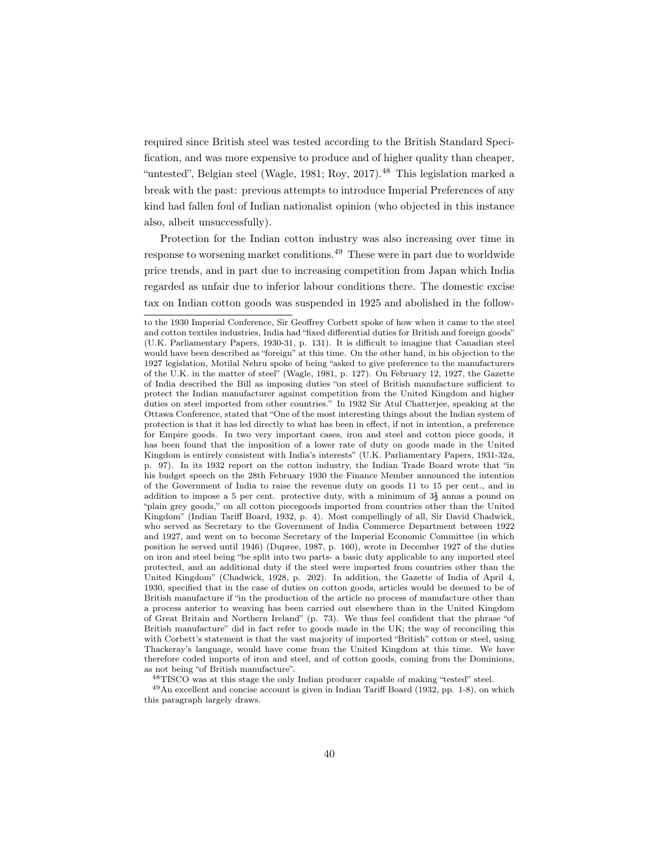required since British steel was tested according to the British Standard Specification, and was more expensive to produce and of higher quality than cheaper, "untested", Belgian steel (Wagle, 1981; Roy, 2017).<sup>48</sup> This legislation marked a break with the past: previous attempts to introduce Imperial Preferences of any kind had fallen foul of Indian nationalist opinion (who objected in this instance also, albeit unsuccessfully).

Protection for the Indian cotton industry was also increasing over time in response to worsening market conditions.<sup>49</sup> These were in part due to worldwide price trends, and in part due to increasing competition from Japan which India regarded as unfair due to inferior labour conditions there. The domestic excise tax on Indian cotton goods was suspended in 1925 and abolished in the follow-

<sup>48</sup>TISCO was at this stage the only Indian producer capable of making "tested" steel.

<sup>49</sup>An excellent and concise account is given in Indian Tariff Board (1932, pp. 1-8), on which this paragraph largely draws.

to the 1930 Imperial Conference, Sir Geoffrey Corbett spoke of how when it came to the steel and cotton textiles industries, India had "fixed differential duties for British and foreign goods" (U.K. Parliamentary Papers, 1930-31, p. 131). It is difficult to imagine that Canadian steel would have been described as "foreign" at this time. On the other hand, in his objection to the 1927 legislation, Motilal Nehru spoke of being "asked to give preference to the manufacturers of the U.K. in the matter of steel" (Wagle, 1981, p. 127). On February 12, 1927, the Gazette of India described the Bill as imposing duties "on steel of British manufacture sufficient to protect the Indian manufacturer against competition from the United Kingdom and higher duties on steel imported from other countries." In 1932 Sir Atul Chatterjee, speaking at the Ottawa Conference, stated that "One of the most interesting things about the Indian system of protection is that it has led directly to what has been in effect, if not in intention, a preference for Empire goods. In two very important cases, iron and steel and cotton piece goods, it has been found that the imposition of a lower rate of duty on goods made in the United Kingdom is entirely consistent with India's interests" (U.K. Parliamentary Papers, 1931-32a, p. 97). In its 1932 report on the cotton industry, the Indian Trade Board wrote that "in his budget speech on the 28th February 1930 the Finance Member announced the intention of the Government of India to raise the revenue duty on goods 11 to 15 per cent., and in addition to impose a 5 per cent. protective duty, with a minimum of  $3\frac{1}{2}$  annas a pound on "plain grey goods," on all cotton piecegoods imported from countries other than the United Kingdom" (Indian Tariff Board, 1932, p. 4). Most compellingly of all, Sir David Chadwick, who served as Secretary to the Government of India Commerce Department between 1922 and 1927, and went on to become Secretary of the Imperial Economic Committee (in which position he served until 1946) (Dupree, 1987, p. 160), wrote in December 1927 of the duties on iron and steel being "be split into two parts- a basic duty applicable to any imported steel protected, and an additional duty if the steel were imported from countries other than the United Kingdom" (Chadwick, 1928, p. 202). In addition, the Gazette of India of April 4, 1930, specified that in the case of duties on cotton goods, articles would be deemed to be of British manufacture if "in the production of the article no process of manufacture other than a process anterior to weaving has been carried out elsewhere than in the United Kingdom of Great Britain and Northern Ireland" (p. 73). We thus feel confident that the phrase "of British manufacture" did in fact refer to goods made in the UK; the way of reconciling this with Corbett's statement is that the vast majority of imported "British" cotton or steel, using Thackeray's language, would have come from the United Kingdom at this time. We have therefore coded imports of iron and steel, and of cotton goods, coming from the Dominions, as not being "of British manufacture".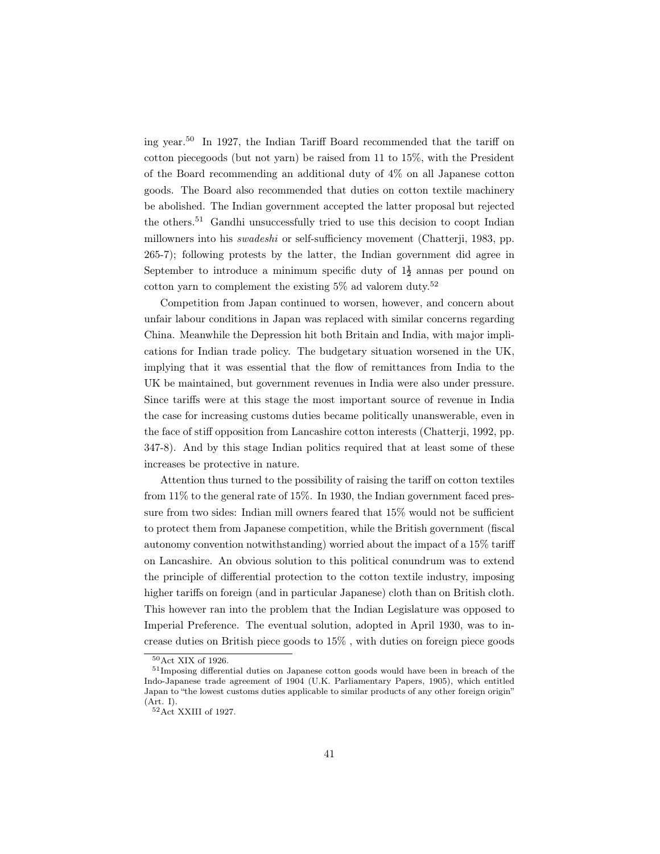ing year.<sup>50</sup> In 1927, the Indian Tariff Board recommended that the tariff on cotton piecegoods (but not yarn) be raised from 11 to 15%, with the President of the Board recommending an additional duty of 4% on all Japanese cotton goods. The Board also recommended that duties on cotton textile machinery be abolished. The Indian government accepted the latter proposal but rejected the others.<sup>51</sup> Gandhi unsuccessfully tried to use this decision to coopt Indian millowners into his swadeshi or self-sufficiency movement (Chatterji, 1983, pp. 265-7); following protests by the latter, the Indian government did agree in September to introduce a minimum specific duty of  $1\frac{1}{2}$  annes per pound on cotton yarn to complement the existing  $5\%$  ad valorem duty.<sup>52</sup>

Competition from Japan continued to worsen, however, and concern about unfair labour conditions in Japan was replaced with similar concerns regarding China. Meanwhile the Depression hit both Britain and India, with major implications for Indian trade policy. The budgetary situation worsened in the UK, implying that it was essential that the flow of remittances from India to the UK be maintained, but government revenues in India were also under pressure. Since tariffs were at this stage the most important source of revenue in India the case for increasing customs duties became politically unanswerable, even in the face of stiff opposition from Lancashire cotton interests (Chatterji, 1992, pp. 347-8). And by this stage Indian politics required that at least some of these increases be protective in nature.

Attention thus turned to the possibility of raising the tariff on cotton textiles from 11% to the general rate of 15%. In 1930, the Indian government faced pressure from two sides: Indian mill owners feared that 15% would not be sufficient to protect them from Japanese competition, while the British government (fiscal autonomy convention notwithstanding) worried about the impact of a 15% tariff on Lancashire. An obvious solution to this political conundrum was to extend the principle of differential protection to the cotton textile industry, imposing higher tariffs on foreign (and in particular Japanese) cloth than on British cloth. This however ran into the problem that the Indian Legislature was opposed to Imperial Preference. The eventual solution, adopted in April 1930, was to increase duties on British piece goods to 15% , with duties on foreign piece goods

<sup>50</sup>Act XIX of 1926.

<sup>51</sup>Imposing differential duties on Japanese cotton goods would have been in breach of the Indo-Japanese trade agreement of 1904 (U.K. Parliamentary Papers, 1905), which entitled Japan to "the lowest customs duties applicable to similar products of any other foreign origin" (Art. I).

<sup>52</sup>Act XXIII of 1927.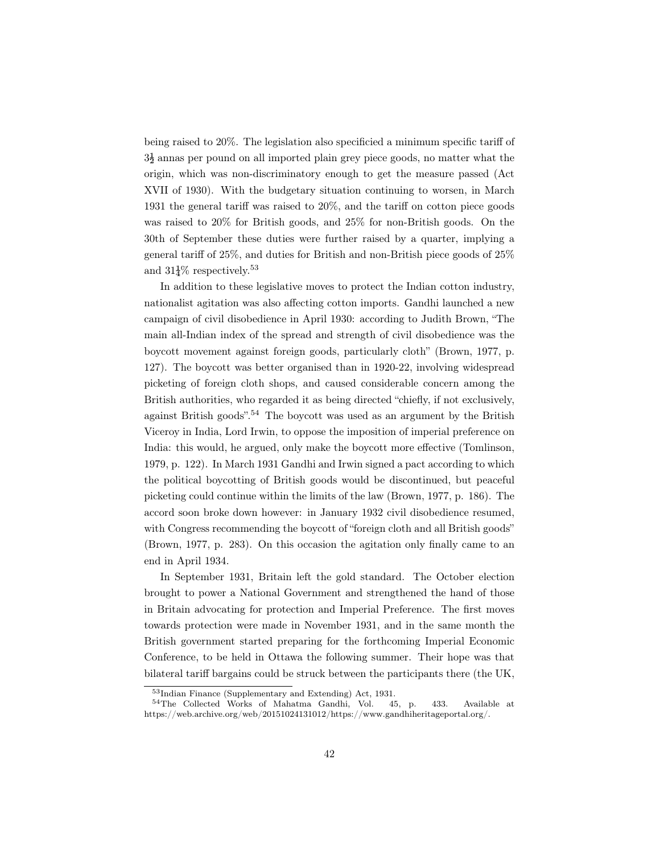being raised to 20%. The legislation also specificied a minimum specific tariff of  $3\frac{1}{2}$  annas per pound on all imported plain grey piece goods, no matter what the origin, which was non-discriminatory enough to get the measure passed (Act XVII of 1930). With the budgetary situation continuing to worsen, in March 1931 the general tariff was raised to 20%, and the tariff on cotton piece goods was raised to 20% for British goods, and 25% for non-British goods. On the 30th of September these duties were further raised by a quarter, implying a general tariff of 25%, and duties for British and non-British piece goods of 25% and  $31\frac{1}{4}\%$  respectively.<sup>53</sup>

In addition to these legislative moves to protect the Indian cotton industry, nationalist agitation was also affecting cotton imports. Gandhi launched a new campaign of civil disobedience in April 1930: according to Judith Brown, "The main all-Indian index of the spread and strength of civil disobedience was the boycott movement against foreign goods, particularly cloth" (Brown, 1977, p. 127). The boycott was better organised than in 1920-22, involving widespread picketing of foreign cloth shops, and caused considerable concern among the British authorities, who regarded it as being directed "chiefly, if not exclusively, against British goods".<sup>54</sup> The boycott was used as an argument by the British Viceroy in India, Lord Irwin, to oppose the imposition of imperial preference on India: this would, he argued, only make the boycott more effective (Tomlinson, 1979, p. 122). In March 1931 Gandhi and Irwin signed a pact according to which the political boycotting of British goods would be discontinued, but peaceful picketing could continue within the limits of the law (Brown, 1977, p. 186). The accord soon broke down however: in January 1932 civil disobedience resumed, with Congress recommending the boycott of "foreign cloth and all British goods" (Brown, 1977, p. 283). On this occasion the agitation only finally came to an end in April 1934.

In September 1931, Britain left the gold standard. The October election brought to power a National Government and strengthened the hand of those in Britain advocating for protection and Imperial Preference. The first moves towards protection were made in November 1931, and in the same month the British government started preparing for the forthcoming Imperial Economic Conference, to be held in Ottawa the following summer. Their hope was that bilateral tariff bargains could be struck between the participants there (the UK,

<sup>53</sup>Indian Finance (Supplementary and Extending) Act, 1931.

<sup>54</sup>The Collected Works of Mahatma Gandhi, Vol. 45, p. 433. Available at https://web.archive.org/web/20151024131012/https://www.gandhiheritageportal.org/.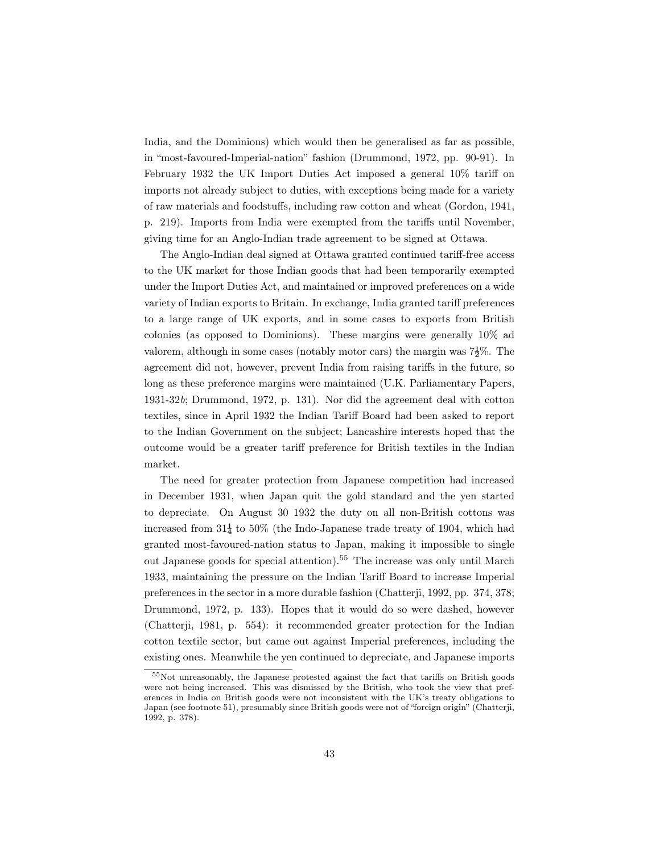India, and the Dominions) which would then be generalised as far as possible, in "most-favoured-Imperial-nation" fashion (Drummond, 1972, pp. 90-91). In February 1932 the UK Import Duties Act imposed a general 10% tariff on imports not already subject to duties, with exceptions being made for a variety of raw materials and foodstuffs, including raw cotton and wheat (Gordon, 1941, p. 219). Imports from India were exempted from the tariffs until November, giving time for an Anglo-Indian trade agreement to be signed at Ottawa.

The Anglo-Indian deal signed at Ottawa granted continued tariff-free access to the UK market for those Indian goods that had been temporarily exempted under the Import Duties Act, and maintained or improved preferences on a wide variety of Indian exports to Britain. In exchange, India granted tariff preferences to a large range of UK exports, and in some cases to exports from British colonies (as opposed to Dominions). These margins were generally 10% ad valorem, although in some cases (notably motor cars) the margin was  $7\frac{1}{2}\%$ . The agreement did not, however, prevent India from raising tariffs in the future, so long as these preference margins were maintained (U.K. Parliamentary Papers, 1931-32b; Drummond, 1972, p. 131). Nor did the agreement deal with cotton textiles, since in April 1932 the Indian Tariff Board had been asked to report to the Indian Government on the subject; Lancashire interests hoped that the outcome would be a greater tariff preference for British textiles in the Indian market.

The need for greater protection from Japanese competition had increased in December 1931, when Japan quit the gold standard and the yen started to depreciate. On August 30 1932 the duty on all non-British cottons was increased from  $31\frac{1}{4}$  to 50% (the Indo-Japanese trade treaty of 1904, which had granted most-favoured-nation status to Japan, making it impossible to single out Japanese goods for special attention).<sup>55</sup> The increase was only until March 1933, maintaining the pressure on the Indian Tariff Board to increase Imperial preferences in the sector in a more durable fashion (Chatterji, 1992, pp. 374, 378; Drummond, 1972, p. 133). Hopes that it would do so were dashed, however (Chatterji, 1981, p. 554): it recommended greater protection for the Indian cotton textile sector, but came out against Imperial preferences, including the existing ones. Meanwhile the yen continued to depreciate, and Japanese imports

<sup>55</sup>Not unreasonably, the Japanese protested against the fact that tariffs on British goods were not being increased. This was dismissed by the British, who took the view that preferences in India on British goods were not inconsistent with the UK's treaty obligations to Japan (see footnote 51), presumably since British goods were not of "foreign origin" (Chatterji, 1992, p. 378).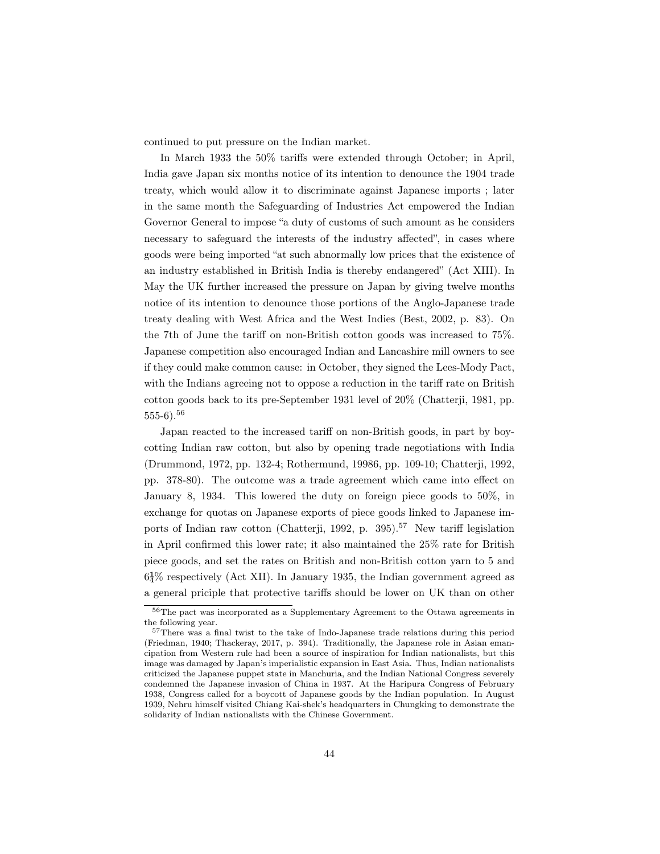continued to put pressure on the Indian market.

In March 1933 the 50% tariffs were extended through October; in April, India gave Japan six months notice of its intention to denounce the 1904 trade treaty, which would allow it to discriminate against Japanese imports ; later in the same month the Safeguarding of Industries Act empowered the Indian Governor General to impose "a duty of customs of such amount as he considers necessary to safeguard the interests of the industry affected", in cases where goods were being imported "at such abnormally low prices that the existence of an industry established in British India is thereby endangered" (Act XIII). In May the UK further increased the pressure on Japan by giving twelve months notice of its intention to denounce those portions of the Anglo-Japanese trade treaty dealing with West Africa and the West Indies (Best, 2002, p. 83). On the 7th of June the tariff on non-British cotton goods was increased to 75%. Japanese competition also encouraged Indian and Lancashire mill owners to see if they could make common cause: in October, they signed the Lees-Mody Pact, with the Indians agreeing not to oppose a reduction in the tariff rate on British cotton goods back to its pre-September 1931 level of 20% (Chatterji, 1981, pp. 555-6).<sup>56</sup>

Japan reacted to the increased tariff on non-British goods, in part by boycotting Indian raw cotton, but also by opening trade negotiations with India (Drummond, 1972, pp. 132-4; Rothermund, 19986, pp. 109-10; Chatterji, 1992, pp. 378-80). The outcome was a trade agreement which came into effect on January 8, 1934. This lowered the duty on foreign piece goods to 50%, in exchange for quotas on Japanese exports of piece goods linked to Japanese imports of Indian raw cotton (Chatterji, 1992, p. 395).<sup>57</sup> New tariff legislation in April confirmed this lower rate; it also maintained the 25% rate for British piece goods, and set the rates on British and non-British cotton yarn to 5 and  $6\frac{1}{4}\%$  respectively (Act XII). In January 1935, the Indian government agreed as a general priciple that protective tariffs should be lower on UK than on other

<sup>&</sup>lt;sup>56</sup>The pact was incorporated as a Supplementary Agreement to the Ottawa agreements in the following year.

<sup>57</sup>There was a final twist to the take of Indo-Japanese trade relations during this period (Friedman, 1940; Thackeray, 2017, p. 394). Traditionally, the Japanese role in Asian emancipation from Western rule had been a source of inspiration for Indian nationalists, but this image was damaged by Japan's imperialistic expansion in East Asia. Thus, Indian nationalists criticized the Japanese puppet state in Manchuria, and the Indian National Congress severely condemned the Japanese invasion of China in 1937. At the Haripura Congress of February 1938, Congress called for a boycott of Japanese goods by the Indian population. In August 1939, Nehru himself visited Chiang Kai-shek's headquarters in Chungking to demonstrate the solidarity of Indian nationalists with the Chinese Government.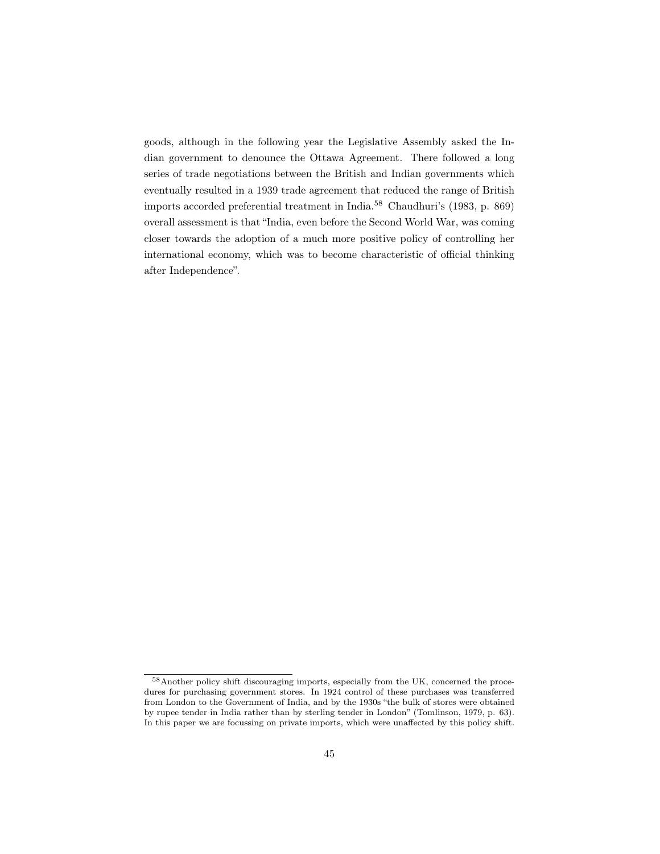goods, although in the following year the Legislative Assembly asked the Indian government to denounce the Ottawa Agreement. There followed a long series of trade negotiations between the British and Indian governments which eventually resulted in a 1939 trade agreement that reduced the range of British imports accorded preferential treatment in India.<sup>58</sup> Chaudhuri's (1983, p. 869) overall assessment is that "India, even before the Second World War, was coming closer towards the adoption of a much more positive policy of controlling her international economy, which was to become characteristic of official thinking after Independence".

<sup>58</sup>Another policy shift discouraging imports, especially from the UK, concerned the procedures for purchasing government stores. In 1924 control of these purchases was transferred from London to the Government of India, and by the 1930s "the bulk of stores were obtained by rupee tender in India rather than by sterling tender in London" (Tomlinson, 1979, p. 63). In this paper we are focussing on private imports, which were unaffected by this policy shift.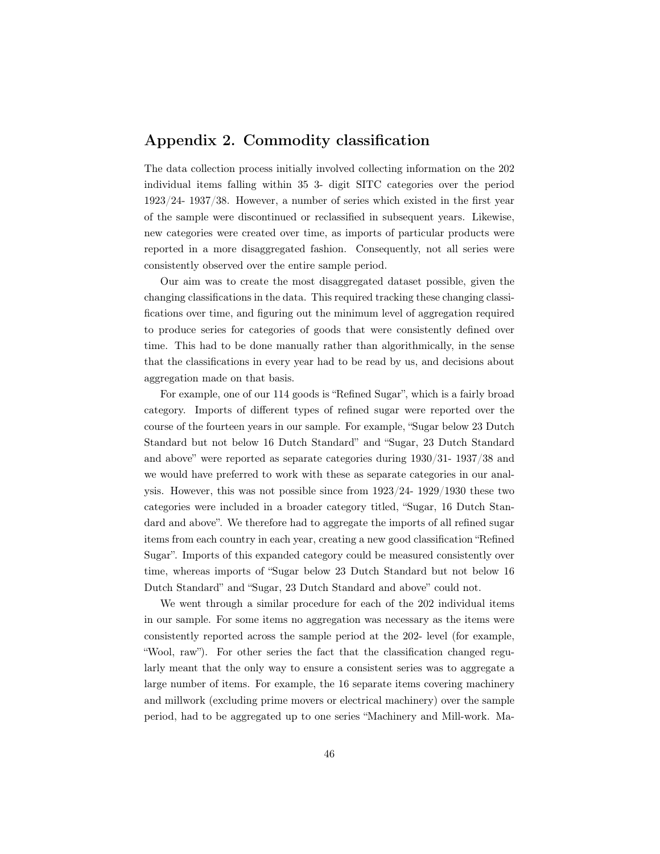# Appendix 2. Commodity classification

The data collection process initially involved collecting information on the 202 individual items falling within 35 3- digit SITC categories over the period 1923/24- 1937/38. However, a number of series which existed in the first year of the sample were discontinued or reclassified in subsequent years. Likewise, new categories were created over time, as imports of particular products were reported in a more disaggregated fashion. Consequently, not all series were consistently observed over the entire sample period.

Our aim was to create the most disaggregated dataset possible, given the changing classifications in the data. This required tracking these changing classifications over time, and figuring out the minimum level of aggregation required to produce series for categories of goods that were consistently defined over time. This had to be done manually rather than algorithmically, in the sense that the classifications in every year had to be read by us, and decisions about aggregation made on that basis.

For example, one of our 114 goods is "Refined Sugar", which is a fairly broad category. Imports of different types of refined sugar were reported over the course of the fourteen years in our sample. For example, "Sugar below 23 Dutch Standard but not below 16 Dutch Standard" and "Sugar, 23 Dutch Standard and above" were reported as separate categories during 1930/31- 1937/38 and we would have preferred to work with these as separate categories in our analysis. However, this was not possible since from 1923/24- 1929/1930 these two categories were included in a broader category titled, "Sugar, 16 Dutch Standard and above". We therefore had to aggregate the imports of all refined sugar items from each country in each year, creating a new good classification "Refined Sugar". Imports of this expanded category could be measured consistently over time, whereas imports of "Sugar below 23 Dutch Standard but not below 16 Dutch Standard" and "Sugar, 23 Dutch Standard and above" could not.

We went through a similar procedure for each of the 202 individual items in our sample. For some items no aggregation was necessary as the items were consistently reported across the sample period at the 202- level (for example, "Wool, raw"). For other series the fact that the classification changed regularly meant that the only way to ensure a consistent series was to aggregate a large number of items. For example, the 16 separate items covering machinery and millwork (excluding prime movers or electrical machinery) over the sample period, had to be aggregated up to one series "Machinery and Mill-work. Ma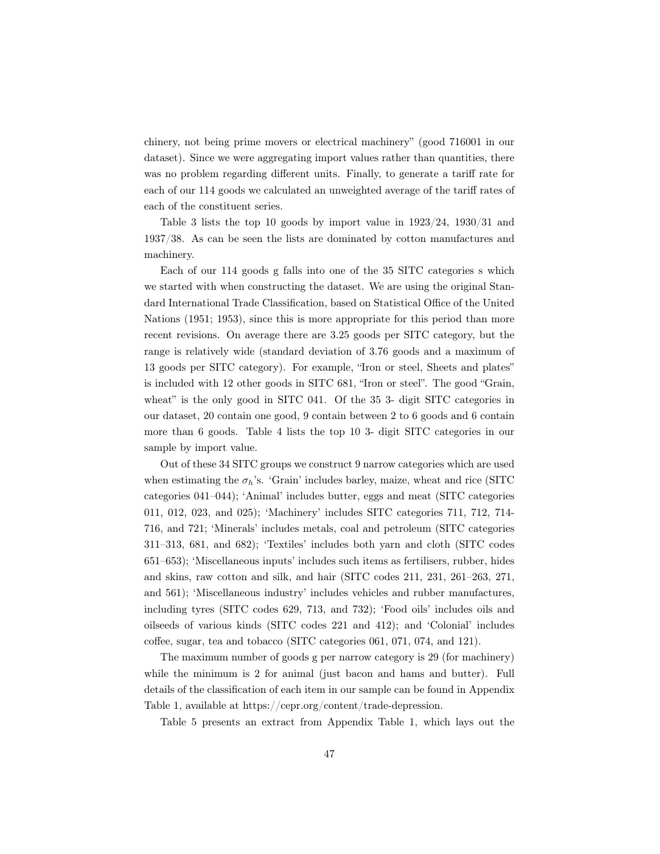chinery, not being prime movers or electrical machinery" (good 716001 in our dataset). Since we were aggregating import values rather than quantities, there was no problem regarding different units. Finally, to generate a tariff rate for each of our 114 goods we calculated an unweighted average of the tariff rates of each of the constituent series.

Table 3 lists the top 10 goods by import value in 1923/24, 1930/31 and 1937/38. As can be seen the lists are dominated by cotton manufactures and machinery.

Each of our 114 goods g falls into one of the 35 SITC categories s which we started with when constructing the dataset. We are using the original Standard International Trade Classification, based on Statistical Office of the United Nations (1951; 1953), since this is more appropriate for this period than more recent revisions. On average there are 3.25 goods per SITC category, but the range is relatively wide (standard deviation of 3.76 goods and a maximum of 13 goods per SITC category). For example, "Iron or steel, Sheets and plates" is included with 12 other goods in SITC 681, "Iron or steel". The good "Grain, wheat" is the only good in SITC 041. Of the 35 3- digit SITC categories in our dataset, 20 contain one good, 9 contain between 2 to 6 goods and 6 contain more than 6 goods. Table 4 lists the top 10 3- digit SITC categories in our sample by import value.

Out of these 34 SITC groups we construct 9 narrow categories which are used when estimating the  $\sigma_h$ 's. 'Grain' includes barley, maize, wheat and rice (SITC categories 041–044); 'Animal' includes butter, eggs and meat (SITC categories 011, 012, 023, and 025); 'Machinery' includes SITC categories 711, 712, 714- 716, and 721; 'Minerals' includes metals, coal and petroleum (SITC categories 311–313, 681, and 682); 'Textiles' includes both yarn and cloth (SITC codes 651–653); 'Miscellaneous inputs' includes such items as fertilisers, rubber, hides and skins, raw cotton and silk, and hair (SITC codes 211, 231, 261–263, 271, and 561); 'Miscellaneous industry' includes vehicles and rubber manufactures, including tyres (SITC codes 629, 713, and 732); 'Food oils' includes oils and oilseeds of various kinds (SITC codes 221 and 412); and 'Colonial' includes coffee, sugar, tea and tobacco (SITC categories 061, 071, 074, and 121).

The maximum number of goods g per narrow category is 29 (for machinery) while the minimum is 2 for animal (just bacon and hams and butter). Full details of the classification of each item in our sample can be found in Appendix Table 1, available at https://cepr.org/content/trade-depression.

Table 5 presents an extract from Appendix Table 1, which lays out the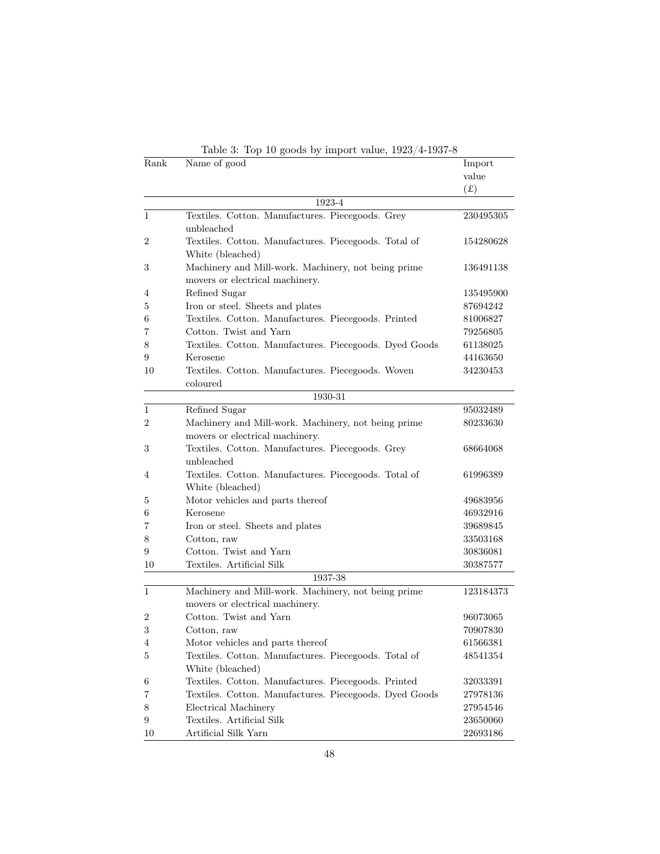| Rank | Table 5: Top To goods by import value, $1923/4-1937-8$<br>Name of good | Import    |
|------|------------------------------------------------------------------------|-----------|
|      |                                                                        | value     |
|      |                                                                        | (f(x))    |
|      | 1923-4                                                                 |           |
| 1    | Textiles. Cotton. Manufactures. Piecegoods. Grey                       | 230495305 |
|      | unbleached                                                             |           |
| 2    | Textiles. Cotton. Manufactures. Piecegoods. Total of                   | 154280628 |
|      | White (bleached)                                                       |           |
| 3    | Machinery and Mill-work. Machinery, not being prime                    | 136491138 |
|      | movers or electrical machinery.                                        |           |
| 4    | Refined Sugar                                                          | 135495900 |
| 5    | Iron or steel. Sheets and plates                                       | 87694242  |
| 6    | Textiles. Cotton. Manufactures. Piecegoods. Printed                    | 81006827  |
| 7    | Cotton. Twist and Yarn                                                 | 79256805  |
| 8    | Textiles. Cotton. Manufactures. Piecegoods. Dyed Goods                 | 61138025  |
| 9    | Kerosene                                                               | 44163650  |
| 10   | Textiles. Cotton. Manufactures. Piecegoods. Woven                      | 34230453  |
|      | coloured                                                               |           |
|      | 1930-31                                                                |           |
| 1    | Refined Sugar                                                          | 95032489  |
| 2    | Machinery and Mill-work. Machinery, not being prime                    | 80233630  |
|      | movers or electrical machinery.                                        |           |
| 3    | Textiles. Cotton. Manufactures. Piecegoods. Grey                       | 68664068  |
|      | unbleached                                                             |           |
| 4    | Textiles. Cotton. Manufactures. Piecegoods. Total of                   | 61996389  |
|      | White (bleached)                                                       |           |
| 5    | Motor vehicles and parts thereof                                       | 49683956  |
| 6    | Kerosene                                                               | 46932916  |
| 7    | Iron or steel. Sheets and plates                                       | 39689845  |
| 8    | Cotton, raw                                                            | 33503168  |
| 9    | Cotton. Twist and Yarn                                                 | 30836081  |
| 10   | Textiles. Artificial Silk                                              | 30387577  |
|      | 1937-38                                                                |           |
| 1    | Machinery and Mill-work. Machinery, not being prime                    | 123184373 |
|      | movers or electrical machinery.                                        |           |
| 2    | Cotton. Twist and Yarn                                                 | 96073065  |
| 3    | Cotton, raw                                                            | 70907830  |
| 4    | Motor vehicles and parts thereof                                       | 61566381  |
| 5    | Textiles. Cotton. Manufactures. Piecegoods. Total of                   | 48541354  |
|      | White (bleached)                                                       |           |
| 6    | Textiles. Cotton. Manufactures. Piecegoods. Printed                    | 32033391  |
| 7    | Textiles. Cotton. Manufactures. Piecegoods. Dyed Goods                 | 27978136  |
| 8    | Electrical Machinery                                                   | 27954546  |
| 9    | Textiles. Artificial Silk                                              | 23650060  |
| 10   | Artificial Silk Yarn                                                   | 22693186  |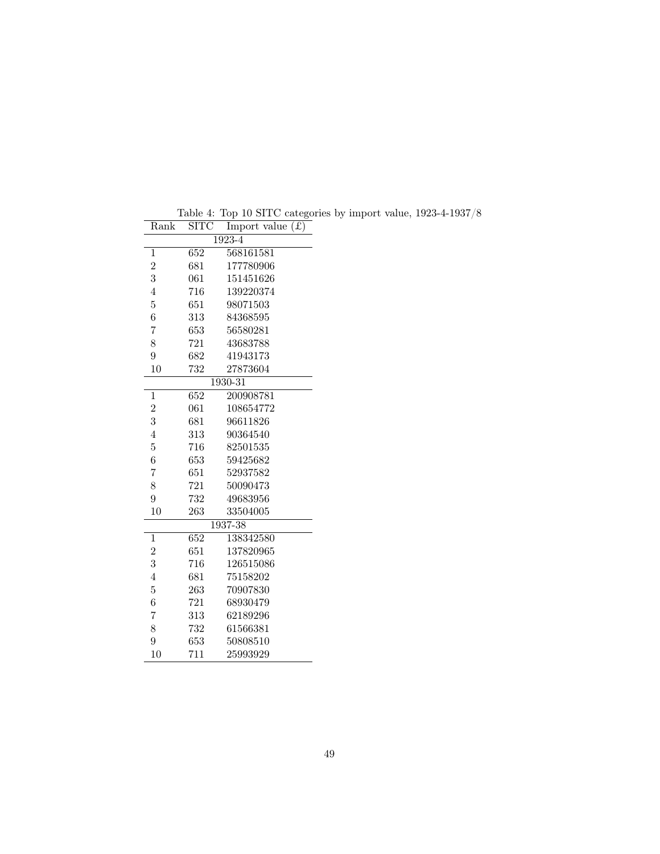| Rank           | SITC | f(x)<br>Import value |
|----------------|------|----------------------|
|                |      | $1923 - 4$           |
| 1              | 652  | 568161581            |
| $\overline{2}$ | 681  | 177780906            |
| 3              | 061  | 151451626            |
| $\overline{4}$ | 716  | 139220374            |
| $\overline{5}$ | 651  | 98071503             |
| 6              | 313  | 84368595             |
| $\overline{7}$ | 653  | 56580281             |
| 8              | 721  | 43683788             |
| 9              | 682  | 41943173             |
| 10             | 732  | 27873604             |
|                |      | 1930-31              |
| 1              | 652  | 200908781            |
| $\overline{2}$ | 061  | 108654772            |
| 3              | 681  | 96611826             |
| $\overline{4}$ | 313  | 90364540             |
| $\overline{5}$ | 716  | 82501535             |
| 6              | 653  | 59425682             |
| $\overline{7}$ | 651  | 52937582             |
| 8              | 721  | 50090473             |
| 9              | 732  | 49683956             |
| 10             | 263  | 33504005             |
|                |      | $1937 - 38$          |
| 1              | 652  | 138342580            |
| $\overline{2}$ | 651  | 137820965            |
| 3              | 716  | 126515086            |
| $\overline{4}$ | 681  | 75158202             |
| $\overline{5}$ | 263  | 70907830             |
| 6              | 721  | 68930479             |
| $\overline{7}$ | 313  | 62189296             |
| 8              | 732  | 61566381             |
| 9              | 653  | 50808510             |
| 10             | 711  | 25993929             |

Table 4: Top 10 SITC categories by import value, 1923-4-1937/8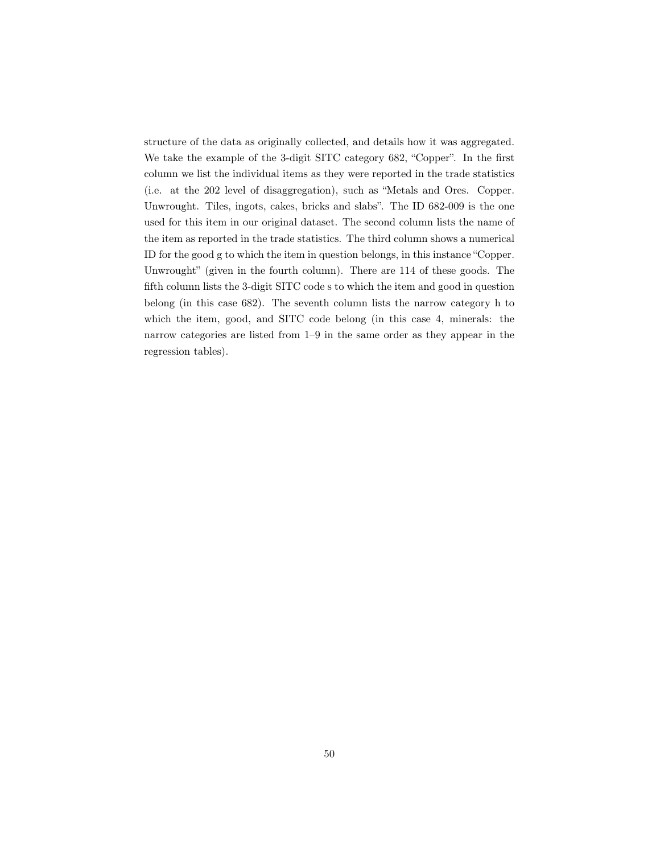structure of the data as originally collected, and details how it was aggregated. We take the example of the 3-digit SITC category 682, "Copper". In the first column we list the individual items as they were reported in the trade statistics (i.e. at the 202 level of disaggregation), such as "Metals and Ores. Copper. Unwrought. Tiles, ingots, cakes, bricks and slabs". The ID 682-009 is the one used for this item in our original dataset. The second column lists the name of the item as reported in the trade statistics. The third column shows a numerical ID for the good g to which the item in question belongs, in this instance "Copper. Unwrought" (given in the fourth column). There are 114 of these goods. The fifth column lists the 3-digit SITC code s to which the item and good in question belong (in this case 682). The seventh column lists the narrow category h to which the item, good, and SITC code belong (in this case 4, minerals: the narrow categories are listed from 1–9 in the same order as they appear in the regression tables).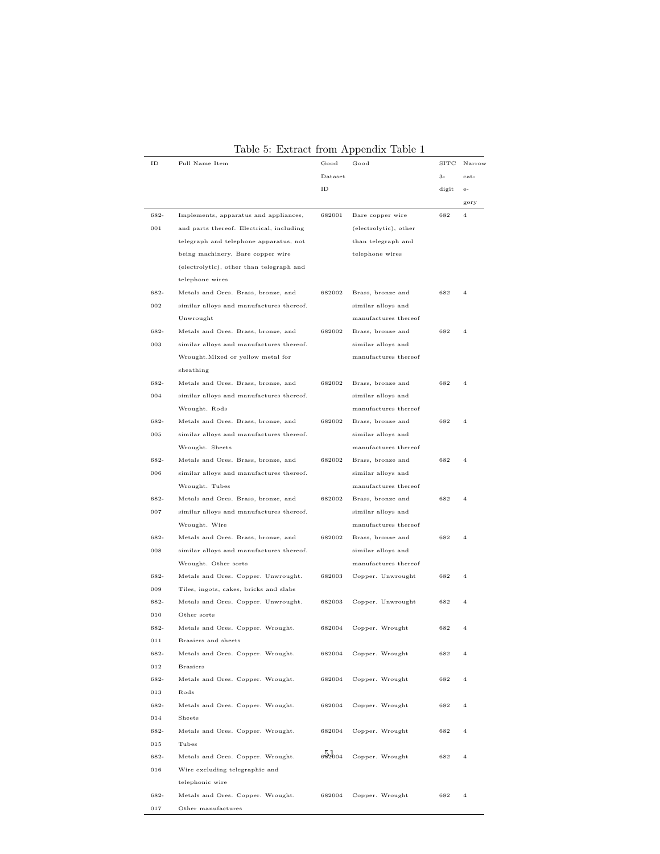| ID   | Full Name Item                           | Good    | Good                  | SITC  | Narrow         |
|------|------------------------------------------|---------|-----------------------|-------|----------------|
|      |                                          | Dataset |                       | $3-$  | cat-           |
|      |                                          | ID      |                       | digit | $e-$           |
|      |                                          |         |                       |       | gory           |
| 682- | Implements, apparatus and appliances,    | 682001  | Bare copper wire      | 682   | $\overline{4}$ |
| 001  | and parts thereof. Electrical, including |         | (electrolytic), other |       |                |
|      | telegraph and telephone apparatus, not   |         | than telegraph and    |       |                |
|      | being machinery. Bare copper wire        |         | telephone wires       |       |                |
|      | (electrolytic), other than telegraph and |         |                       |       |                |
|      | telephone wires                          |         |                       |       |                |
| 682- | Metals and Ores. Brass, bronze, and      | 682002  | Brass, bronze and     | 682   | $\overline{4}$ |
| 002  | similar alloys and manufactures thereof. |         | similar alloys and    |       |                |
|      | Unwrought                                |         | manufactures thereof  |       |                |
| 682- | Metals and Ores. Brass, bronze, and      | 682002  | Brass, bronze and     | 682   | $\overline{4}$ |
| 003  | similar alloys and manufactures thereof. |         | similar alloys and    |       |                |
|      | Wrought. Mixed or yellow metal for       |         | manufactures thereof  |       |                |
|      | sheathing                                |         |                       |       |                |
| 682- | Metals and Ores. Brass, bronze, and      | 682002  | Brass, bronze and     | 682   | $\overline{4}$ |
| 004  | similar alloys and manufactures thereof. |         | similar alloys and    |       |                |
|      | Wrought. Rods                            |         | manufactures thereof  |       |                |
| 682- | Metals and Ores. Brass, bronze, and      | 682002  | Brass, bronze and     | 682   | $\overline{4}$ |
| 005  | similar alloys and manufactures thereof. |         | similar alloys and    |       |                |
|      | Wrought. Sheets                          |         | manufactures thereof  |       |                |
| 682- | Metals and Ores. Brass, bronze, and      | 682002  | Brass, bronze and     | 682   | $\overline{4}$ |
| 006  | similar alloys and manufactures thereof. |         | similar alloys and    |       |                |
|      | Wrought. Tubes                           |         | manufactures thereof  |       |                |
| 682- | Metals and Ores. Brass, bronze, and      | 682002  | Brass, bronze and     | 682   | $\overline{4}$ |
| 007  | similar alloys and manufactures thereof. |         | similar alloys and    |       |                |
|      | Wrought. Wire                            |         | manufactures thereof  |       |                |
| 682- | Metals and Ores. Brass, bronze, and      | 682002  | Brass, bronze and     | 682   | $\overline{4}$ |
| 008  | similar alloys and manufactures thereof. |         | similar alloys and    |       |                |
|      | Wrought. Other sorts                     |         | manufactures thereof  |       |                |
| 682- | Metals and Ores. Copper. Unwrought.      | 682003  | Copper. Unwrought     | 682   | $\overline{4}$ |
| 009  | Tiles, ingots, cakes, bricks and slabs   |         |                       |       |                |
| 682- | Metals and Ores. Copper. Unwrought.      | 682003  | Copper. Unwrought     | 682   | $\overline{4}$ |
| 010  | Other sorts                              |         |                       |       |                |
| 682- | Metals and Ores. Copper. Wrought.        | 682004  | Copper. Wrought       | 682   | $\overline{4}$ |
| 011  | Braziers and sheets                      |         |                       |       |                |
| 682- | Metals and Ores. Copper. Wrought.        | 682004  | Copper. Wrought       | 682   | $\overline{4}$ |
| 012  | <b>Braziers</b>                          |         |                       |       |                |
| 682- | Metals and Ores. Copper. Wrought.        | 682004  | Copper. Wrought       | 682   | $\overline{4}$ |
| 013  | Rods                                     |         |                       |       |                |
| 682- | Metals and Ores. Copper. Wrought.        | 682004  | Copper. Wrought       | 682   | $\overline{4}$ |
| 014  | Sheets                                   |         |                       |       |                |
| 682- | Metals and Ores. Copper. Wrought.        | 682004  | Copper. Wrought       | 682   | $\overline{4}$ |
| 015  | Tubes                                    |         |                       |       |                |
| 682- | Metals and Ores. Copper. Wrought.        | 692004  | Copper. Wrought       | 682   | $\overline{4}$ |
| 016  | Wire excluding telegraphic and           |         |                       |       |                |
|      | telephonic wire                          |         |                       |       |                |
| 682- | Metals and Ores. Copper. Wrought.        | 682004  | Copper. Wrought       | 682   | $\overline{4}$ |
| 017  | Other manufactures                       |         |                       |       |                |

Table 5: Extract from Appendix Table 1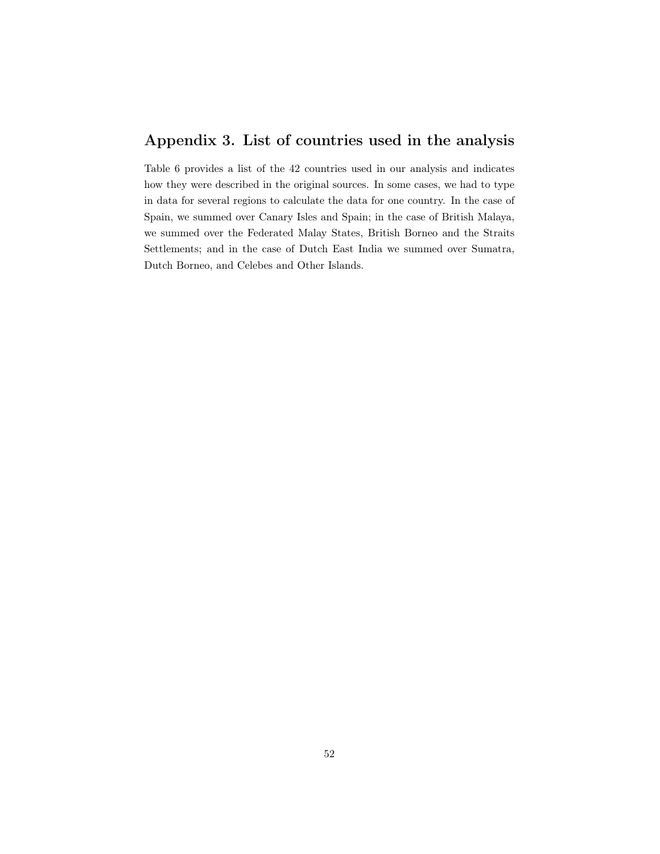# Appendix 3. List of countries used in the analysis

Table 6 provides a list of the 42 countries used in our analysis and indicates how they were described in the original sources. In some cases, we had to type in data for several regions to calculate the data for one country. In the case of Spain, we summed over Canary Isles and Spain; in the case of British Malaya, we summed over the Federated Malay States, British Borneo and the Straits Settlements; and in the case of Dutch East India we summed over Sumatra, Dutch Borneo, and Celebes and Other Islands.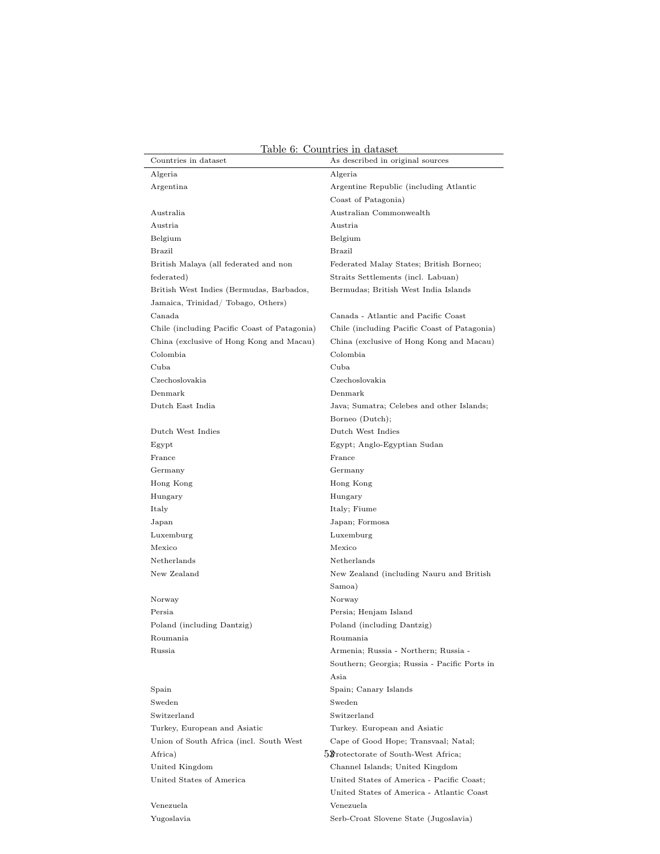| Countries in dataset                         | As described in original sources                    |
|----------------------------------------------|-----------------------------------------------------|
| Algeria                                      | Algeria                                             |
| Argentina                                    | Argentine Republic (including Atlantic              |
|                                              | Coast of Patagonia)                                 |
| Australia                                    | Australian Commonwealth                             |
| Austria                                      | Austria                                             |
| Belgium                                      | Belgium                                             |
| Brazil                                       | <b>Brazil</b>                                       |
| British Malaya (all federated and non        | Federated Malay States; British Borneo;             |
| federated)                                   | Straits Settlements (incl. Labuan)                  |
| British West Indies (Bermudas, Barbados,     | Bermudas; British West India Islands                |
| Jamaica, Trinidad/Tobago, Others)            |                                                     |
| Canada                                       | Canada - Atlantic and Pacific Coast                 |
| Chile (including Pacific Coast of Patagonia) | Chile (including Pacific Coast of Patagonia)        |
| China (exclusive of Hong Kong and Macau)     | China (exclusive of Hong Kong and Macau)            |
| Colombia                                     | Colombia                                            |
| Cuba                                         | Cuba                                                |
| Czechoslovakia                               | Czechoslovakia                                      |
| Denmark                                      | Denmark                                             |
| Dutch East India                             | Java; Sumatra; Celebes and other Islands;           |
|                                              | Borneo (Dutch);                                     |
| Dutch West Indies                            | Dutch West Indies                                   |
| Egypt                                        | Egypt; Anglo-Egyptian Sudan                         |
| France                                       | France                                              |
| Germany                                      | Germany                                             |
| Hong Kong                                    | Hong Kong                                           |
| Hungary                                      | Hungary                                             |
| Italy                                        | Italy; Fiume                                        |
| Japan                                        | Japan; Formosa                                      |
| Luxemburg                                    | Luxemburg                                           |
| Mexico                                       | Mexico                                              |
| Netherlands                                  | Netherlands                                         |
| New Zealand                                  | New Zealand (including Nauru and British            |
|                                              | Samoa)                                              |
| Norway                                       | Norway                                              |
| Persia<br>Poland (including Dantzig)         | Persia; Henjam Island<br>Poland (including Dantzig) |
| Roumania                                     | Roumania                                            |
| Russia                                       | Armenia; Russia - Northern; Russia -                |
|                                              | Southern; Georgia; Russia - Pacific Ports in        |
|                                              | Asia                                                |
| Spain                                        | Spain; Canary Islands                               |
| Sweden                                       | Sweden                                              |
| Switzerland                                  | Switzerland                                         |
| Turkey, European and Asiatic                 | Turkey. European and Asiatic                        |
| Union of South Africa (incl. South West      | Cape of Good Hope; Transvaal; Natal;                |
| Africa)                                      | 5Brotectorate of South-West Africa;                 |
| United Kingdom                               | Channel Islands; United Kingdom                     |
| United States of America                     | United States of America - Pacific Coast;           |
|                                              | United States of America - Atlantic Coast           |

Table 6: Countries in dataset

Venezuela Venezuela Yugoslavia Serb-Croat Slovene State (Jugoslavia)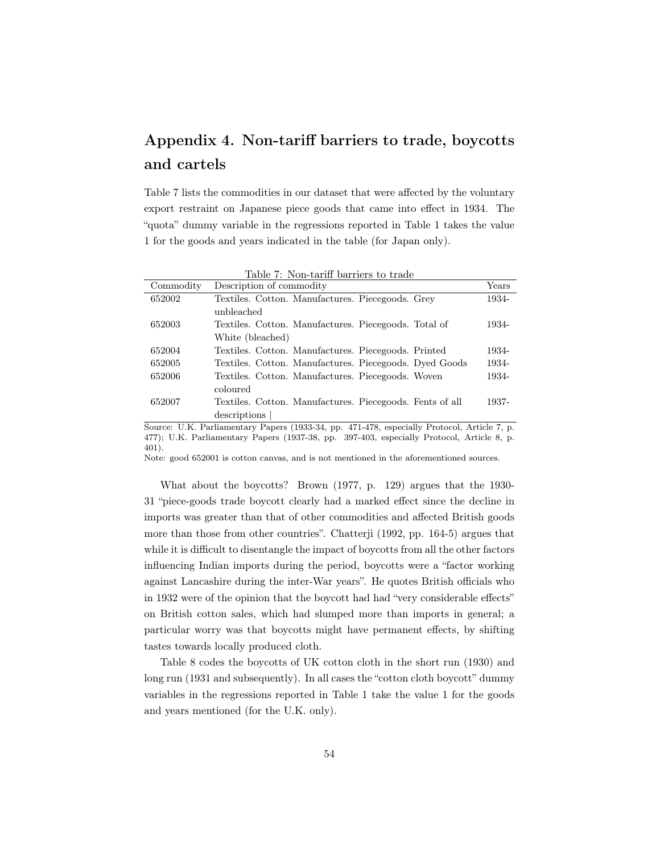# Appendix 4. Non-tariff barriers to trade, boycotts and cartels

Table 7 lists the commodities in our dataset that were affected by the voluntary export restraint on Japanese piece goods that came into effect in 1934. The "quota" dummy variable in the regressions reported in Table 1 takes the value 1 for the goods and years indicated in the table (for Japan only).

|           | Table 7: Non-tariff barriers to trade                    |       |
|-----------|----------------------------------------------------------|-------|
| Commodity | Description of commodity                                 | Years |
| 652002    | Textiles. Cotton. Manufactures. Piecegoods. Grey         | 1934- |
|           | unbleached                                               |       |
| 652003    | Textiles. Cotton. Manufactures. Piecegoods. Total of     | 1934- |
|           | White (bleached)                                         |       |
| 652004    | Textiles. Cotton. Manufactures. Piecegoods. Printed.     | 1934- |
| 652005    | Textiles. Cotton. Manufactures. Piecegoods. Dyed Goods   | 1934- |
| 652006    | Textiles. Cotton. Manufactures. Piecegoods. Woven        | 1934- |
|           | coloured                                                 |       |
| 652007    | Textiles. Cotton. Manufactures. Piecegoods. Fents of all | 1937- |
|           | descriptions                                             |       |

Source: U.K. Parliamentary Papers (1933-34, pp. 471-478, especially Protocol, Article 7, p. 477); U.K. Parliamentary Papers (1937-38, pp. 397-403, especially Protocol, Article 8, p. 401).

Note: good 652001 is cotton canvas, and is not mentioned in the aforementioned sources.

What about the boycotts? Brown (1977, p. 129) argues that the 1930- 31 "piece-goods trade boycott clearly had a marked effect since the decline in imports was greater than that of other commodities and affected British goods more than those from other countries". Chatterji (1992, pp. 164-5) argues that while it is difficult to disentangle the impact of boycotts from all the other factors influencing Indian imports during the period, boycotts were a "factor working against Lancashire during the inter-War years". He quotes British officials who in 1932 were of the opinion that the boycott had had "very considerable effects" on British cotton sales, which had slumped more than imports in general; a particular worry was that boycotts might have permanent effects, by shifting tastes towards locally produced cloth.

Table 8 codes the boycotts of UK cotton cloth in the short run (1930) and long run (1931 and subsequently). In all cases the "cotton cloth boycott" dummy variables in the regressions reported in Table 1 take the value 1 for the goods and years mentioned (for the U.K. only).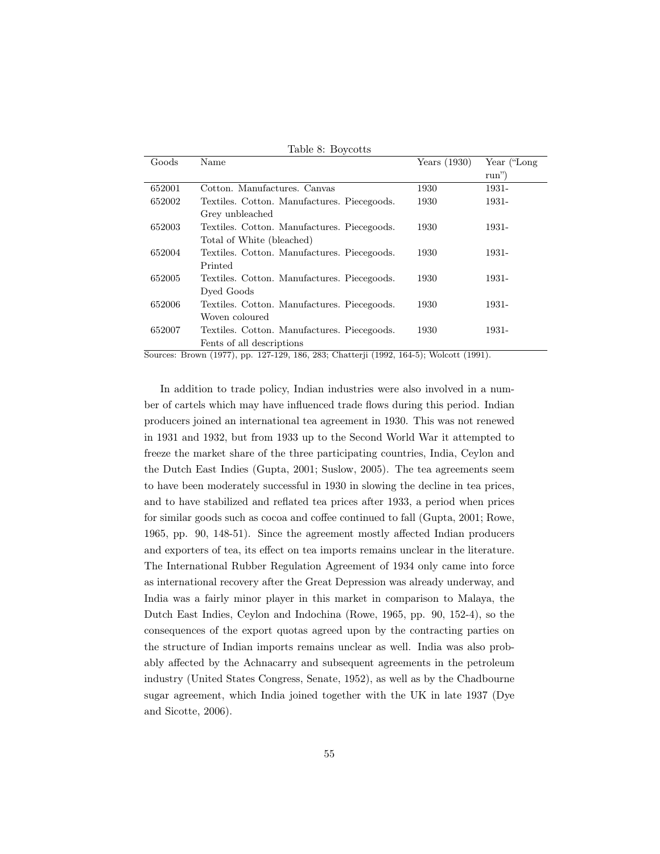| Goods  | rable o: Doycous<br>Name                    | Years $(1930)$ | Year ("Long" |
|--------|---------------------------------------------|----------------|--------------|
|        |                                             |                | $run$ ")     |
| 652001 | Cotton, Manufactures, Canyas                | 1930           | 1931-        |
| 652002 | Textiles. Cotton. Manufactures. Piecegoods. | 1930           | 1931-        |
|        | Grey unbleached                             |                |              |
| 652003 | Textiles. Cotton. Manufactures. Piecegoods. | 1930           | 1931-        |
|        | Total of White (bleached)                   |                |              |
| 652004 | Textiles. Cotton. Manufactures. Piecegoods. | 1930           | 1931-        |
|        | Printed                                     |                |              |
| 652005 | Textiles. Cotton. Manufactures. Piecegoods. | 1930           | 1931-        |
|        | Dyed Goods                                  |                |              |
| 652006 | Textiles. Cotton. Manufactures. Piecegoods. | 1930           | 1931-        |
|        | Woven coloured                              |                |              |
| 652007 | Textiles. Cotton. Manufactures. Piecegoods. | 1930           | 1931-        |
|        | Fents of all descriptions                   |                |              |

Table 8: Boycotts

Sources: Brown (1977), pp. 127-129, 186, 283; Chatterji (1992, 164-5); Wolcott (1991).

In addition to trade policy, Indian industries were also involved in a number of cartels which may have influenced trade flows during this period. Indian producers joined an international tea agreement in 1930. This was not renewed in 1931 and 1932, but from 1933 up to the Second World War it attempted to freeze the market share of the three participating countries, India, Ceylon and the Dutch East Indies (Gupta, 2001; Suslow, 2005). The tea agreements seem to have been moderately successful in 1930 in slowing the decline in tea prices, and to have stabilized and reflated tea prices after 1933, a period when prices for similar goods such as cocoa and coffee continued to fall (Gupta, 2001; Rowe, 1965, pp. 90, 148-51). Since the agreement mostly affected Indian producers and exporters of tea, its effect on tea imports remains unclear in the literature. The International Rubber Regulation Agreement of 1934 only came into force as international recovery after the Great Depression was already underway, and India was a fairly minor player in this market in comparison to Malaya, the Dutch East Indies, Ceylon and Indochina (Rowe, 1965, pp. 90, 152-4), so the consequences of the export quotas agreed upon by the contracting parties on the structure of Indian imports remains unclear as well. India was also probably affected by the Achnacarry and subsequent agreements in the petroleum industry (United States Congress, Senate, 1952), as well as by the Chadbourne sugar agreement, which India joined together with the UK in late 1937 (Dye and Sicotte, 2006).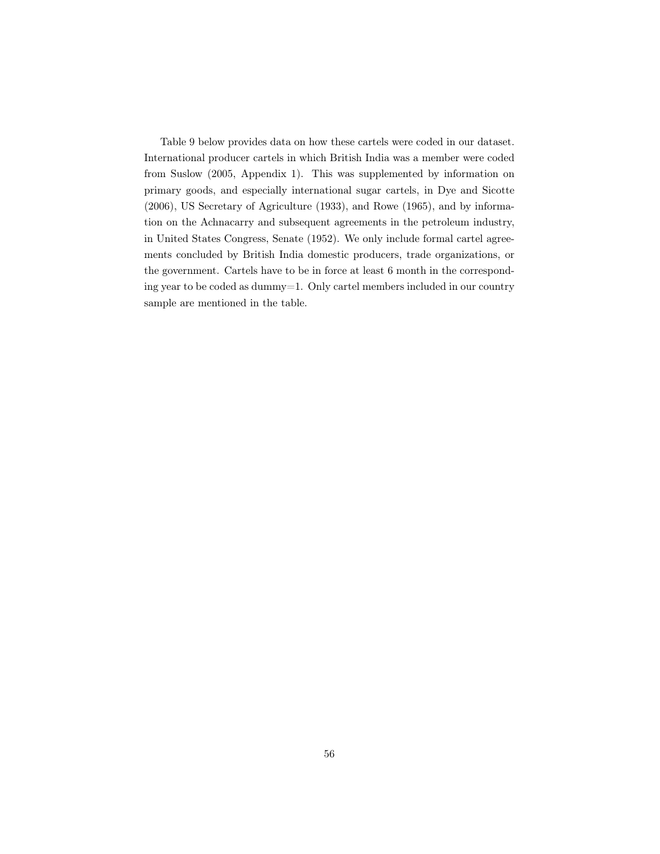Table 9 below provides data on how these cartels were coded in our dataset. International producer cartels in which British India was a member were coded from Suslow (2005, Appendix 1). This was supplemented by information on primary goods, and especially international sugar cartels, in Dye and Sicotte (2006), US Secretary of Agriculture (1933), and Rowe (1965), and by information on the Achnacarry and subsequent agreements in the petroleum industry, in United States Congress, Senate (1952). We only include formal cartel agreements concluded by British India domestic producers, trade organizations, or the government. Cartels have to be in force at least 6 month in the corresponding year to be coded as dummy=1. Only cartel members included in our country sample are mentioned in the table.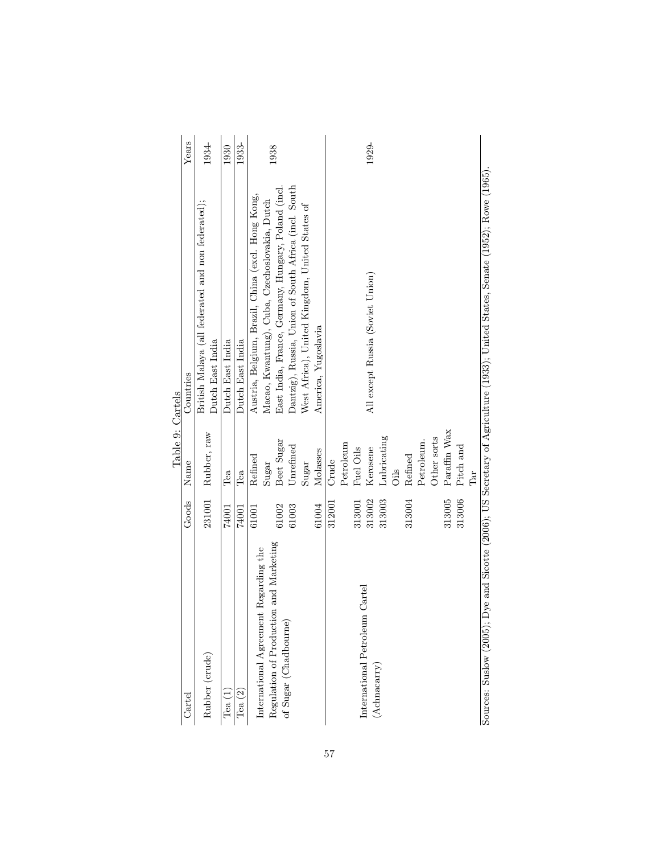|                                        |        | Table 9: Cartels          |                                                                                                        |       |
|----------------------------------------|--------|---------------------------|--------------------------------------------------------------------------------------------------------|-------|
| $\operatorname{Cartel}$                | Goods  | Name                      | Countries                                                                                              | Years |
| Rubber (crude)                         | 231001 | Rubber, raw               | British Malaya (all federated and non federated);                                                      | 1934- |
|                                        |        |                           | Dutch East India                                                                                       |       |
| Tea(1)                                 | 74001  | Tea                       | Dutch East India                                                                                       | 1930  |
| Tea $(2)$                              | 74001  | Tea                       | Dutch East India                                                                                       | 1933- |
|                                        | 61001  | Refined                   | Austria, Belgium, Brazil, China (excl. Hong Kong,                                                      |       |
| International Agreement Regarding the  |        | Sugar                     | Macao, Kwantung), Cuba, Czechoslovakia, Dutch                                                          |       |
| Regulation of Production and Marketing | 61002  | Beet Sugar                | East India, France, Germany, Hungary, Poland (incl.                                                    | 1938  |
| of Sugar (Chadbourne)                  | 61003  | Unrefined                 | Dantzig), Russia, Union of South Africa (incl. South                                                   |       |
|                                        |        | $\operatorname{Sugar}$    | West Africa), United Kingdom, United States of                                                         |       |
|                                        | 61004  | Molasses                  | America, Yugoslavia                                                                                    |       |
|                                        | 312001 | Crude                     |                                                                                                        |       |
|                                        |        | Petroleum                 |                                                                                                        |       |
|                                        | 313001 | Fuel Oils                 |                                                                                                        |       |
| Cartel<br>International Petroleum      | 313002 | Kerosene                  | All except Russia (Soviet Union)                                                                       | 1929- |
| $(A$ chnacarry $)$                     | 313003 | Lubricating               |                                                                                                        |       |
|                                        |        | <b>Oils</b>               |                                                                                                        |       |
|                                        | 313004 | Refined                   |                                                                                                        |       |
|                                        |        | Petroleum.                |                                                                                                        |       |
|                                        |        | Other sorts               |                                                                                                        |       |
|                                        | 313005 | Paraffin Wax              |                                                                                                        |       |
|                                        | 313006 | Pitch and                 |                                                                                                        |       |
|                                        |        | $\mathbb{R}^{\mathbb{I}}$ |                                                                                                        |       |
| Sources: Suslow (2005);                |        |                           | Dye and Sicotte (2006); US Secretary of Agriculture (1933); United States, Senate (1952); Rowe (1965). |       |

Sources: Suslow (2005); Dye and Sicotte (2006); US Secretary of Agriculture (1933); United States, Senate (1952); Rowe (1965).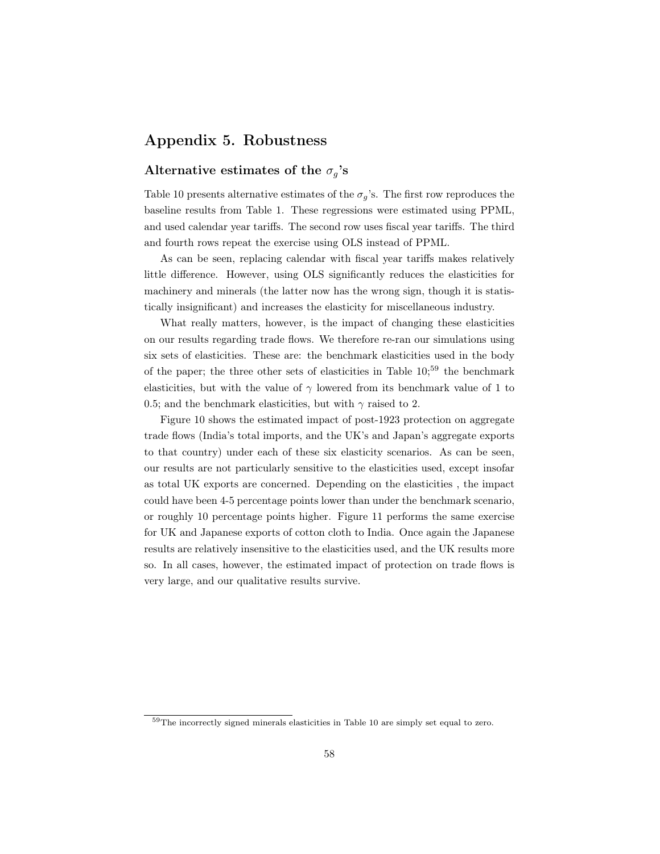# Appendix 5. Robustness

## Alternative estimates of the  $\sigma_g$ 's

Table 10 presents alternative estimates of the  $\sigma_g$ 's. The first row reproduces the baseline results from Table 1. These regressions were estimated using PPML, and used calendar year tariffs. The second row uses fiscal year tariffs. The third and fourth rows repeat the exercise using OLS instead of PPML.

As can be seen, replacing calendar with fiscal year tariffs makes relatively little difference. However, using OLS significantly reduces the elasticities for machinery and minerals (the latter now has the wrong sign, though it is statistically insignificant) and increases the elasticity for miscellaneous industry.

What really matters, however, is the impact of changing these elasticities on our results regarding trade flows. We therefore re-ran our simulations using six sets of elasticities. These are: the benchmark elasticities used in the body of the paper; the three other sets of elasticities in Table  $10;^{59}$  the benchmark elasticities, but with the value of  $\gamma$  lowered from its benchmark value of 1 to 0.5; and the benchmark elasticities, but with  $\gamma$  raised to 2.

Figure 10 shows the estimated impact of post-1923 protection on aggregate trade flows (India's total imports, and the UK's and Japan's aggregate exports to that country) under each of these six elasticity scenarios. As can be seen, our results are not particularly sensitive to the elasticities used, except insofar as total UK exports are concerned. Depending on the elasticities , the impact could have been 4-5 percentage points lower than under the benchmark scenario, or roughly 10 percentage points higher. Figure 11 performs the same exercise for UK and Japanese exports of cotton cloth to India. Once again the Japanese results are relatively insensitive to the elasticities used, and the UK results more so. In all cases, however, the estimated impact of protection on trade flows is very large, and our qualitative results survive.

<sup>59</sup>The incorrectly signed minerals elasticities in Table 10 are simply set equal to zero.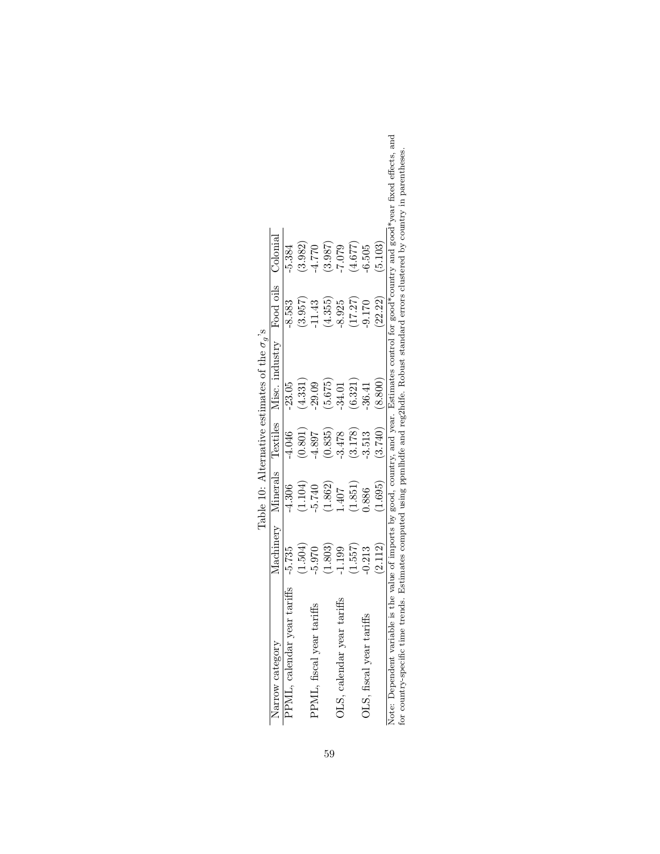|                                                      | $\overline{\mathsf{h}}$ on $\overline{\mathsf{h}}$ |                                | 3.982   |                           | 3.987   | 7.079                      | 4.677   |                          | (5.103) |                                                                                                                                                                                                                                                                                                   |
|------------------------------------------------------|----------------------------------------------------|--------------------------------|---------|---------------------------|---------|----------------------------|---------|--------------------------|---------|---------------------------------------------------------------------------------------------------------------------------------------------------------------------------------------------------------------------------------------------------------------------------------------------------|
|                                                      |                                                    | .384                           |         | 4.770                     |         |                            |         | $-6.505$                 |         |                                                                                                                                                                                                                                                                                                   |
|                                                      | Food oils $\sqrt{ }$                               | 8.583                          | (3.957) | .11.43                    | (4.355) | 8.925                      | (17.27) | $-9.170$                 | (22.22) |                                                                                                                                                                                                                                                                                                   |
| Table 10: Alternative estimates of the $\sigma_o$ 's | mdustry                                            | 23.05                          | (4.331) | $-29.09$                  | (5.675) | 34.01                      | (6.321) | 36.41                    | (8.800) |                                                                                                                                                                                                                                                                                                   |
|                                                      | Textiles Misc.                                     | $-4.046$                       | (0.801) | $-4.897$                  | (0.835) | $-3.478$                   | 3.178   | -3.513                   | (3.740) |                                                                                                                                                                                                                                                                                                   |
|                                                      | Minerals                                           | 4.306                          | (1.104) | 5.740                     | 1.862   | .407                       | 1.851   | 0.886                    | 1.695)  |                                                                                                                                                                                                                                                                                                   |
|                                                      | Aachinery                                          | $-5.735$                       | 1.504   | $-5.970$                  | 1.803   | 1.199                      | (1.557) | 0.213                    | (2.112) |                                                                                                                                                                                                                                                                                                   |
|                                                      | Narrow category                                    | taritis<br>PPML, calendar year |         | PPML, fiscal year tariffs |         | OLS, calendar year tariffs |         | OLS, fiscal year tariffs |         | Note: Dependent variable is the value of imports by good, country, and year. Estimates control for good*country and good*year fixed effects, and<br>for country-specific time trends. Estimates computed using ppmlhdfe and reg2hdfe. Robust standard errors clustered by country in parentheses. |

59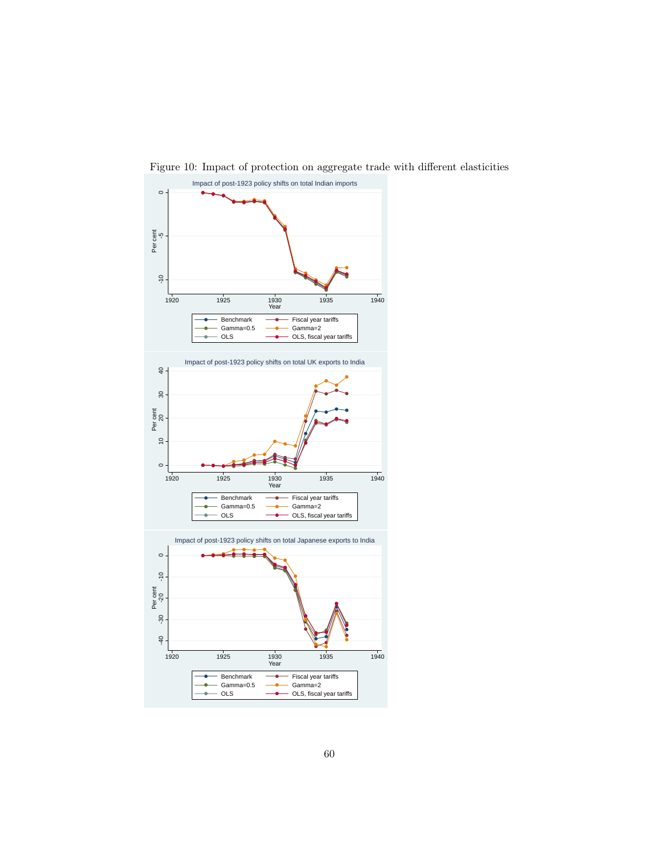

Figure 10: Impact of protection on aggregate trade with different elasticities